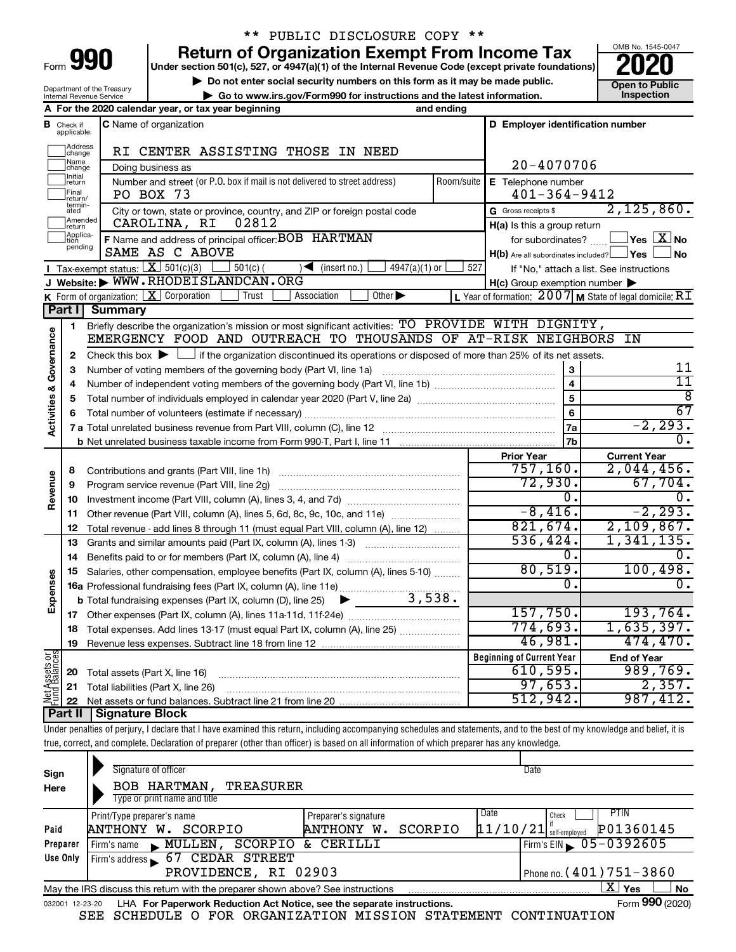| -orm |  |  |
|------|--|--|
|      |  |  |

## \*\* PUBLIC DISCLOSURE COPY \*\*

**990** Return of Organization Exempt From Income Tax <br>
Under section 501(c), 527, or 4947(a)(1) of the Internal Revenue Code (except private foundations)<br> **PO20** 

**▶ Do not enter social security numbers on this form as it may be made public. Open to Public**<br>
inspection and the latest information. Inspection **| Go to www.irs.gov/Form990 for instructions and the latest information. Inspection**



Department of the Treasury Internal Revenue Service

|                                |                               | A For the 2020 calendar year, or tax year beginning                                                                                                                        | and ending |                                                         |                                                           |
|--------------------------------|-------------------------------|----------------------------------------------------------------------------------------------------------------------------------------------------------------------------|------------|---------------------------------------------------------|-----------------------------------------------------------|
|                                | <b>B</b> Check if applicable: | C Name of organization                                                                                                                                                     |            | D Employer identification number                        |                                                           |
|                                | Address<br> change            | RI CENTER ASSISTING THOSE IN NEED                                                                                                                                          |            |                                                         |                                                           |
|                                | ]Name<br>]change              | Doing business as                                                                                                                                                          |            | 20-4070706                                              |                                                           |
|                                | ]Initial<br>]return           | Number and street (or P.O. box if mail is not delivered to street address)                                                                                                 | Room/suite | E Telephone number                                      |                                                           |
|                                | Final<br>return/              | PO BOX 73                                                                                                                                                                  |            | $401 - 364 - 9412$                                      |                                                           |
|                                | termin-<br>ated               | City or town, state or province, country, and ZIP or foreign postal code                                                                                                   |            | G Gross receipts \$                                     | 2,125,860.                                                |
|                                | Amended<br>Ireturn            | 02812<br>CAROLINA, RI                                                                                                                                                      |            | H(a) Is this a group return                             |                                                           |
|                                | Applica-<br>tion<br>pending   | F Name and address of principal officer: BOB HARTMAN                                                                                                                       |            | for subordinates?                                       | $\sqrt{}$ Yes $\sqrt{ \times }$ No                        |
|                                |                               | SAME AS C ABOVE                                                                                                                                                            |            | $H(b)$ Are all subordinates included? $\Box$ Yes $\Box$ | <b>No</b>                                                 |
|                                |                               | Tax-exempt status: $X \overline{301(c)(3)}$<br>$501(c)$ (<br>$4947(a)(1)$ or<br>$\sqrt{\bullet}$ (insert no.)                                                              | 527        |                                                         | If "No," attach a list. See instructions                  |
|                                |                               | J Website: WWW.RHODEISLANDCAN.ORG                                                                                                                                          |            | $H(c)$ Group exemption number $\blacktriangleright$     |                                                           |
|                                |                               | K Form of organization: $X$ Corporation<br>Other $\blacktriangleright$<br>Trust<br>Association                                                                             |            |                                                         | L Year of formation: $2007$ M State of legal domicile: RT |
|                                | <b>Part I</b>                 | <b>Summary</b>                                                                                                                                                             |            |                                                         |                                                           |
|                                | 1                             | Briefly describe the organization's mission or most significant activities: TO PROVIDE WITH DIGNITY,                                                                       |            |                                                         |                                                           |
| Governance                     |                               | EMERGENCY FOOD AND OUTREACH TO THOUSANDS OF AT-RISK NEIGHBORS IN                                                                                                           |            |                                                         |                                                           |
|                                | 2                             | Check this box $\blacktriangleright \Box$ if the organization discontinued its operations or disposed of more than 25% of its net assets.                                  |            |                                                         |                                                           |
|                                | З                             | Number of voting members of the governing body (Part VI, line 1a)                                                                                                          |            | $\mathbf 3$                                             | 11<br>11                                                  |
|                                | 4                             |                                                                                                                                                                            |            | $\overline{\mathbf{4}}$                                 | $\overline{8}$                                            |
| <b>Activities &amp;</b>        | 5                             |                                                                                                                                                                            |            | $\overline{5}$                                          | 67                                                        |
|                                | 6                             |                                                                                                                                                                            |            | 6                                                       |                                                           |
|                                |                               |                                                                                                                                                                            |            | 7a                                                      | $-2, 293.$<br>0.                                          |
|                                |                               |                                                                                                                                                                            |            | 7b                                                      |                                                           |
|                                |                               |                                                                                                                                                                            |            | <b>Prior Year</b><br>757, 160.                          | <b>Current Year</b><br>2,044,456.                         |
|                                | 8                             | Contributions and grants (Part VIII, line 1h)                                                                                                                              |            | 72,930.                                                 | 67,704.                                                   |
| Revenue                        | 9                             | Program service revenue (Part VIII, line 2g)                                                                                                                               |            | Ο.                                                      | 0.                                                        |
|                                | 10                            |                                                                                                                                                                            |            | $-8,416.$                                               | $-2, 293.$                                                |
|                                | 11                            | Other revenue (Part VIII, column (A), lines 5, 6d, 8c, 9c, 10c, and 11e)                                                                                                   |            | 821,674.                                                | 2,109,867.                                                |
|                                | 12                            | Total revenue - add lines 8 through 11 (must equal Part VIII, column (A), line 12)                                                                                         |            | 536, 424.                                               | 1,341,135.                                                |
|                                | 13                            | Grants and similar amounts paid (Part IX, column (A), lines 1-3)                                                                                                           |            | 0.                                                      |                                                           |
|                                | 14<br>15                      | Benefits paid to or for members (Part IX, column (A), line 4)<br>Salaries, other compensation, employee benefits (Part IX, column (A), lines 5-10)                         |            | 80,519.                                                 | 100,498.                                                  |
| Expenses                       |                               |                                                                                                                                                                            |            | 0.                                                      | $\overline{0}$ .                                          |
|                                |                               | <b>b</b> Total fundraising expenses (Part IX, column (D), line 25) $\bullet$ $\bullet$ 3, 538.                                                                             |            |                                                         |                                                           |
|                                | 17                            |                                                                                                                                                                            |            | 157,750.                                                | 193,764.                                                  |
|                                | 18                            | Total expenses. Add lines 13-17 (must equal Part IX, column (A), line 25)                                                                                                  |            | 774,693.                                                | 1,635,397.                                                |
|                                |                               | 19 Revenue less expenses. Subtract line 18 from line 12                                                                                                                    |            | 46,981.                                                 | 474, 470.                                                 |
|                                |                               |                                                                                                                                                                            |            | <b>Beginning of Current Year</b>                        | <b>End of Year</b>                                        |
| Net Assets or<br>Fund Balances | 20                            | Total assets (Part X, line 16)                                                                                                                                             |            | 610,595.                                                | 989,769.                                                  |
|                                | 21                            | Total liabilities (Part X, line 26)                                                                                                                                        |            | 97,653.                                                 | 2,357.                                                    |
|                                | 22                            |                                                                                                                                                                            |            | 512,942.                                                | 987,412.                                                  |
|                                | <b>Part II</b>                | <b>Signature Block</b>                                                                                                                                                     |            |                                                         |                                                           |
|                                |                               | Under penalties of perjury, I declare that I have examined this return, including accompanying schedules and statements, and to the best of my knowledge and belief, it is |            |                                                         |                                                           |
|                                |                               | true, correct, and complete. Declaration of preparer (other than officer) is based on all information of which preparer has any knowledge.                                 |            |                                                         |                                                           |
|                                |                               |                                                                                                                                                                            |            |                                                         |                                                           |

| Sign<br>Here    | Signature of officer<br>BOB HARTMAN,<br>TREASURER                               |                      |         |            | Date          |                                        |
|-----------------|---------------------------------------------------------------------------------|----------------------|---------|------------|---------------|----------------------------------------|
|                 | Type or print name and title                                                    |                      |         |            |               |                                        |
|                 | Print/Type preparer's name                                                      | Preparer's signature |         | Date       | Check         | PTIN                                   |
| Paid            | SCORPIO<br>ANTHONY W.                                                           | ANTHONY<br>w.        | SCORPIO | [11/10/21] | self-emploved | P01360145                              |
| Preparer        | SCORPIO<br>MULLEN<br>Firm's name                                                | CERILLI<br>&.        |         |            |               | Firm's EIN $\triangleright$ 05-0392605 |
| Use Only        | <b>CEDAR STREET</b><br>67<br>Firm's address                                     |                      |         |            |               |                                        |
|                 | PROVIDENCE, RI 02903                                                            |                      |         |            |               | Phone no. ( $401$ ) $751 - 3860$       |
|                 | May the IRS discuss this return with the preparer shown above? See instructions |                      |         |            |               | X.<br><b>No</b><br>Yes                 |
| 032001 12-23-20 | LHA For Paperwork Reduction Act Notice, see the separate instructions.          |                      |         |            |               | Form 990 (2020)                        |

SEE SCHEDULE O FOR ORGANIZATION MISSION STATEMENT CONTINUATION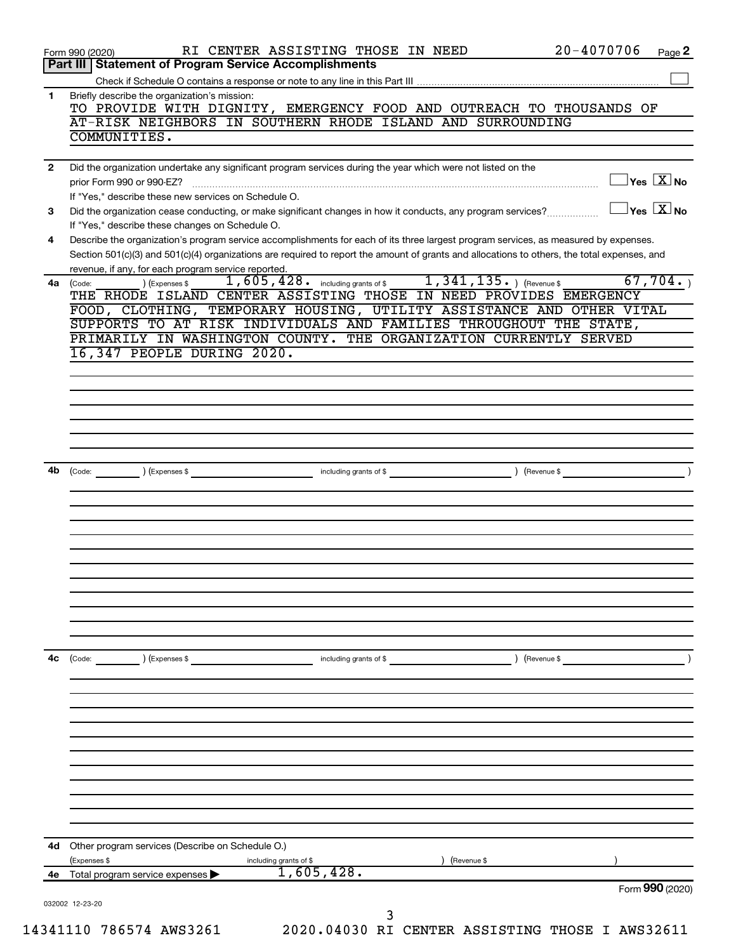| 1<br>$\mathbf{2}$<br>3<br>4<br>4a<br>(Code:<br>4b | <b>Part III   Statement of Program Service Accomplishments</b><br>Briefly describe the organization's mission:<br>TO PROVIDE WITH DIGNITY, EMERGENCY FOOD AND OUTREACH TO THOUSANDS OF<br>AT-RISK NEIGHBORS IN SOUTHERN RHODE ISLAND AND SURROUNDING<br>COMMUNITIES.<br>Did the organization undertake any significant program services during the year which were not listed on the<br>$\Box$ Yes $[\overline{\mathrm{X}}]$ No<br>prior Form 990 or 990-EZ?<br>If "Yes," describe these new services on Schedule O.<br>$\overline{X}$ Yes $\overline{X}$ No<br>Did the organization cease conducting, or make significant changes in how it conducts, any program services?<br>If "Yes," describe these changes on Schedule O.<br>Describe the organization's program service accomplishments for each of its three largest program services, as measured by expenses.<br>Section 501(c)(3) and 501(c)(4) organizations are required to report the amount of grants and allocations to others, the total expenses, and<br>revenue, if any, for each program service reported.<br>1,605,428. including grants of \$1,341,135. ) (Revenue \$<br>67,704.<br>) (Expenses \$<br>THE RHODE ISLAND CENTER ASSISTING THOSE IN NEED PROVIDES EMERGENCY<br>FOOD, CLOTHING, TEMPORARY HOUSING, UTILITY ASSISTANCE AND OTHER VITAL<br>SUPPORTS TO AT RISK INDIVIDUALS AND FAMILIES THROUGHOUT THE STATE,<br>PRIMARILY IN WASHINGTON COUNTY. THE ORGANIZATION CURRENTLY SERVED<br>16,347 PEOPLE DURING 2020.<br>(Code: ) (Expenses \$ ) (Revenue \$ ) (Revenue \$ ) (Revenue \$ ) (Revenue \$ ) (Revenue \$ ) (Revenue \$ ) (Revenue \$ ) (Revenue \$ ) (Revenue \$ ) (Revenue \$ ) (Revenue \$ ) (Revenue \$ ) (Revenue \$ ) (Revenue \$ ) (Revenue \$ ) (Rev |
|---------------------------------------------------|----------------------------------------------------------------------------------------------------------------------------------------------------------------------------------------------------------------------------------------------------------------------------------------------------------------------------------------------------------------------------------------------------------------------------------------------------------------------------------------------------------------------------------------------------------------------------------------------------------------------------------------------------------------------------------------------------------------------------------------------------------------------------------------------------------------------------------------------------------------------------------------------------------------------------------------------------------------------------------------------------------------------------------------------------------------------------------------------------------------------------------------------------------------------------------------------------------------------------------------------------------------------------------------------------------------------------------------------------------------------------------------------------------------------------------------------------------------------------------------------------------------------------------------------------------------------------------------------------------------------------------------------------------------------------------------------------------------------------------------------------|
|                                                   |                                                                                                                                                                                                                                                                                                                                                                                                                                                                                                                                                                                                                                                                                                                                                                                                                                                                                                                                                                                                                                                                                                                                                                                                                                                                                                                                                                                                                                                                                                                                                                                                                                                                                                                                                    |
|                                                   |                                                                                                                                                                                                                                                                                                                                                                                                                                                                                                                                                                                                                                                                                                                                                                                                                                                                                                                                                                                                                                                                                                                                                                                                                                                                                                                                                                                                                                                                                                                                                                                                                                                                                                                                                    |
|                                                   |                                                                                                                                                                                                                                                                                                                                                                                                                                                                                                                                                                                                                                                                                                                                                                                                                                                                                                                                                                                                                                                                                                                                                                                                                                                                                                                                                                                                                                                                                                                                                                                                                                                                                                                                                    |
|                                                   |                                                                                                                                                                                                                                                                                                                                                                                                                                                                                                                                                                                                                                                                                                                                                                                                                                                                                                                                                                                                                                                                                                                                                                                                                                                                                                                                                                                                                                                                                                                                                                                                                                                                                                                                                    |
|                                                   |                                                                                                                                                                                                                                                                                                                                                                                                                                                                                                                                                                                                                                                                                                                                                                                                                                                                                                                                                                                                                                                                                                                                                                                                                                                                                                                                                                                                                                                                                                                                                                                                                                                                                                                                                    |
|                                                   |                                                                                                                                                                                                                                                                                                                                                                                                                                                                                                                                                                                                                                                                                                                                                                                                                                                                                                                                                                                                                                                                                                                                                                                                                                                                                                                                                                                                                                                                                                                                                                                                                                                                                                                                                    |
|                                                   |                                                                                                                                                                                                                                                                                                                                                                                                                                                                                                                                                                                                                                                                                                                                                                                                                                                                                                                                                                                                                                                                                                                                                                                                                                                                                                                                                                                                                                                                                                                                                                                                                                                                                                                                                    |
|                                                   |                                                                                                                                                                                                                                                                                                                                                                                                                                                                                                                                                                                                                                                                                                                                                                                                                                                                                                                                                                                                                                                                                                                                                                                                                                                                                                                                                                                                                                                                                                                                                                                                                                                                                                                                                    |
|                                                   |                                                                                                                                                                                                                                                                                                                                                                                                                                                                                                                                                                                                                                                                                                                                                                                                                                                                                                                                                                                                                                                                                                                                                                                                                                                                                                                                                                                                                                                                                                                                                                                                                                                                                                                                                    |
|                                                   |                                                                                                                                                                                                                                                                                                                                                                                                                                                                                                                                                                                                                                                                                                                                                                                                                                                                                                                                                                                                                                                                                                                                                                                                                                                                                                                                                                                                                                                                                                                                                                                                                                                                                                                                                    |
|                                                   |                                                                                                                                                                                                                                                                                                                                                                                                                                                                                                                                                                                                                                                                                                                                                                                                                                                                                                                                                                                                                                                                                                                                                                                                                                                                                                                                                                                                                                                                                                                                                                                                                                                                                                                                                    |
|                                                   |                                                                                                                                                                                                                                                                                                                                                                                                                                                                                                                                                                                                                                                                                                                                                                                                                                                                                                                                                                                                                                                                                                                                                                                                                                                                                                                                                                                                                                                                                                                                                                                                                                                                                                                                                    |
|                                                   |                                                                                                                                                                                                                                                                                                                                                                                                                                                                                                                                                                                                                                                                                                                                                                                                                                                                                                                                                                                                                                                                                                                                                                                                                                                                                                                                                                                                                                                                                                                                                                                                                                                                                                                                                    |
|                                                   |                                                                                                                                                                                                                                                                                                                                                                                                                                                                                                                                                                                                                                                                                                                                                                                                                                                                                                                                                                                                                                                                                                                                                                                                                                                                                                                                                                                                                                                                                                                                                                                                                                                                                                                                                    |
|                                                   |                                                                                                                                                                                                                                                                                                                                                                                                                                                                                                                                                                                                                                                                                                                                                                                                                                                                                                                                                                                                                                                                                                                                                                                                                                                                                                                                                                                                                                                                                                                                                                                                                                                                                                                                                    |
|                                                   |                                                                                                                                                                                                                                                                                                                                                                                                                                                                                                                                                                                                                                                                                                                                                                                                                                                                                                                                                                                                                                                                                                                                                                                                                                                                                                                                                                                                                                                                                                                                                                                                                                                                                                                                                    |
|                                                   |                                                                                                                                                                                                                                                                                                                                                                                                                                                                                                                                                                                                                                                                                                                                                                                                                                                                                                                                                                                                                                                                                                                                                                                                                                                                                                                                                                                                                                                                                                                                                                                                                                                                                                                                                    |
|                                                   |                                                                                                                                                                                                                                                                                                                                                                                                                                                                                                                                                                                                                                                                                                                                                                                                                                                                                                                                                                                                                                                                                                                                                                                                                                                                                                                                                                                                                                                                                                                                                                                                                                                                                                                                                    |
|                                                   |                                                                                                                                                                                                                                                                                                                                                                                                                                                                                                                                                                                                                                                                                                                                                                                                                                                                                                                                                                                                                                                                                                                                                                                                                                                                                                                                                                                                                                                                                                                                                                                                                                                                                                                                                    |
|                                                   |                                                                                                                                                                                                                                                                                                                                                                                                                                                                                                                                                                                                                                                                                                                                                                                                                                                                                                                                                                                                                                                                                                                                                                                                                                                                                                                                                                                                                                                                                                                                                                                                                                                                                                                                                    |
|                                                   |                                                                                                                                                                                                                                                                                                                                                                                                                                                                                                                                                                                                                                                                                                                                                                                                                                                                                                                                                                                                                                                                                                                                                                                                                                                                                                                                                                                                                                                                                                                                                                                                                                                                                                                                                    |
|                                                   |                                                                                                                                                                                                                                                                                                                                                                                                                                                                                                                                                                                                                                                                                                                                                                                                                                                                                                                                                                                                                                                                                                                                                                                                                                                                                                                                                                                                                                                                                                                                                                                                                                                                                                                                                    |
|                                                   |                                                                                                                                                                                                                                                                                                                                                                                                                                                                                                                                                                                                                                                                                                                                                                                                                                                                                                                                                                                                                                                                                                                                                                                                                                                                                                                                                                                                                                                                                                                                                                                                                                                                                                                                                    |
|                                                   |                                                                                                                                                                                                                                                                                                                                                                                                                                                                                                                                                                                                                                                                                                                                                                                                                                                                                                                                                                                                                                                                                                                                                                                                                                                                                                                                                                                                                                                                                                                                                                                                                                                                                                                                                    |
|                                                   |                                                                                                                                                                                                                                                                                                                                                                                                                                                                                                                                                                                                                                                                                                                                                                                                                                                                                                                                                                                                                                                                                                                                                                                                                                                                                                                                                                                                                                                                                                                                                                                                                                                                                                                                                    |
|                                                   |                                                                                                                                                                                                                                                                                                                                                                                                                                                                                                                                                                                                                                                                                                                                                                                                                                                                                                                                                                                                                                                                                                                                                                                                                                                                                                                                                                                                                                                                                                                                                                                                                                                                                                                                                    |
|                                                   |                                                                                                                                                                                                                                                                                                                                                                                                                                                                                                                                                                                                                                                                                                                                                                                                                                                                                                                                                                                                                                                                                                                                                                                                                                                                                                                                                                                                                                                                                                                                                                                                                                                                                                                                                    |
|                                                   |                                                                                                                                                                                                                                                                                                                                                                                                                                                                                                                                                                                                                                                                                                                                                                                                                                                                                                                                                                                                                                                                                                                                                                                                                                                                                                                                                                                                                                                                                                                                                                                                                                                                                                                                                    |
|                                                   |                                                                                                                                                                                                                                                                                                                                                                                                                                                                                                                                                                                                                                                                                                                                                                                                                                                                                                                                                                                                                                                                                                                                                                                                                                                                                                                                                                                                                                                                                                                                                                                                                                                                                                                                                    |
|                                                   |                                                                                                                                                                                                                                                                                                                                                                                                                                                                                                                                                                                                                                                                                                                                                                                                                                                                                                                                                                                                                                                                                                                                                                                                                                                                                                                                                                                                                                                                                                                                                                                                                                                                                                                                                    |
|                                                   |                                                                                                                                                                                                                                                                                                                                                                                                                                                                                                                                                                                                                                                                                                                                                                                                                                                                                                                                                                                                                                                                                                                                                                                                                                                                                                                                                                                                                                                                                                                                                                                                                                                                                                                                                    |
|                                                   |                                                                                                                                                                                                                                                                                                                                                                                                                                                                                                                                                                                                                                                                                                                                                                                                                                                                                                                                                                                                                                                                                                                                                                                                                                                                                                                                                                                                                                                                                                                                                                                                                                                                                                                                                    |
|                                                   |                                                                                                                                                                                                                                                                                                                                                                                                                                                                                                                                                                                                                                                                                                                                                                                                                                                                                                                                                                                                                                                                                                                                                                                                                                                                                                                                                                                                                                                                                                                                                                                                                                                                                                                                                    |
| 4c                                                | (Expenses \$<br>) (Revenue \$<br>(Code:<br>including grants of \$                                                                                                                                                                                                                                                                                                                                                                                                                                                                                                                                                                                                                                                                                                                                                                                                                                                                                                                                                                                                                                                                                                                                                                                                                                                                                                                                                                                                                                                                                                                                                                                                                                                                                  |
|                                                   |                                                                                                                                                                                                                                                                                                                                                                                                                                                                                                                                                                                                                                                                                                                                                                                                                                                                                                                                                                                                                                                                                                                                                                                                                                                                                                                                                                                                                                                                                                                                                                                                                                                                                                                                                    |
|                                                   |                                                                                                                                                                                                                                                                                                                                                                                                                                                                                                                                                                                                                                                                                                                                                                                                                                                                                                                                                                                                                                                                                                                                                                                                                                                                                                                                                                                                                                                                                                                                                                                                                                                                                                                                                    |
|                                                   |                                                                                                                                                                                                                                                                                                                                                                                                                                                                                                                                                                                                                                                                                                                                                                                                                                                                                                                                                                                                                                                                                                                                                                                                                                                                                                                                                                                                                                                                                                                                                                                                                                                                                                                                                    |
|                                                   |                                                                                                                                                                                                                                                                                                                                                                                                                                                                                                                                                                                                                                                                                                                                                                                                                                                                                                                                                                                                                                                                                                                                                                                                                                                                                                                                                                                                                                                                                                                                                                                                                                                                                                                                                    |
|                                                   |                                                                                                                                                                                                                                                                                                                                                                                                                                                                                                                                                                                                                                                                                                                                                                                                                                                                                                                                                                                                                                                                                                                                                                                                                                                                                                                                                                                                                                                                                                                                                                                                                                                                                                                                                    |
|                                                   |                                                                                                                                                                                                                                                                                                                                                                                                                                                                                                                                                                                                                                                                                                                                                                                                                                                                                                                                                                                                                                                                                                                                                                                                                                                                                                                                                                                                                                                                                                                                                                                                                                                                                                                                                    |
|                                                   |                                                                                                                                                                                                                                                                                                                                                                                                                                                                                                                                                                                                                                                                                                                                                                                                                                                                                                                                                                                                                                                                                                                                                                                                                                                                                                                                                                                                                                                                                                                                                                                                                                                                                                                                                    |
|                                                   |                                                                                                                                                                                                                                                                                                                                                                                                                                                                                                                                                                                                                                                                                                                                                                                                                                                                                                                                                                                                                                                                                                                                                                                                                                                                                                                                                                                                                                                                                                                                                                                                                                                                                                                                                    |
|                                                   |                                                                                                                                                                                                                                                                                                                                                                                                                                                                                                                                                                                                                                                                                                                                                                                                                                                                                                                                                                                                                                                                                                                                                                                                                                                                                                                                                                                                                                                                                                                                                                                                                                                                                                                                                    |
|                                                   |                                                                                                                                                                                                                                                                                                                                                                                                                                                                                                                                                                                                                                                                                                                                                                                                                                                                                                                                                                                                                                                                                                                                                                                                                                                                                                                                                                                                                                                                                                                                                                                                                                                                                                                                                    |
|                                                   |                                                                                                                                                                                                                                                                                                                                                                                                                                                                                                                                                                                                                                                                                                                                                                                                                                                                                                                                                                                                                                                                                                                                                                                                                                                                                                                                                                                                                                                                                                                                                                                                                                                                                                                                                    |
| 4d                                                | Other program services (Describe on Schedule O.)                                                                                                                                                                                                                                                                                                                                                                                                                                                                                                                                                                                                                                                                                                                                                                                                                                                                                                                                                                                                                                                                                                                                                                                                                                                                                                                                                                                                                                                                                                                                                                                                                                                                                                   |
|                                                   | (Expenses \$<br>(Revenue \$<br>including grants of \$                                                                                                                                                                                                                                                                                                                                                                                                                                                                                                                                                                                                                                                                                                                                                                                                                                                                                                                                                                                                                                                                                                                                                                                                                                                                                                                                                                                                                                                                                                                                                                                                                                                                                              |
|                                                   | 1,605,428.<br>4e Total program service expenses >                                                                                                                                                                                                                                                                                                                                                                                                                                                                                                                                                                                                                                                                                                                                                                                                                                                                                                                                                                                                                                                                                                                                                                                                                                                                                                                                                                                                                                                                                                                                                                                                                                                                                                  |
|                                                   | Form 990 (2020)                                                                                                                                                                                                                                                                                                                                                                                                                                                                                                                                                                                                                                                                                                                                                                                                                                                                                                                                                                                                                                                                                                                                                                                                                                                                                                                                                                                                                                                                                                                                                                                                                                                                                                                                    |
| 032002 12-23-20                                   |                                                                                                                                                                                                                                                                                                                                                                                                                                                                                                                                                                                                                                                                                                                                                                                                                                                                                                                                                                                                                                                                                                                                                                                                                                                                                                                                                                                                                                                                                                                                                                                                                                                                                                                                                    |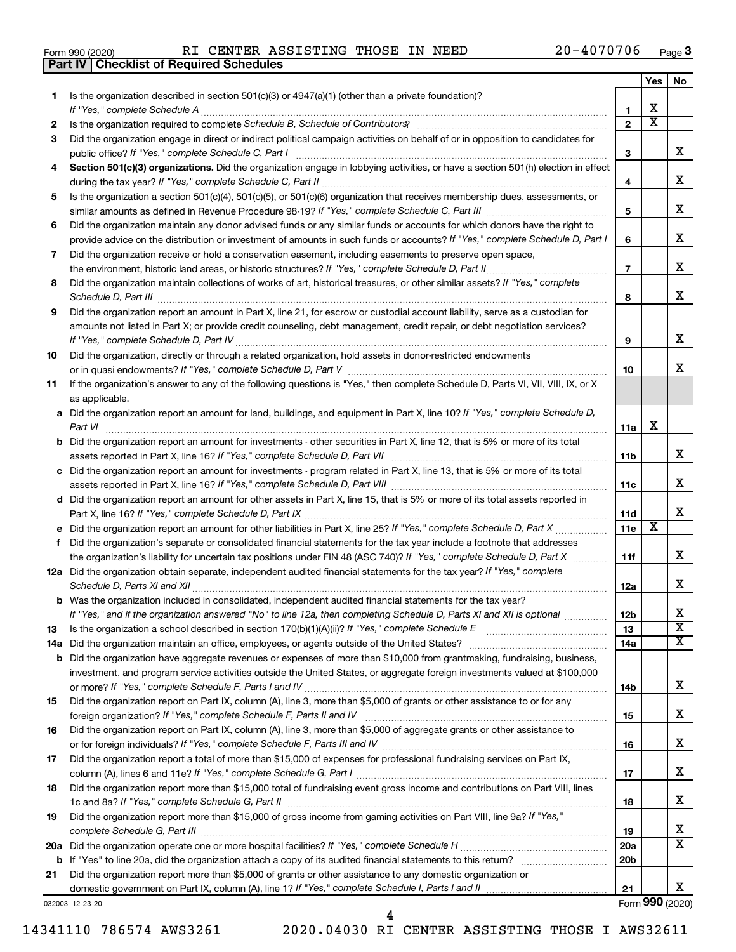|  | Form 990 (2020) |
|--|-----------------|
|  |                 |

**Part IV Checklist of Required Schedules**

|     |                                                                                                                                                                                                                                     |                 | Yes | No                      |
|-----|-------------------------------------------------------------------------------------------------------------------------------------------------------------------------------------------------------------------------------------|-----------------|-----|-------------------------|
| 1   | Is the organization described in section $501(c)(3)$ or $4947(a)(1)$ (other than a private foundation)?                                                                                                                             |                 |     |                         |
|     | If "Yes," complete Schedule A                                                                                                                                                                                                       | 1               | х   |                         |
| 2   |                                                                                                                                                                                                                                     | $\mathbf{2}$    | х   |                         |
| 3   | Did the organization engage in direct or indirect political campaign activities on behalf of or in opposition to candidates for                                                                                                     |                 |     |                         |
|     | public office? If "Yes," complete Schedule C, Part I                                                                                                                                                                                | З               |     | x                       |
| 4   | Section 501(c)(3) organizations. Did the organization engage in lobbying activities, or have a section 501(h) election in effect                                                                                                    |                 |     |                         |
|     |                                                                                                                                                                                                                                     | 4               |     | х                       |
| 5   | Is the organization a section 501(c)(4), 501(c)(5), or 501(c)(6) organization that receives membership dues, assessments, or                                                                                                        |                 |     |                         |
|     |                                                                                                                                                                                                                                     | 5               |     | х                       |
| 6   | Did the organization maintain any donor advised funds or any similar funds or accounts for which donors have the right to                                                                                                           |                 |     |                         |
|     | provide advice on the distribution or investment of amounts in such funds or accounts? If "Yes," complete Schedule D, Part I                                                                                                        | 6               |     | х                       |
| 7   | Did the organization receive or hold a conservation easement, including easements to preserve open space,                                                                                                                           |                 |     |                         |
|     |                                                                                                                                                                                                                                     | $\overline{7}$  |     | х                       |
| 8   | Did the organization maintain collections of works of art, historical treasures, or other similar assets? If "Yes," complete                                                                                                        |                 |     |                         |
|     | Schedule D, Part III <b>Marting Communities</b> Contract and Contract and Contract and Contract and Contract and Contract and Contract and Contract and Contract and Contract and Contract and Contract and Contract and Contract a | 8               |     | х                       |
| 9   | Did the organization report an amount in Part X, line 21, for escrow or custodial account liability, serve as a custodian for                                                                                                       |                 |     |                         |
|     | amounts not listed in Part X; or provide credit counseling, debt management, credit repair, or debt negotiation services?                                                                                                           |                 |     |                         |
|     |                                                                                                                                                                                                                                     | 9               |     | х                       |
| 10  | Did the organization, directly or through a related organization, hold assets in donor-restricted endowments                                                                                                                        |                 |     |                         |
|     |                                                                                                                                                                                                                                     | 10              |     | x                       |
| 11  | If the organization's answer to any of the following questions is "Yes," then complete Schedule D, Parts VI, VII, VIII, IX, or X                                                                                                    |                 |     |                         |
|     | as applicable.                                                                                                                                                                                                                      |                 |     |                         |
|     | a Did the organization report an amount for land, buildings, and equipment in Part X, line 10? If "Yes," complete Schedule D,                                                                                                       |                 |     |                         |
|     |                                                                                                                                                                                                                                     | 11a             | х   |                         |
|     |                                                                                                                                                                                                                                     |                 |     |                         |
|     | <b>b</b> Did the organization report an amount for investments - other securities in Part X, line 12, that is 5% or more of its total                                                                                               |                 |     | x                       |
|     |                                                                                                                                                                                                                                     | 11 <sub>b</sub> |     |                         |
|     | c Did the organization report an amount for investments - program related in Part X, line 13, that is 5% or more of its total                                                                                                       |                 |     | x                       |
|     |                                                                                                                                                                                                                                     | 11c             |     |                         |
|     | d Did the organization report an amount for other assets in Part X, line 15, that is 5% or more of its total assets reported in                                                                                                     |                 |     | x                       |
|     |                                                                                                                                                                                                                                     | 11d             |     |                         |
|     |                                                                                                                                                                                                                                     | 11e             | х   |                         |
|     | f Did the organization's separate or consolidated financial statements for the tax year include a footnote that addresses                                                                                                           |                 |     |                         |
|     | the organization's liability for uncertain tax positions under FIN 48 (ASC 740)? If "Yes," complete Schedule D, Part X                                                                                                              | 11f             |     | x                       |
|     | 12a Did the organization obtain separate, independent audited financial statements for the tax year? If "Yes," complete                                                                                                             |                 |     |                         |
|     |                                                                                                                                                                                                                                     | 12a             |     | x                       |
|     | <b>b</b> Was the organization included in consolidated, independent audited financial statements for the tax year?                                                                                                                  |                 |     |                         |
|     | If "Yes," and if the organization answered "No" to line 12a, then completing Schedule D, Parts XI and XII is optional                                                                                                               | 12 <sub>b</sub> |     | х                       |
| 13  |                                                                                                                                                                                                                                     | 13              |     | $\overline{\textbf{x}}$ |
| 14a |                                                                                                                                                                                                                                     | 14a             |     | x                       |
| b   | Did the organization have aggregate revenues or expenses of more than \$10,000 from grantmaking, fundraising, business,                                                                                                             |                 |     |                         |
|     | investment, and program service activities outside the United States, or aggregate foreign investments valued at \$100,000                                                                                                          |                 |     |                         |
|     |                                                                                                                                                                                                                                     | 14b             |     | x                       |
| 15  | Did the organization report on Part IX, column (A), line 3, more than \$5,000 of grants or other assistance to or for any                                                                                                           |                 |     |                         |
|     |                                                                                                                                                                                                                                     | 15              |     | x                       |
| 16  | Did the organization report on Part IX, column (A), line 3, more than \$5,000 of aggregate grants or other assistance to                                                                                                            |                 |     |                         |
|     |                                                                                                                                                                                                                                     | 16              |     | х                       |
| 17  | Did the organization report a total of more than \$15,000 of expenses for professional fundraising services on Part IX,                                                                                                             |                 |     |                         |
|     |                                                                                                                                                                                                                                     | 17              |     | х                       |
| 18  | Did the organization report more than \$15,000 total of fundraising event gross income and contributions on Part VIII, lines                                                                                                        |                 |     |                         |
|     |                                                                                                                                                                                                                                     | 18              |     | х                       |
| 19  | Did the organization report more than \$15,000 of gross income from gaming activities on Part VIII, line 9a? If "Yes,"                                                                                                              |                 |     |                         |
|     |                                                                                                                                                                                                                                     | 19              |     | х                       |
|     |                                                                                                                                                                                                                                     | 20a             |     | х                       |
| b   |                                                                                                                                                                                                                                     | 20 <sub>b</sub> |     |                         |
| 21  | Did the organization report more than \$5,000 of grants or other assistance to any domestic organization or                                                                                                                         |                 |     |                         |
|     |                                                                                                                                                                                                                                     | 21              |     | x                       |
|     | 032003 12-23-20                                                                                                                                                                                                                     |                 |     | Form 990 (2020)         |

14341110 786574 AWS3261 2020.04030 RI CENTER ASSISTING THOSE I AWS32611

4

Form (2020) **990**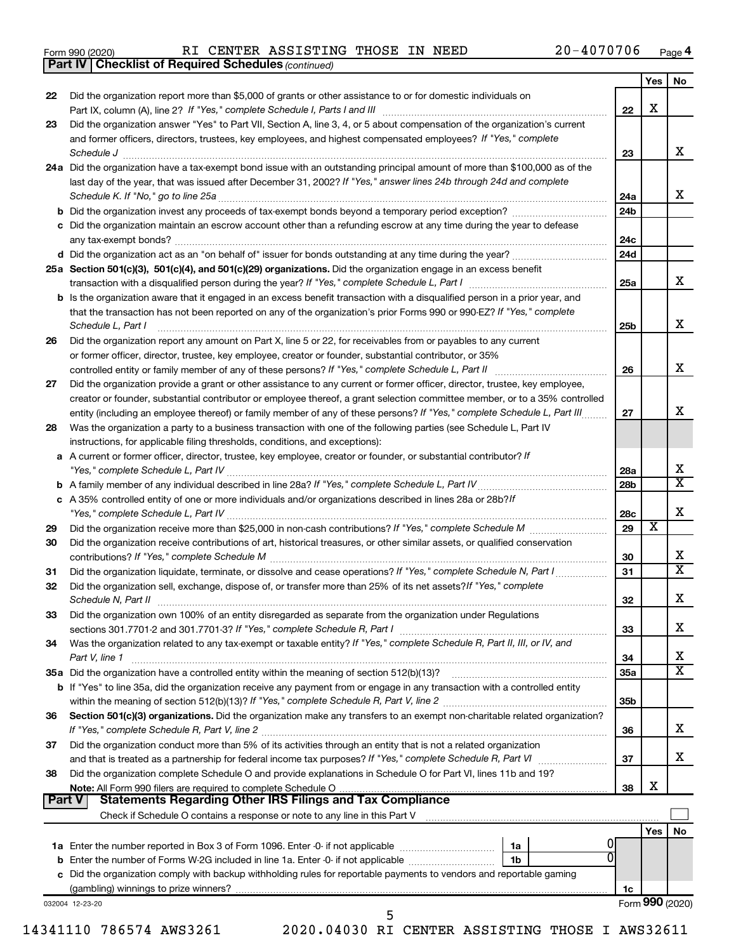|  | Form 990 (2020) |
|--|-----------------|
|  |                 |

|        | <b>Part IV   Checklist of Required Schedules (continued)</b>                                                                                                                                     |                 |                         |                         |
|--------|--------------------------------------------------------------------------------------------------------------------------------------------------------------------------------------------------|-----------------|-------------------------|-------------------------|
|        |                                                                                                                                                                                                  |                 | Yes                     | No                      |
| 22     | Did the organization report more than \$5,000 of grants or other assistance to or for domestic individuals on                                                                                    |                 |                         |                         |
|        |                                                                                                                                                                                                  | 22              | X                       |                         |
| 23     | Did the organization answer "Yes" to Part VII, Section A, line 3, 4, or 5 about compensation of the organization's current                                                                       |                 |                         |                         |
|        | and former officers, directors, trustees, key employees, and highest compensated employees? If "Yes," complete                                                                                   |                 |                         |                         |
|        |                                                                                                                                                                                                  |                 |                         | х                       |
|        | Schedule J <b>Execute J Execute 2 CONSUMER EXECUTE 2 CONSUMER EXECUTE 2 CONSUMER EXECUTE 2 CONSUMER EXECUTE 2 CONSUMER EXECUTE 2 CONSUMER EXECUTE 2 CONSUMER EXECUTE 2 CONSUMER EXECUTE 2 CO</b> | 23              |                         |                         |
|        | 24a Did the organization have a tax-exempt bond issue with an outstanding principal amount of more than \$100,000 as of the                                                                      |                 |                         |                         |
|        | last day of the year, that was issued after December 31, 2002? If "Yes," answer lines 24b through 24d and complete                                                                               |                 |                         |                         |
|        |                                                                                                                                                                                                  | 24a             |                         | x                       |
|        |                                                                                                                                                                                                  | 24 <sub>b</sub> |                         |                         |
|        | c Did the organization maintain an escrow account other than a refunding escrow at any time during the year to defease                                                                           |                 |                         |                         |
|        |                                                                                                                                                                                                  | 24c             |                         |                         |
|        |                                                                                                                                                                                                  | 24d             |                         |                         |
|        | 25a Section 501(c)(3), 501(c)(4), and 501(c)(29) organizations. Did the organization engage in an excess benefit                                                                                 |                 |                         |                         |
|        |                                                                                                                                                                                                  | 25a             |                         | x                       |
|        | <b>b</b> Is the organization aware that it engaged in an excess benefit transaction with a disqualified person in a prior year, and                                                              |                 |                         |                         |
|        | that the transaction has not been reported on any of the organization's prior Forms 990 or 990-EZ? If "Yes," complete                                                                            |                 |                         |                         |
|        | Schedule L, Part I                                                                                                                                                                               | 25b             |                         | x                       |
| 26     | Did the organization report any amount on Part X, line 5 or 22, for receivables from or payables to any current                                                                                  |                 |                         |                         |
|        | or former officer, director, trustee, key employee, creator or founder, substantial contributor, or 35%                                                                                          |                 |                         |                         |
|        |                                                                                                                                                                                                  |                 |                         | х                       |
|        |                                                                                                                                                                                                  | 26              |                         |                         |
| 27     | Did the organization provide a grant or other assistance to any current or former officer, director, trustee, key employee,                                                                      |                 |                         |                         |
|        | creator or founder, substantial contributor or employee thereof, a grant selection committee member, or to a 35% controlled                                                                      |                 |                         |                         |
|        | entity (including an employee thereof) or family member of any of these persons? If "Yes," complete Schedule L, Part III.                                                                        | 27              |                         | х                       |
| 28     | Was the organization a party to a business transaction with one of the following parties (see Schedule L, Part IV                                                                                |                 |                         |                         |
|        | instructions, for applicable filing thresholds, conditions, and exceptions):                                                                                                                     |                 |                         |                         |
| а      | A current or former officer, director, trustee, key employee, creator or founder, or substantial contributor? If                                                                                 |                 |                         |                         |
|        |                                                                                                                                                                                                  | 28a             |                         | X                       |
|        |                                                                                                                                                                                                  | 28 <sub>b</sub> |                         | $\overline{\text{X}}$   |
|        | c A 35% controlled entity of one or more individuals and/or organizations described in lines 28a or 28b?/f                                                                                       |                 |                         |                         |
|        |                                                                                                                                                                                                  | 28c             |                         | X                       |
| 29     |                                                                                                                                                                                                  | 29              | $\overline{\textbf{x}}$ |                         |
| 30     | Did the organization receive contributions of art, historical treasures, or other similar assets, or qualified conservation                                                                      |                 |                         |                         |
|        |                                                                                                                                                                                                  | 30              |                         | х                       |
| 31     | Did the organization liquidate, terminate, or dissolve and cease operations? If "Yes," complete Schedule N, Part I                                                                               | 31              |                         | X                       |
| 32     | Did the organization sell, exchange, dispose of, or transfer more than 25% of its net assets? If "Yes," complete                                                                                 |                 |                         |                         |
|        | Schedule N, Part II                                                                                                                                                                              | 32              |                         | Χ                       |
|        | Did the organization own 100% of an entity disregarded as separate from the organization under Regulations                                                                                       |                 |                         |                         |
| 33     |                                                                                                                                                                                                  |                 |                         | x.                      |
|        |                                                                                                                                                                                                  | 33              |                         |                         |
| 34     | Was the organization related to any tax-exempt or taxable entity? If "Yes," complete Schedule R, Part II, III, or IV, and                                                                        |                 |                         |                         |
|        | Part V, line 1                                                                                                                                                                                   | 34              |                         | х                       |
|        |                                                                                                                                                                                                  | <b>35a</b>      |                         | $\overline{\textbf{X}}$ |
|        | b If "Yes" to line 35a, did the organization receive any payment from or engage in any transaction with a controlled entity                                                                      |                 |                         |                         |
|        |                                                                                                                                                                                                  | 35b             |                         |                         |
| 36     | Section 501(c)(3) organizations. Did the organization make any transfers to an exempt non-charitable related organization?                                                                       |                 |                         |                         |
|        |                                                                                                                                                                                                  | 36              |                         | х                       |
| 37     | Did the organization conduct more than 5% of its activities through an entity that is not a related organization                                                                                 |                 |                         |                         |
|        |                                                                                                                                                                                                  | 37              |                         | x                       |
| 38     | Did the organization complete Schedule O and provide explanations in Schedule O for Part VI, lines 11b and 19?                                                                                   |                 |                         |                         |
|        |                                                                                                                                                                                                  | 38              | х                       |                         |
| Part V | <b>Statements Regarding Other IRS Filings and Tax Compliance</b>                                                                                                                                 |                 |                         |                         |
|        |                                                                                                                                                                                                  |                 |                         |                         |
|        |                                                                                                                                                                                                  |                 | Yes                     | No                      |
|        | 1a                                                                                                                                                                                               |                 |                         |                         |
|        | 1b                                                                                                                                                                                               |                 |                         |                         |
|        | c Did the organization comply with backup withholding rules for reportable payments to vendors and reportable gaming                                                                             |                 |                         |                         |
|        |                                                                                                                                                                                                  | 1c              |                         |                         |
|        | 032004 12-23-20                                                                                                                                                                                  |                 |                         | Form 990 (2020)         |
|        | 5                                                                                                                                                                                                |                 |                         |                         |
|        |                                                                                                                                                                                                  |                 |                         |                         |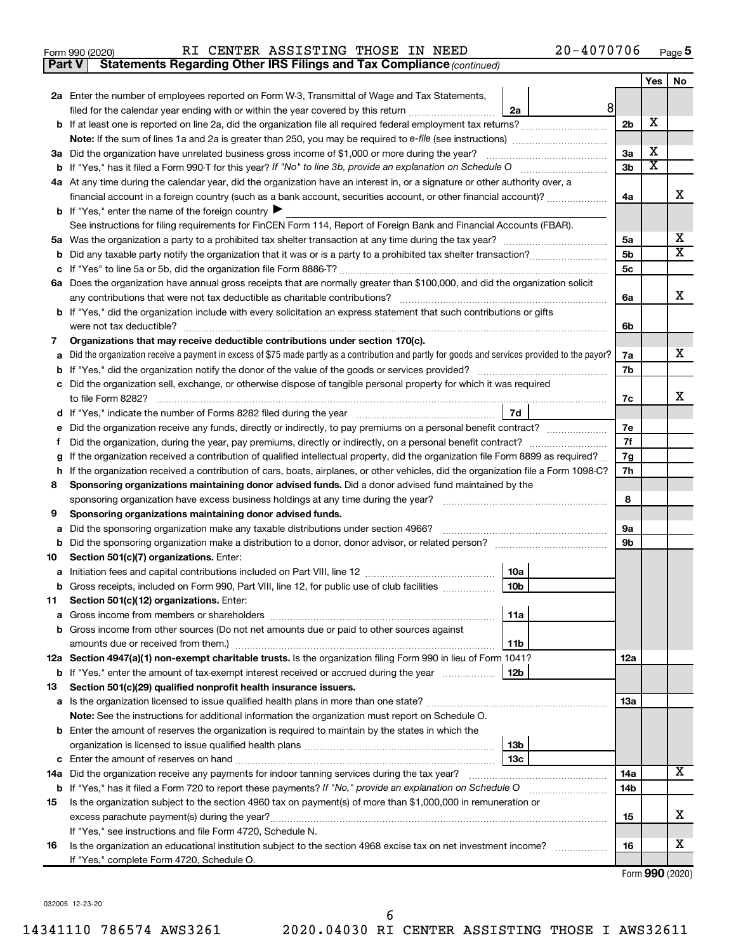|  | Form 990 (2020) |
|--|-----------------|
|  |                 |

**Part V** Statements Regarding Other IRS Filings and Tax Compliance (continued)

|        |                                                                                                                                                                                                                                                  |                | Yes   No |   |
|--------|--------------------------------------------------------------------------------------------------------------------------------------------------------------------------------------------------------------------------------------------------|----------------|----------|---|
|        | 2a Enter the number of employees reported on Form W-3, Transmittal of Wage and Tax Statements,                                                                                                                                                   |                |          |   |
|        | 8 <sup>1</sup><br>filed for the calendar year ending with or within the year covered by this return <i>[[[[[[[[[[[[[[]]]]</i> ]]<br>2a                                                                                                           |                |          |   |
|        |                                                                                                                                                                                                                                                  | 2 <sub>b</sub> | х        |   |
|        | Note: If the sum of lines 1a and 2a is greater than 250, you may be required to e-file (see instructions) <i></i>                                                                                                                                |                |          |   |
|        | 3a Did the organization have unrelated business gross income of \$1,000 or more during the year?                                                                                                                                                 | 3a             | х        |   |
|        |                                                                                                                                                                                                                                                  | 3b             | x        |   |
|        | 4a At any time during the calendar year, did the organization have an interest in, or a signature or other authority over, a                                                                                                                     |                |          |   |
|        | financial account in a foreign country (such as a bank account, securities account, or other financial account)?                                                                                                                                 | 4a             |          | x |
|        | <b>b</b> If "Yes," enter the name of the foreign country $\blacktriangleright$                                                                                                                                                                   |                |          |   |
|        | See instructions for filing requirements for FinCEN Form 114, Report of Foreign Bank and Financial Accounts (FBAR).                                                                                                                              |                |          |   |
|        |                                                                                                                                                                                                                                                  | 5a             |          | x |
| b      |                                                                                                                                                                                                                                                  | 5 <sub>b</sub> |          | X |
| с      |                                                                                                                                                                                                                                                  | 5с             |          |   |
|        | 6a Does the organization have annual gross receipts that are normally greater than \$100,000, and did the organization solicit                                                                                                                   |                |          |   |
|        |                                                                                                                                                                                                                                                  | 6a             |          | x |
|        | <b>b</b> If "Yes," did the organization include with every solicitation an express statement that such contributions or gifts                                                                                                                    |                |          |   |
|        | were not tax deductible?                                                                                                                                                                                                                         | 6b             |          |   |
| 7      | Organizations that may receive deductible contributions under section 170(c).                                                                                                                                                                    |                |          |   |
| а      | Did the organization receive a payment in excess of \$75 made partly as a contribution and partly for goods and services provided to the payor?                                                                                                  | 7a             |          | x |
|        |                                                                                                                                                                                                                                                  | 7b             |          |   |
| с      | Did the organization sell, exchange, or otherwise dispose of tangible personal property for which it was required                                                                                                                                |                |          | x |
|        |                                                                                                                                                                                                                                                  | 7c             |          |   |
|        | 7d<br>d If "Yes," indicate the number of Forms 8282 filed during the year [11, 11, 11, 11, 11, 11]                                                                                                                                               |                |          |   |
| е      | Did the organization receive any funds, directly or indirectly, to pay premiums on a personal benefit contract?                                                                                                                                  | 7е<br>7f       |          |   |
| f.     | Did the organization, during the year, pay premiums, directly or indirectly, on a personal benefit contract?<br>If the organization received a contribution of qualified intellectual property, did the organization file Form 8899 as required? | 7g             |          |   |
| g<br>h | If the organization received a contribution of cars, boats, airplanes, or other vehicles, did the organization file a Form 1098-C?                                                                                                               | 7h             |          |   |
| 8      | Sponsoring organizations maintaining donor advised funds. Did a donor advised fund maintained by the                                                                                                                                             |                |          |   |
|        |                                                                                                                                                                                                                                                  | 8              |          |   |
| 9      | Sponsoring organizations maintaining donor advised funds.                                                                                                                                                                                        |                |          |   |
| a      | Did the sponsoring organization make any taxable distributions under section 4966?                                                                                                                                                               | <b>9a</b>      |          |   |
|        | b Did the sponsoring organization make a distribution to a donor, donor advisor, or related person?                                                                                                                                              | 9b             |          |   |
| 10     | Section 501(c)(7) organizations. Enter:                                                                                                                                                                                                          |                |          |   |
|        | 10a                                                                                                                                                                                                                                              |                |          |   |
|        | 10 <sub>b</sub><br>b Gross receipts, included on Form 990, Part VIII, line 12, for public use of club facilities                                                                                                                                 |                |          |   |
|        | 11 Section 501(c)(12) organizations. Enter:                                                                                                                                                                                                      |                |          |   |
|        | 11a                                                                                                                                                                                                                                              |                |          |   |
|        | <b>b</b> Gross income from other sources (Do not net amounts due or paid to other sources against                                                                                                                                                |                |          |   |
|        | 11 <sub>b</sub>                                                                                                                                                                                                                                  |                |          |   |
|        | 12a Section 4947(a)(1) non-exempt charitable trusts. Is the organization filing Form 990 in lieu of Form 1041?                                                                                                                                   | 12a            |          |   |
|        | b If "Yes," enter the amount of tax-exempt interest received or accrued during the year<br>12b                                                                                                                                                   |                |          |   |
| 13     | Section 501(c)(29) qualified nonprofit health insurance issuers.                                                                                                                                                                                 |                |          |   |
|        | a Is the organization licensed to issue qualified health plans in more than one state?                                                                                                                                                           | 13a            |          |   |
|        | Note: See the instructions for additional information the organization must report on Schedule O.                                                                                                                                                |                |          |   |
|        | <b>b</b> Enter the amount of reserves the organization is required to maintain by the states in which the                                                                                                                                        |                |          |   |
|        | 13 <sub>b</sub>                                                                                                                                                                                                                                  |                |          |   |
|        | 13с                                                                                                                                                                                                                                              |                |          | x |
|        | 14a Did the organization receive any payments for indoor tanning services during the tax year?                                                                                                                                                   | 14a            |          |   |
|        | <b>b</b> If "Yes," has it filed a Form 720 to report these payments? If "No," provide an explanation on Schedule O                                                                                                                               | 14b            |          |   |
| 15     | Is the organization subject to the section 4960 tax on payment(s) of more than \$1,000,000 in remuneration or                                                                                                                                    |                |          | x |
|        |                                                                                                                                                                                                                                                  | 15             |          |   |
|        | If "Yes," see instructions and file Form 4720, Schedule N.                                                                                                                                                                                       | 16             |          | x |
| 16     | Is the organization an educational institution subject to the section 4968 excise tax on net investment income?<br>If "Yes," complete Form 4720, Schedule O.                                                                                     |                |          |   |
|        |                                                                                                                                                                                                                                                  |                |          |   |

Form (2020) **990**

032005 12-23-20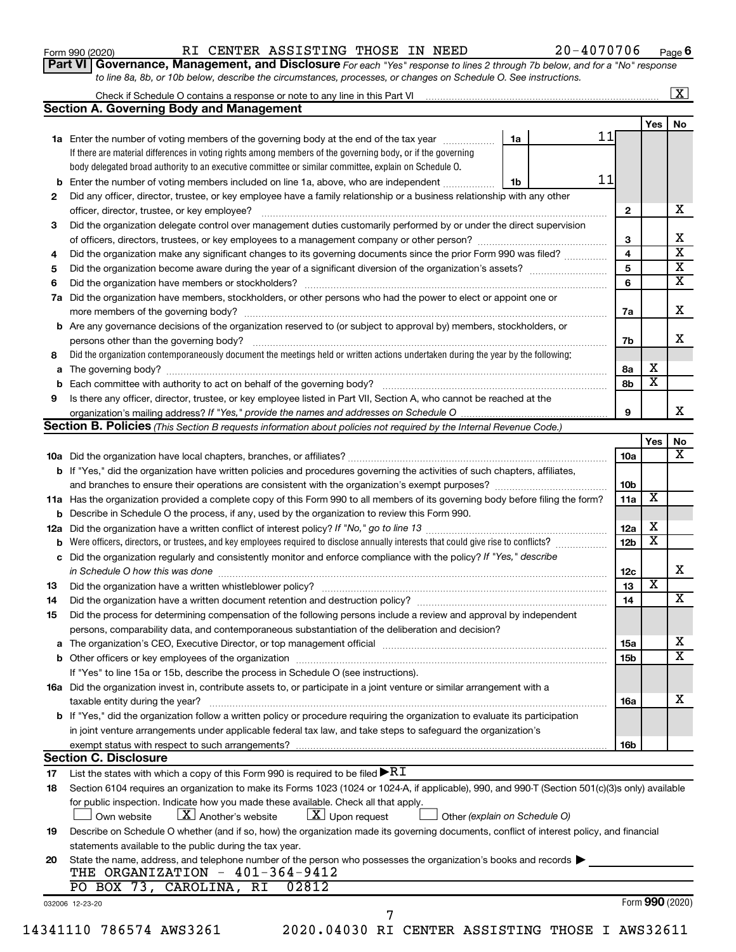|  |  |  | Form 990 (2020) |
|--|--|--|-----------------|
|--|--|--|-----------------|

**Part VI** Governance, Management, and Disclosure For each "Yes" response to lines 2 through 7b below, and for a "No" response *to line 8a, 8b, or 10b below, describe the circumstances, processes, or changes on Schedule O. See instructions.*

|                |                                                                                                                                                                                                                                | Check if Schedule O contains a response or note to any line in this Part VI [11] [12] [12] Check if Schedule O contains a response or note to any line in this Part VI |                 |                         | $\mathbf{X}$            |
|----------------|--------------------------------------------------------------------------------------------------------------------------------------------------------------------------------------------------------------------------------|------------------------------------------------------------------------------------------------------------------------------------------------------------------------|-----------------|-------------------------|-------------------------|
|                | <b>Section A. Governing Body and Management</b>                                                                                                                                                                                |                                                                                                                                                                        |                 |                         |                         |
|                |                                                                                                                                                                                                                                |                                                                                                                                                                        |                 | Yes                     | No                      |
|                | 1a Enter the number of voting members of the governing body at the end of the tax year                                                                                                                                         | 11<br>1a                                                                                                                                                               |                 |                         |                         |
|                | If there are material differences in voting rights among members of the governing body, or if the governing                                                                                                                    |                                                                                                                                                                        |                 |                         |                         |
|                | body delegated broad authority to an executive committee or similar committee, explain on Schedule O.                                                                                                                          |                                                                                                                                                                        |                 |                         |                         |
| b              | Enter the number of voting members included on line 1a, above, who are independent                                                                                                                                             | 11<br>1b                                                                                                                                                               |                 |                         |                         |
| 2              | Did any officer, director, trustee, or key employee have a family relationship or a business relationship with any other                                                                                                       |                                                                                                                                                                        |                 |                         |                         |
|                | officer, director, trustee, or key employee?                                                                                                                                                                                   |                                                                                                                                                                        | $\mathbf{2}$    |                         | х                       |
| 3              | Did the organization delegate control over management duties customarily performed by or under the direct supervision                                                                                                          |                                                                                                                                                                        |                 |                         |                         |
|                |                                                                                                                                                                                                                                |                                                                                                                                                                        | 3               |                         | х                       |
| 4              | Did the organization make any significant changes to its governing documents since the prior Form 990 was filed?                                                                                                               |                                                                                                                                                                        | 4               |                         | $\overline{\mathbf{x}}$ |
| 5              |                                                                                                                                                                                                                                |                                                                                                                                                                        | 5               |                         | $\overline{\mathbf{x}}$ |
| 6              |                                                                                                                                                                                                                                |                                                                                                                                                                        | 6               |                         | $\overline{\mathbf{x}}$ |
| 7a             | Did the organization have members, stockholders, or other persons who had the power to elect or appoint one or                                                                                                                 |                                                                                                                                                                        |                 |                         |                         |
|                |                                                                                                                                                                                                                                |                                                                                                                                                                        | 7a              |                         | X                       |
| b              | Are any governance decisions of the organization reserved to (or subject to approval by) members, stockholders, or                                                                                                             |                                                                                                                                                                        |                 |                         |                         |
|                |                                                                                                                                                                                                                                |                                                                                                                                                                        | 7b              |                         | x                       |
|                | Did the organization contemporaneously document the meetings held or written actions undertaken during the year by the following:                                                                                              |                                                                                                                                                                        |                 |                         |                         |
| 8              |                                                                                                                                                                                                                                |                                                                                                                                                                        |                 | х                       |                         |
| а              |                                                                                                                                                                                                                                |                                                                                                                                                                        | 8a              | $\overline{\mathbf{x}}$ |                         |
|                |                                                                                                                                                                                                                                |                                                                                                                                                                        | 8b              |                         |                         |
| 9              | Is there any officer, director, trustee, or key employee listed in Part VII, Section A, who cannot be reached at the                                                                                                           |                                                                                                                                                                        |                 |                         |                         |
|                |                                                                                                                                                                                                                                |                                                                                                                                                                        | 9               |                         | х                       |
|                | <b>Section B. Policies</b> (This Section B requests information about policies not required by the Internal Revenue Code.)                                                                                                     |                                                                                                                                                                        |                 |                         |                         |
|                |                                                                                                                                                                                                                                |                                                                                                                                                                        |                 | Yes                     | No<br>х                 |
|                |                                                                                                                                                                                                                                |                                                                                                                                                                        | 10a             |                         |                         |
|                | <b>b</b> If "Yes," did the organization have written policies and procedures governing the activities of such chapters, affiliates,                                                                                            |                                                                                                                                                                        |                 |                         |                         |
|                |                                                                                                                                                                                                                                |                                                                                                                                                                        | 10b             |                         |                         |
|                | 11a Has the organization provided a complete copy of this Form 990 to all members of its governing body before filing the form?                                                                                                |                                                                                                                                                                        | 11a             | X                       |                         |
|                | Describe in Schedule O the process, if any, used by the organization to review this Form 990.                                                                                                                                  |                                                                                                                                                                        |                 |                         |                         |
| 12a            |                                                                                                                                                                                                                                |                                                                                                                                                                        | 12a             | х                       |                         |
|                | Were officers, directors, or trustees, and key employees required to disclose annually interests that could give rise to conflicts?                                                                                            |                                                                                                                                                                        | 12 <sub>b</sub> | X                       |                         |
| с              | Did the organization regularly and consistently monitor and enforce compliance with the policy? If "Yes," describe                                                                                                             |                                                                                                                                                                        |                 |                         |                         |
|                | in Schedule O how this was done manufactured and continuum and contact the was done manufactured and contact t                                                                                                                 |                                                                                                                                                                        | 12c             |                         | х                       |
| 13             |                                                                                                                                                                                                                                |                                                                                                                                                                        | 13              | $\overline{\textbf{x}}$ |                         |
| 14             |                                                                                                                                                                                                                                |                                                                                                                                                                        | 14              |                         | x                       |
| 15             | Did the process for determining compensation of the following persons include a review and approval by independent                                                                                                             |                                                                                                                                                                        |                 |                         |                         |
|                | persons, comparability data, and contemporaneous substantiation of the deliberation and decision?                                                                                                                              |                                                                                                                                                                        |                 |                         |                         |
| а              | The organization's CEO, Executive Director, or top management official [111] [12] manument content or organization's CEO, Executive Director, or top management official [11] manument content or or or or or or or or or or o |                                                                                                                                                                        | 15a             |                         | x                       |
|                |                                                                                                                                                                                                                                |                                                                                                                                                                        | 15b             |                         | $\mathbf x$             |
|                | If "Yes" to line 15a or 15b, describe the process in Schedule O (see instructions).                                                                                                                                            |                                                                                                                                                                        |                 |                         |                         |
|                | 16a Did the organization invest in, contribute assets to, or participate in a joint venture or similar arrangement with a                                                                                                      |                                                                                                                                                                        |                 |                         |                         |
|                | taxable entity during the year?                                                                                                                                                                                                |                                                                                                                                                                        | 16a             |                         | x                       |
|                | b If "Yes," did the organization follow a written policy or procedure requiring the organization to evaluate its participation                                                                                                 |                                                                                                                                                                        |                 |                         |                         |
|                |                                                                                                                                                                                                                                |                                                                                                                                                                        |                 |                         |                         |
|                | in joint venture arrangements under applicable federal tax law, and take steps to safeguard the organization's                                                                                                                 |                                                                                                                                                                        |                 |                         |                         |
|                | exempt status with respect to such arrangements?                                                                                                                                                                               |                                                                                                                                                                        | 16b             |                         |                         |
|                | <b>Section C. Disclosure</b>                                                                                                                                                                                                   |                                                                                                                                                                        |                 |                         |                         |
| 17             | List the states with which a copy of this Form 990 is required to be filed $\blacktriangleright\mathrm{R}\mathrm{I}$                                                                                                           |                                                                                                                                                                        |                 |                         |                         |
|                | Section 6104 requires an organization to make its Forms 1023 (1024 or 1024-A, if applicable), 990, and 990-T (Section 501(c)(3)s only) available                                                                               |                                                                                                                                                                        |                 |                         |                         |
|                |                                                                                                                                                                                                                                |                                                                                                                                                                        |                 |                         |                         |
|                | for public inspection. Indicate how you made these available. Check all that apply.                                                                                                                                            |                                                                                                                                                                        |                 |                         |                         |
|                | $\lfloor x \rfloor$ Upon request<br>$ \mathbf{X} $ Another's website<br>Own website                                                                                                                                            | Other (explain on Schedule O)                                                                                                                                          |                 |                         |                         |
|                | Describe on Schedule O whether (and if so, how) the organization made its governing documents, conflict of interest policy, and financial                                                                                      |                                                                                                                                                                        |                 |                         |                         |
|                | statements available to the public during the tax year.                                                                                                                                                                        |                                                                                                                                                                        |                 |                         |                         |
|                | State the name, address, and telephone number of the person who possesses the organization's books and records $\blacktriangleright$                                                                                           |                                                                                                                                                                        |                 |                         |                         |
|                | THE ORGANIZATION - 401-364-9412                                                                                                                                                                                                |                                                                                                                                                                        |                 |                         |                         |
|                | PO BOX 73, CAROLINA, RI<br>02812                                                                                                                                                                                               |                                                                                                                                                                        |                 |                         |                         |
| 18<br>19<br>20 | 032006 12-23-20<br>7                                                                                                                                                                                                           |                                                                                                                                                                        |                 | Form 990 (2020)         |                         |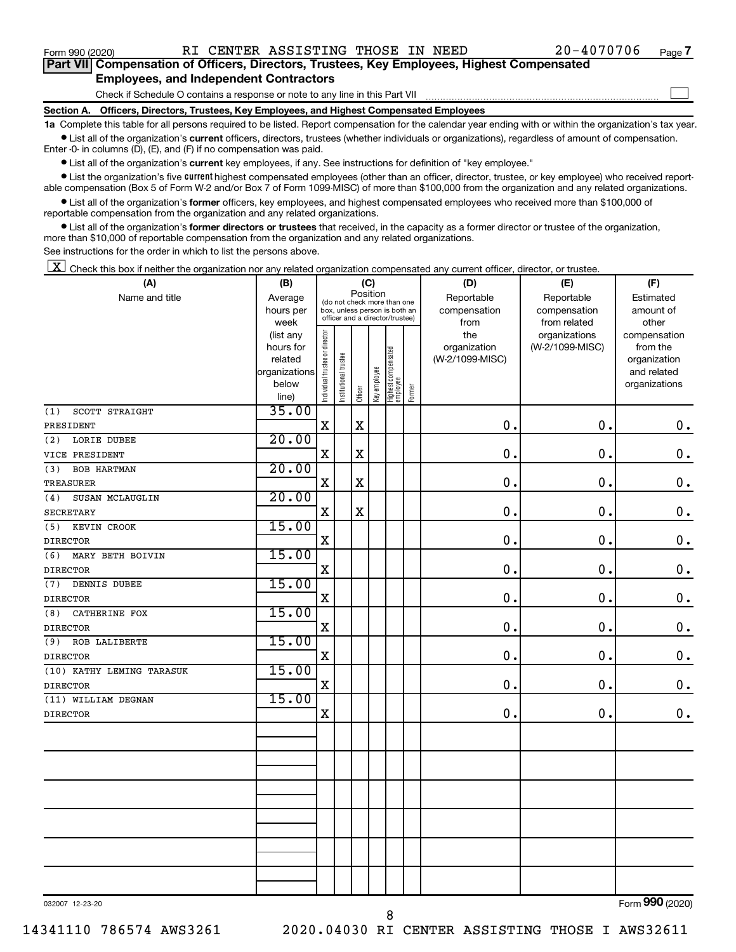$\Box$ 

| Part VII Compensation of Officers, Directors, Trustees, Key Employees, Highest Compensated |
|--------------------------------------------------------------------------------------------|
| <b>Employees, and Independent Contractors</b>                                              |

Check if Schedule O contains a response or note to any line in this Part VII

**Section A. Officers, Directors, Trustees, Key Employees, and Highest Compensated Employees**

**1a**  Complete this table for all persons required to be listed. Report compensation for the calendar year ending with or within the organization's tax year.  $\bullet$  List all of the organization's current officers, directors, trustees (whether individuals or organizations), regardless of amount of compensation.

Enter -0- in columns (D), (E), and (F) if no compensation was paid.

**•** List all of the organization's current key employees, if any. See instructions for definition of "key employee."

• List the organization's five *current* highest compensated employees (other than an officer, director, trustee, or key employee) who received reportable compensation (Box 5 of Form W-2 and/or Box 7 of Form 1099-MISC) of more than \$100,000 from the organization and any related organizations.

 $\bullet$  List all of the organization's former officers, key employees, and highest compensated employees who received more than \$100,000 of reportable compensation from the organization and any related organizations.

**•** List all of the organization's former directors or trustees that received, in the capacity as a former director or trustee of the organization, more than \$10,000 of reportable compensation from the organization and any related organizations.

See instructions for the order in which to list the persons above.

 $\boxed{\textbf{X}}$  Check this box if neither the organization nor any related organization compensated any current officer, director, or trustee.

| (A)                       | (B)                    |                                |                                 | (C)         |              |                                   |        | (D)             | (E)             | (F)                                               |
|---------------------------|------------------------|--------------------------------|---------------------------------|-------------|--------------|-----------------------------------|--------|-----------------|-----------------|---------------------------------------------------|
| Name and title            | Average                |                                | (do not check more than one     | Position    |              |                                   |        | Reportable      | Reportable      | Estimated                                         |
|                           | hours per              |                                | box, unless person is both an   |             |              |                                   |        | compensation    | compensation    | amount of                                         |
|                           | week                   |                                | officer and a director/trustee) |             |              |                                   |        | from            | from related    | other                                             |
|                           | (list any              |                                |                                 |             |              |                                   |        | the             | organizations   | compensation                                      |
|                           | hours for              | Individual trustee or director |                                 |             |              |                                   |        | organization    | (W-2/1099-MISC) | from the                                          |
|                           | related                |                                |                                 |             |              |                                   |        | (W-2/1099-MISC) |                 | organization                                      |
|                           | organizations<br>below |                                |                                 |             |              |                                   |        |                 |                 | and related<br>organizations                      |
|                           | line)                  |                                | Institutional trustee           | Officer     | Key employee | Highest compensated<br>  employee | Former |                 |                 |                                                   |
| SCOTT STRAIGHT<br>(1)     | 35.00                  |                                |                                 |             |              |                                   |        |                 |                 |                                                   |
| PRESIDENT                 |                        | $\mathbf X$                    |                                 | $\mathbf X$ |              |                                   |        | $\mathbf 0$ .   | 0.              | $\mathbf 0$ .                                     |
| LORIE DUBEE<br>(2)        | 20.00                  |                                |                                 |             |              |                                   |        |                 |                 |                                                   |
| VICE PRESIDENT            |                        | $\mathbf X$                    |                                 | $\rm X$     |              |                                   |        | $\mathbf 0$ .   | 0.              | $\mathbf 0$ .                                     |
| <b>BOB HARTMAN</b><br>(3) | 20.00                  |                                |                                 |             |              |                                   |        |                 |                 |                                                   |
| <b>TREASURER</b>          |                        | $\mathbf X$                    |                                 | $\mathbf X$ |              |                                   |        | $\mathbf 0$ .   | $\mathbf 0$     | $\mathbf 0$ .                                     |
| SUSAN MCLAUGLIN<br>(4)    | 20.00                  |                                |                                 |             |              |                                   |        |                 |                 |                                                   |
| <b>SECRETARY</b>          |                        | $\mathbf X$                    |                                 | $\mathbf X$ |              |                                   |        | $\mathbf 0$ .   | $\mathbf 0$ .   | $\mathbf 0$ .                                     |
| KEVIN CROOK<br>(5)        | 15.00                  |                                |                                 |             |              |                                   |        |                 |                 |                                                   |
| <b>DIRECTOR</b>           |                        | X                              |                                 |             |              |                                   |        | $\mathbf 0$ .   | 0.              | $\mathbf 0$ .                                     |
| (6)<br>MARY BETH BOIVIN   | 15.00                  |                                |                                 |             |              |                                   |        |                 |                 |                                                   |
| <b>DIRECTOR</b>           |                        | $\mathbf X$                    |                                 |             |              |                                   |        | $\mathbf 0$ .   | $\mathbf 0$ .   | $\mathbf 0$ .                                     |
| DENNIS DUBEE<br>(7)       | 15.00                  |                                |                                 |             |              |                                   |        |                 |                 |                                                   |
| <b>DIRECTOR</b>           |                        | X                              |                                 |             |              |                                   |        | $\mathbf 0$ .   | 0.              | $\mathbf 0$ .                                     |
| (8)<br>CATHERINE FOX      | 15.00                  |                                |                                 |             |              |                                   |        |                 |                 |                                                   |
| <b>DIRECTOR</b>           |                        | $\mathbf X$                    |                                 |             |              |                                   |        | 0.              | $\mathbf 0$ .   | $\mathbf 0$ .                                     |
| (9)<br>ROB LALIBERTE      | 15.00                  |                                |                                 |             |              |                                   |        |                 |                 |                                                   |
| <b>DIRECTOR</b>           |                        | $\mathbf X$                    |                                 |             |              |                                   |        | 0.              | 0.              | $\mathbf 0$ .                                     |
| (10) KATHY LEMING TARASUK | 15.00                  |                                |                                 |             |              |                                   |        |                 |                 |                                                   |
| <b>DIRECTOR</b>           |                        | $\mathbf X$                    |                                 |             |              |                                   |        | $\mathbf 0$ .   | $\mathbf 0$ .   | $\mathbf 0$ .                                     |
| (11) WILLIAM DEGNAN       | 15.00                  |                                |                                 |             |              |                                   |        |                 |                 |                                                   |
| <b>DIRECTOR</b>           |                        | X                              |                                 |             |              |                                   |        | $\mathbf 0$     | 0.              | $\mathbf 0$ .                                     |
|                           |                        |                                |                                 |             |              |                                   |        |                 |                 |                                                   |
|                           |                        |                                |                                 |             |              |                                   |        |                 |                 |                                                   |
|                           |                        |                                |                                 |             |              |                                   |        |                 |                 |                                                   |
|                           |                        |                                |                                 |             |              |                                   |        |                 |                 |                                                   |
|                           |                        |                                |                                 |             |              |                                   |        |                 |                 |                                                   |
|                           |                        |                                |                                 |             |              |                                   |        |                 |                 |                                                   |
|                           |                        |                                |                                 |             |              |                                   |        |                 |                 |                                                   |
|                           |                        |                                |                                 |             |              |                                   |        |                 |                 |                                                   |
|                           |                        |                                |                                 |             |              |                                   |        |                 |                 |                                                   |
|                           |                        |                                |                                 |             |              |                                   |        |                 |                 |                                                   |
|                           |                        |                                |                                 |             |              |                                   |        |                 |                 | $000 \times 000$<br>$\mathbf{r}$ and $\mathbf{r}$ |

032007 12-23-20

Form (2020) **990**

8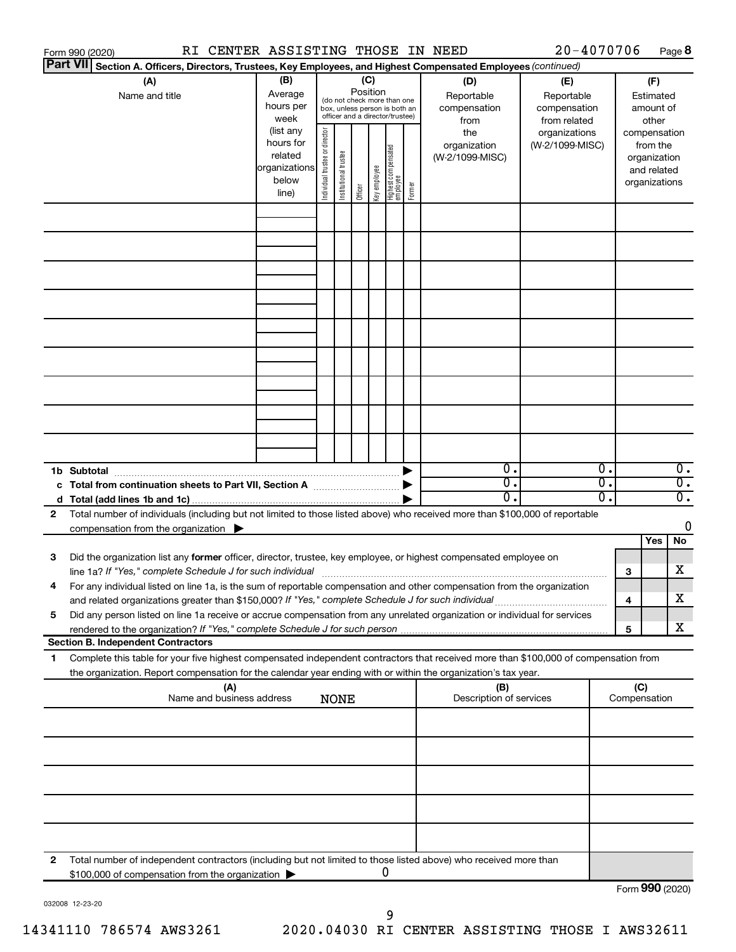|                 | RI CENTER ASSISTING THOSE IN NEED<br>Form 990 (2020)                                                                                                                                                                            |                                                                      |                                |                       |          |              |                                                                                                 |        |                                                                                                | 20-4070706                       |          |                               |                                         | Page 8                               |
|-----------------|---------------------------------------------------------------------------------------------------------------------------------------------------------------------------------------------------------------------------------|----------------------------------------------------------------------|--------------------------------|-----------------------|----------|--------------|-------------------------------------------------------------------------------------------------|--------|------------------------------------------------------------------------------------------------|----------------------------------|----------|-------------------------------|-----------------------------------------|--------------------------------------|
| <b>Part VII</b> | Section A. Officers, Directors, Trustees, Key Employees, and Highest Compensated Employees (continued)                                                                                                                          |                                                                      |                                |                       |          |              |                                                                                                 |        |                                                                                                |                                  |          |                               |                                         |                                      |
|                 | (A)<br>Name and title                                                                                                                                                                                                           | (B)<br>Average<br>hours per<br>week                                  |                                |                       | Position | (C)          | (do not check more than one<br>box, unless person is both an<br>officer and a director/trustee) |        | (D)<br>(E)<br>Reportable<br>Reportable<br>compensation<br>compensation<br>from related<br>from |                                  |          |                               | (F)<br>Estimated<br>amount of<br>other  |                                      |
|                 |                                                                                                                                                                                                                                 | (list any<br>hours for<br>related<br>organizations<br>below<br>line) | Individual trustee or director | Institutional trustee | Officer  | Key employee | Highest compensated<br>  employee                                                               | Former | the<br>organization<br>(W-2/1099-MISC)                                                         | organizations<br>(W-2/1099-MISC) |          | compensation<br>organizations | from the<br>organization<br>and related |                                      |
|                 |                                                                                                                                                                                                                                 |                                                                      |                                |                       |          |              |                                                                                                 |        |                                                                                                |                                  |          |                               |                                         |                                      |
|                 |                                                                                                                                                                                                                                 |                                                                      |                                |                       |          |              |                                                                                                 |        |                                                                                                |                                  |          |                               |                                         |                                      |
|                 |                                                                                                                                                                                                                                 |                                                                      |                                |                       |          |              |                                                                                                 |        |                                                                                                |                                  |          |                               |                                         |                                      |
|                 |                                                                                                                                                                                                                                 |                                                                      |                                |                       |          |              |                                                                                                 |        |                                                                                                |                                  |          |                               |                                         |                                      |
|                 |                                                                                                                                                                                                                                 |                                                                      |                                |                       |          |              |                                                                                                 |        |                                                                                                |                                  |          |                               |                                         |                                      |
|                 | 1b Subtotal                                                                                                                                                                                                                     |                                                                      |                                |                       |          |              |                                                                                                 |        | $\mathbf{0}$ .                                                                                 |                                  | 0.       |                               |                                         | $\overline{0}$ .                     |
|                 | c Total from continuation sheets to Part VII, Section A manufactured by                                                                                                                                                         |                                                                      |                                |                       |          |              |                                                                                                 |        | $\overline{0}$ .<br>0.                                                                         |                                  | σ.<br>о. |                               |                                         | $\overline{0}$ .<br>$\overline{0}$ . |
| 2               | Total number of individuals (including but not limited to those listed above) who received more than \$100,000 of reportable<br>compensation from the organization $\blacktriangleright$                                        |                                                                      |                                |                       |          |              |                                                                                                 |        |                                                                                                |                                  |          |                               | Yes                                     | 0<br>No                              |
| 3               | Did the organization list any former officer, director, trustee, key employee, or highest compensated employee on                                                                                                               |                                                                      |                                |                       |          |              |                                                                                                 |        |                                                                                                |                                  |          | 3                             |                                         | х                                    |
|                 | For any individual listed on line 1a, is the sum of reportable compensation and other compensation from the organization<br>and related organizations greater than \$150,000? If "Yes," complete Schedule J for such individual |                                                                      |                                |                       |          |              |                                                                                                 |        |                                                                                                |                                  |          | 4                             |                                         | х                                    |
| 5               | Did any person listed on line 1a receive or accrue compensation from any unrelated organization or individual for services<br><b>Section B. Independent Contractors</b>                                                         |                                                                      |                                |                       |          |              |                                                                                                 |        |                                                                                                |                                  |          | 5                             |                                         | х                                    |
| 1.              | Complete this table for your five highest compensated independent contractors that received more than \$100,000 of compensation from                                                                                            |                                                                      |                                |                       |          |              |                                                                                                 |        |                                                                                                |                                  |          |                               |                                         |                                      |
|                 | the organization. Report compensation for the calendar year ending with or within the organization's tax year.<br>(A)<br>Name and business address                                                                              |                                                                      |                                | <b>NONE</b>           |          |              |                                                                                                 |        | (B)<br>Description of services                                                                 |                                  |          | (C)<br>Compensation           |                                         |                                      |
|                 |                                                                                                                                                                                                                                 |                                                                      |                                |                       |          |              |                                                                                                 |        |                                                                                                |                                  |          |                               |                                         |                                      |
|                 |                                                                                                                                                                                                                                 |                                                                      |                                |                       |          |              |                                                                                                 |        |                                                                                                |                                  |          |                               |                                         |                                      |
|                 |                                                                                                                                                                                                                                 |                                                                      |                                |                       |          |              |                                                                                                 |        |                                                                                                |                                  |          |                               |                                         |                                      |
|                 |                                                                                                                                                                                                                                 |                                                                      |                                |                       |          |              |                                                                                                 |        |                                                                                                |                                  |          |                               |                                         |                                      |
| 2               | Total number of independent contractors (including but not limited to those listed above) who received more than<br>\$100,000 of compensation from the organization                                                             |                                                                      |                                |                       |          |              | 0                                                                                               |        |                                                                                                |                                  |          |                               |                                         |                                      |
|                 |                                                                                                                                                                                                                                 |                                                                      |                                |                       |          |              |                                                                                                 |        |                                                                                                |                                  |          | Form 990 (2020)               |                                         |                                      |

032008 12-23-20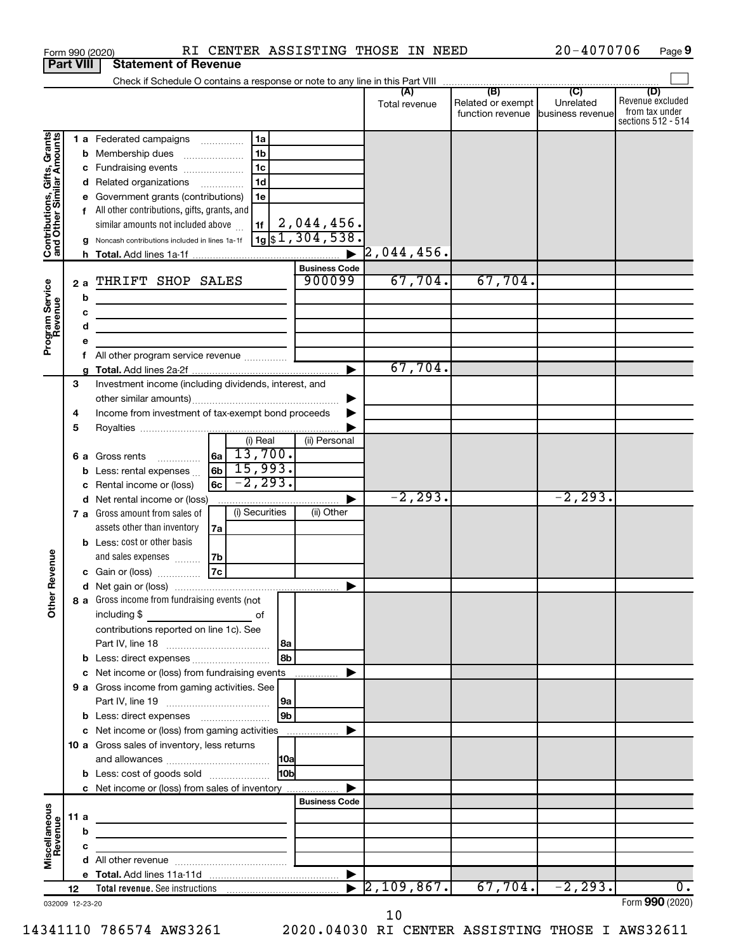|                                                           |      |   | RI CENTER ASSISTING THOSE IN NEED<br>Form 990 (2020)                                                                 |                             |                      |                   | $20 - 4070706$<br>Page 9 |                                      |  |
|-----------------------------------------------------------|------|---|----------------------------------------------------------------------------------------------------------------------|-----------------------------|----------------------|-------------------|--------------------------|--------------------------------------|--|
| <b>Part VIII</b>                                          |      |   | <b>Statement of Revenue</b>                                                                                          |                             |                      |                   |                          |                                      |  |
|                                                           |      |   |                                                                                                                      |                             |                      |                   |                          |                                      |  |
|                                                           |      |   |                                                                                                                      |                             | Total revenue        | Related or exempt | Unrelated                | (D)<br>Revenue excluded              |  |
|                                                           |      |   |                                                                                                                      |                             |                      | function revenue  | business revenue         | from tax under<br>sections 512 - 514 |  |
|                                                           |      |   |                                                                                                                      |                             |                      |                   |                          |                                      |  |
| Contributions, Gifts, Grants<br>and Other Similar Amounts |      |   | 1 a Federated campaigns<br>1a<br>1 <sub>b</sub>                                                                      |                             |                      |                   |                          |                                      |  |
|                                                           |      |   | <b>b</b> Membership dues<br>1 <sub>c</sub><br>c Fundraising events                                                   |                             |                      |                   |                          |                                      |  |
|                                                           |      |   | 1 <sub>d</sub><br>d Related organizations                                                                            |                             |                      |                   |                          |                                      |  |
|                                                           |      |   | e Government grants (contributions)<br>1e                                                                            |                             |                      |                   |                          |                                      |  |
|                                                           |      |   | f All other contributions, gifts, grants, and                                                                        |                             |                      |                   |                          |                                      |  |
|                                                           |      |   | similar amounts not included above<br>1f                                                                             | 2,044,456.                  |                      |                   |                          |                                      |  |
|                                                           |      |   | g Noncash contributions included in lines 1a-1f                                                                      | $\frac{1}{19}$ \$1,304,538. |                      |                   |                          |                                      |  |
|                                                           |      |   |                                                                                                                      |                             | $\sqrt{2}$ ,044,456. |                   |                          |                                      |  |
|                                                           |      |   |                                                                                                                      | <b>Business Code</b>        |                      |                   |                          |                                      |  |
|                                                           |      |   | 2 a THRIFT SHOP SALES                                                                                                | 900099                      | 67,704.              | 67,704.           |                          |                                      |  |
| Program Service<br>Revenue                                |      | b | <u> 1989 - Johann John Stein, markin fan de Frysk kampen oantal fan de Fryske kampen oantal fan de Fryske kampen</u> |                             |                      |                   |                          |                                      |  |
|                                                           |      | с |                                                                                                                      |                             |                      |                   |                          |                                      |  |
|                                                           |      | d |                                                                                                                      |                             |                      |                   |                          |                                      |  |
|                                                           |      | е |                                                                                                                      |                             |                      |                   |                          |                                      |  |
|                                                           |      |   | All other program service revenue                                                                                    |                             |                      |                   |                          |                                      |  |
|                                                           |      |   |                                                                                                                      |                             | 67,704.              |                   |                          |                                      |  |
|                                                           | 3    |   | Investment income (including dividends, interest, and                                                                |                             |                      |                   |                          |                                      |  |
|                                                           |      |   |                                                                                                                      |                             |                      |                   |                          |                                      |  |
|                                                           | 4    |   | Income from investment of tax-exempt bond proceeds                                                                   |                             |                      |                   |                          |                                      |  |
|                                                           | 5    |   |                                                                                                                      |                             |                      |                   |                          |                                      |  |
|                                                           |      |   | (i) Real                                                                                                             | (ii) Personal               |                      |                   |                          |                                      |  |
|                                                           |      |   | $6a \ 13,700.$<br>6 a Gross rents<br>$\overline{\phantom{a}}$                                                        |                             |                      |                   |                          |                                      |  |
|                                                           |      |   | $6b \mid 15,993.$<br><b>b</b> Less: rental expenses                                                                  |                             |                      |                   |                          |                                      |  |
|                                                           |      |   | $-2, 293.$<br>6c<br>c Rental income or (loss)                                                                        |                             |                      |                   |                          |                                      |  |
|                                                           |      |   | d Net rental income or (loss)                                                                                        |                             | $-2, 293.$           |                   | $-2, 293.$               |                                      |  |
|                                                           |      |   | (i) Securities<br>7 a Gross amount from sales of                                                                     | (ii) Other                  |                      |                   |                          |                                      |  |
|                                                           |      |   | assets other than inventory<br>7a                                                                                    |                             |                      |                   |                          |                                      |  |
|                                                           |      |   | <b>b</b> Less: cost or other basis                                                                                   |                             |                      |                   |                          |                                      |  |
| evenue                                                    |      |   | and sales expenses<br>7b<br>7c                                                                                       |                             |                      |                   |                          |                                      |  |
|                                                           |      |   | c Gain or (loss)                                                                                                     |                             |                      |                   |                          |                                      |  |
| Other R                                                   |      |   | 8 a Gross income from fundraising events (not                                                                        |                             |                      |                   |                          |                                      |  |
|                                                           |      |   | including \$<br>and the contract of the contract of                                                                  |                             |                      |                   |                          |                                      |  |
|                                                           |      |   | contributions reported on line 1c). See                                                                              |                             |                      |                   |                          |                                      |  |
|                                                           |      |   |                                                                                                                      | l 8a                        |                      |                   |                          |                                      |  |
|                                                           |      |   |                                                                                                                      | 8 <sub>b</sub>              |                      |                   |                          |                                      |  |
|                                                           |      |   | c Net income or (loss) from fundraising events                                                                       | ▶<br>.                      |                      |                   |                          |                                      |  |
|                                                           |      |   | 9 a Gross income from gaming activities. See                                                                         |                             |                      |                   |                          |                                      |  |
|                                                           |      |   |                                                                                                                      | 9a                          |                      |                   |                          |                                      |  |
|                                                           |      |   |                                                                                                                      | 9 <sub>b</sub>              |                      |                   |                          |                                      |  |
|                                                           |      |   | c Net income or (loss) from gaming activities                                                                        | ▶                           |                      |                   |                          |                                      |  |
|                                                           |      |   | <b>10 a</b> Gross sales of inventory, less returns                                                                   |                             |                      |                   |                          |                                      |  |
|                                                           |      |   |                                                                                                                      | 10a                         |                      |                   |                          |                                      |  |
|                                                           |      |   | <b>b</b> Less: cost of goods sold                                                                                    | 10 <sub>b</sub>             |                      |                   |                          |                                      |  |
|                                                           |      |   | c Net income or (loss) from sales of inventory                                                                       |                             |                      |                   |                          |                                      |  |
|                                                           |      |   |                                                                                                                      | <b>Business Code</b>        |                      |                   |                          |                                      |  |
|                                                           | 11 a |   |                                                                                                                      |                             |                      |                   |                          |                                      |  |
|                                                           |      | b |                                                                                                                      |                             |                      |                   |                          |                                      |  |
| Miscellaneous<br>Revenue                                  |      | с |                                                                                                                      |                             |                      |                   |                          |                                      |  |
|                                                           |      |   |                                                                                                                      |                             |                      |                   |                          |                                      |  |
|                                                           |      |   |                                                                                                                      | ▶                           | $[2, 109, 867]$ .    | 67,704.           |                          | о.                                   |  |
|                                                           | 12   |   |                                                                                                                      |                             |                      |                   | $-2, 293.$               | Form 990 (2020)                      |  |
| 032009 12-23-20                                           |      |   |                                                                                                                      |                             |                      |                   |                          |                                      |  |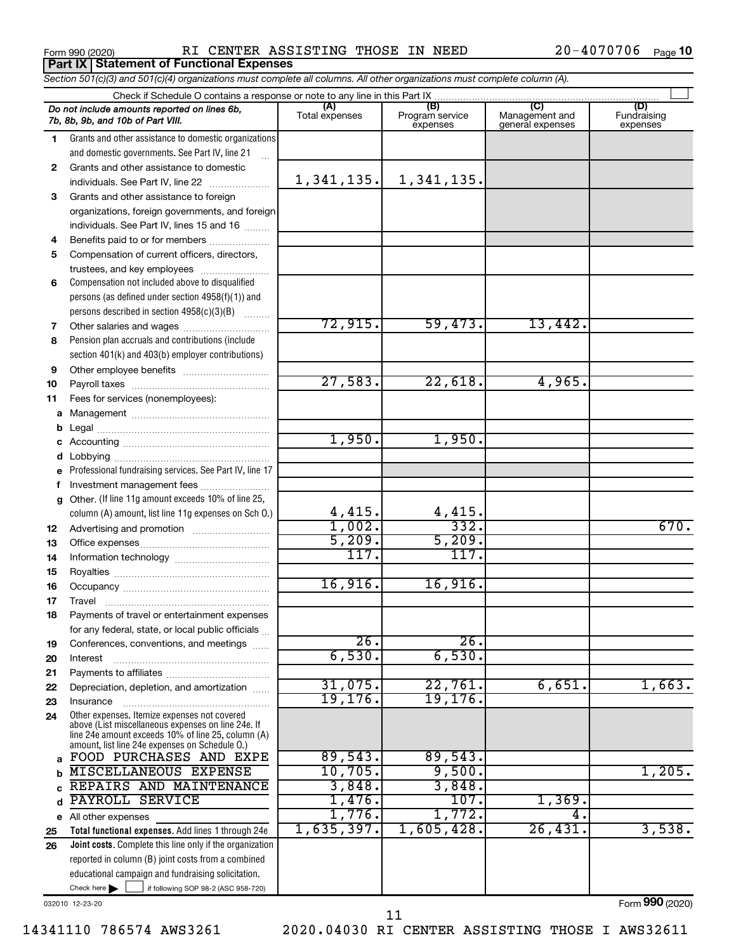**Part IX Statement of Functional Expenses**

Form 990 (2020) RI CENTER ASSISTING THOSE IN NEED 20-4070706 Page

20-4070706 Page 10

|          | Section 501(c)(3) and 501(c)(4) organizations must complete all columns. All other organizations must complete column (A).                                 |                |                                    |                                    |                                |  |  |  |  |  |  |  |
|----------|------------------------------------------------------------------------------------------------------------------------------------------------------------|----------------|------------------------------------|------------------------------------|--------------------------------|--|--|--|--|--|--|--|
|          |                                                                                                                                                            |                |                                    |                                    |                                |  |  |  |  |  |  |  |
|          | Do not include amounts reported on lines 6b,<br>7b, 8b, 9b, and 10b of Part VIII.                                                                          | Total expenses | (B)<br>Program service<br>expenses | Management and<br>general expenses | (D)<br>Fundraising<br>expenses |  |  |  |  |  |  |  |
| 1        | Grants and other assistance to domestic organizations                                                                                                      |                |                                    |                                    |                                |  |  |  |  |  |  |  |
|          | and domestic governments. See Part IV, line 21                                                                                                             |                |                                    |                                    |                                |  |  |  |  |  |  |  |
| 2        | Grants and other assistance to domestic                                                                                                                    |                |                                    |                                    |                                |  |  |  |  |  |  |  |
|          | individuals. See Part IV, line 22                                                                                                                          | 1,341,135.     | 1,341,135.                         |                                    |                                |  |  |  |  |  |  |  |
| З        | Grants and other assistance to foreign                                                                                                                     |                |                                    |                                    |                                |  |  |  |  |  |  |  |
|          | organizations, foreign governments, and foreign                                                                                                            |                |                                    |                                    |                                |  |  |  |  |  |  |  |
|          | individuals. See Part IV, lines 15 and 16                                                                                                                  |                |                                    |                                    |                                |  |  |  |  |  |  |  |
| 4        | Benefits paid to or for members                                                                                                                            |                |                                    |                                    |                                |  |  |  |  |  |  |  |
| 5        | Compensation of current officers, directors,                                                                                                               |                |                                    |                                    |                                |  |  |  |  |  |  |  |
|          | trustees, and key employees                                                                                                                                |                |                                    |                                    |                                |  |  |  |  |  |  |  |
| 6        | Compensation not included above to disqualified                                                                                                            |                |                                    |                                    |                                |  |  |  |  |  |  |  |
|          | persons (as defined under section 4958(f)(1)) and                                                                                                          |                |                                    |                                    |                                |  |  |  |  |  |  |  |
|          | persons described in section 4958(c)(3)(B)                                                                                                                 |                |                                    |                                    |                                |  |  |  |  |  |  |  |
| 7        |                                                                                                                                                            | 72,915.        | 59,473.                            | 13,442.                            |                                |  |  |  |  |  |  |  |
| 8        | Pension plan accruals and contributions (include                                                                                                           |                |                                    |                                    |                                |  |  |  |  |  |  |  |
|          | section 401(k) and 403(b) employer contributions)                                                                                                          |                |                                    |                                    |                                |  |  |  |  |  |  |  |
| 9        |                                                                                                                                                            |                |                                    |                                    |                                |  |  |  |  |  |  |  |
| 10       |                                                                                                                                                            | 27,583.        | 22,618.                            | 4,965.                             |                                |  |  |  |  |  |  |  |
| 11       | Fees for services (nonemployees):                                                                                                                          |                |                                    |                                    |                                |  |  |  |  |  |  |  |
| а        |                                                                                                                                                            |                |                                    |                                    |                                |  |  |  |  |  |  |  |
| b        |                                                                                                                                                            |                |                                    |                                    |                                |  |  |  |  |  |  |  |
|          |                                                                                                                                                            | 1,950.         | 1,950.                             |                                    |                                |  |  |  |  |  |  |  |
|          |                                                                                                                                                            |                |                                    |                                    |                                |  |  |  |  |  |  |  |
| е        | Professional fundraising services. See Part IV, line 17                                                                                                    |                |                                    |                                    |                                |  |  |  |  |  |  |  |
|          | Investment management fees                                                                                                                                 |                |                                    |                                    |                                |  |  |  |  |  |  |  |
| g        | Other. (If line 11g amount exceeds 10% of line 25,                                                                                                         |                |                                    |                                    |                                |  |  |  |  |  |  |  |
|          | column (A) amount, list line 11g expenses on Sch 0.)                                                                                                       | 4,415.         | $\frac{4,415}{332}$ .              |                                    |                                |  |  |  |  |  |  |  |
| 12       |                                                                                                                                                            | 1,002.         |                                    |                                    | 670.                           |  |  |  |  |  |  |  |
| 13       |                                                                                                                                                            | 5,209.<br>117. | 5,209.<br>117.                     |                                    |                                |  |  |  |  |  |  |  |
| 14       |                                                                                                                                                            |                |                                    |                                    |                                |  |  |  |  |  |  |  |
| 15       |                                                                                                                                                            | 16,916.        | 16,916.                            |                                    |                                |  |  |  |  |  |  |  |
| 16       |                                                                                                                                                            |                |                                    |                                    |                                |  |  |  |  |  |  |  |
| 17       |                                                                                                                                                            |                |                                    |                                    |                                |  |  |  |  |  |  |  |
| 18       | Payments of travel or entertainment expenses                                                                                                               |                |                                    |                                    |                                |  |  |  |  |  |  |  |
|          | for any federal, state, or local public officials                                                                                                          | 26.            | 26.                                |                                    |                                |  |  |  |  |  |  |  |
| 19       | Conferences, conventions, and meetings                                                                                                                     | 6,530.         | 6,530.                             |                                    |                                |  |  |  |  |  |  |  |
| 20       | Interest                                                                                                                                                   |                |                                    |                                    |                                |  |  |  |  |  |  |  |
| 21<br>22 | Depreciation, depletion, and amortization                                                                                                                  | 31,075.        | 22,761.                            | 6,651.                             | 1,663.                         |  |  |  |  |  |  |  |
|          |                                                                                                                                                            | 19, 176.       | 19, 176.                           |                                    |                                |  |  |  |  |  |  |  |
| 23<br>24 | Insurance<br>Other expenses. Itemize expenses not covered                                                                                                  |                |                                    |                                    |                                |  |  |  |  |  |  |  |
|          | above (List miscellaneous expenses on line 24e. If<br>line 24e amount exceeds 10% of line 25, column (A)<br>amount, list line 24e expenses on Schedule O.) |                |                                    |                                    |                                |  |  |  |  |  |  |  |
| a        | FOOD PURCHASES AND EXPE                                                                                                                                    | 89,543.        | 89,543.                            |                                    |                                |  |  |  |  |  |  |  |
|          | MISCELLANEOUS EXPENSE                                                                                                                                      | 10,705.        | 9,500.                             |                                    | 1,205.                         |  |  |  |  |  |  |  |
|          | REPAIRS AND MAINTENANCE                                                                                                                                    | 3,848.         | 3,848.                             |                                    |                                |  |  |  |  |  |  |  |
| d        | PAYROLL SERVICE                                                                                                                                            | 1,476.         | 107.                               | 1,369.                             |                                |  |  |  |  |  |  |  |
| е        | All other expenses                                                                                                                                         | 1,776.         | 1,772.                             | 4.                                 |                                |  |  |  |  |  |  |  |
| 25       | Total functional expenses. Add lines 1 through 24e                                                                                                         | 1,635,397.     | 1,605,428                          | 26,431.                            | 3,538.                         |  |  |  |  |  |  |  |
| 26       | Joint costs. Complete this line only if the organization                                                                                                   |                |                                    |                                    |                                |  |  |  |  |  |  |  |
|          | reported in column (B) joint costs from a combined                                                                                                         |                |                                    |                                    |                                |  |  |  |  |  |  |  |
|          | educational campaign and fundraising solicitation.                                                                                                         |                |                                    |                                    |                                |  |  |  |  |  |  |  |
|          | Check here $\blacktriangleright$<br>if following SOP 98-2 (ASC 958-720)                                                                                    |                |                                    |                                    |                                |  |  |  |  |  |  |  |

032010 12-23-20

Form (2020) **990**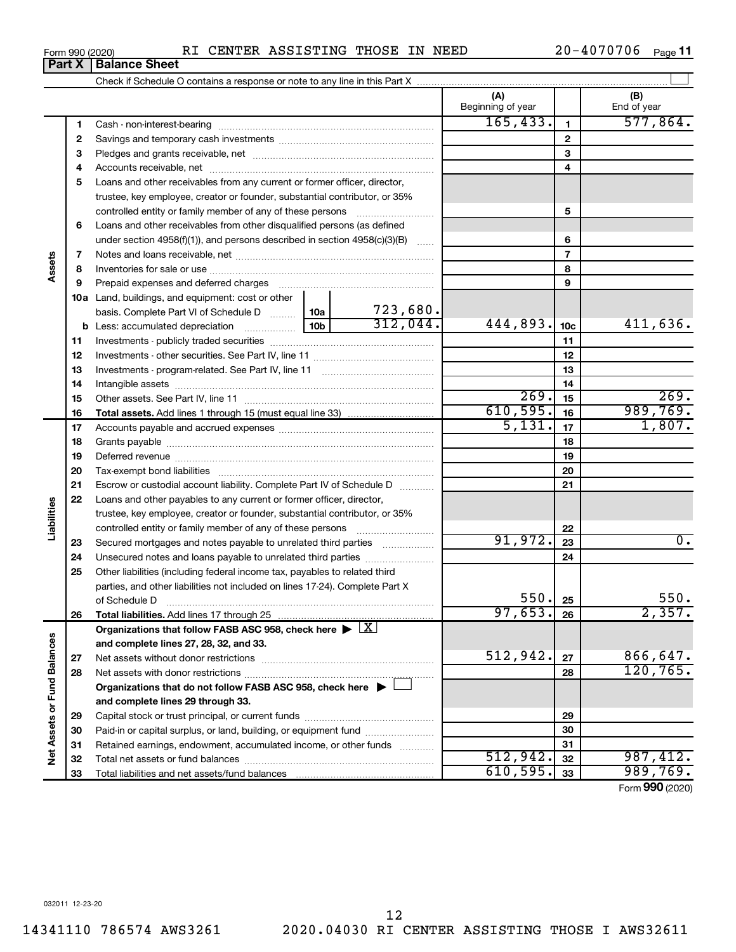|  | Form 990 (2020) |  |  | RI CENTER ASSISTING THOSE IN NEED |  |  |  | $20 - 4070706$ | Page 11 |
|--|-----------------|--|--|-----------------------------------|--|--|--|----------------|---------|
|--|-----------------|--|--|-----------------------------------|--|--|--|----------------|---------|

|                             | Part X   | <b>Balance Sheet</b>                                                                                                                                                                                                           |           |              |                          |                 |                    |
|-----------------------------|----------|--------------------------------------------------------------------------------------------------------------------------------------------------------------------------------------------------------------------------------|-----------|--------------|--------------------------|-----------------|--------------------|
|                             |          |                                                                                                                                                                                                                                |           |              |                          |                 |                    |
|                             |          |                                                                                                                                                                                                                                |           |              | (A)<br>Beginning of year |                 | (B)<br>End of year |
|                             | 1        |                                                                                                                                                                                                                                | 165, 433. | $\mathbf{1}$ | 577,864.                 |                 |                    |
|                             | 2        |                                                                                                                                                                                                                                |           |              |                          | $\mathbf{2}$    |                    |
|                             | 3        |                                                                                                                                                                                                                                |           |              |                          | 3               |                    |
|                             | 4        |                                                                                                                                                                                                                                |           |              |                          | 4               |                    |
|                             | 5        | Loans and other receivables from any current or former officer, director,                                                                                                                                                      |           |              |                          |                 |                    |
|                             |          | trustee, key employee, creator or founder, substantial contributor, or 35%                                                                                                                                                     |           |              |                          |                 |                    |
|                             |          | controlled entity or family member of any of these persons                                                                                                                                                                     |           |              |                          | 5               |                    |
|                             | 6        | Loans and other receivables from other disqualified persons (as defined                                                                                                                                                        |           |              |                          |                 |                    |
|                             |          | under section 4958(f)(1)), and persons described in section $4958(c)(3)(B)$                                                                                                                                                    |           |              |                          | 6               |                    |
|                             | 7        |                                                                                                                                                                                                                                |           |              |                          | $\overline{7}$  |                    |
| Assets                      | 8        |                                                                                                                                                                                                                                |           |              |                          | 8               |                    |
|                             | 9        | Prepaid expenses and deferred charges [11] matter continuum matter and referred charges [11] matter continuum matter continuum matter and continuum matter continuum matter and continuum matter continuum matter continuum ma |           | 9            |                          |                 |                    |
|                             |          | <b>10a</b> Land, buildings, and equipment: cost or other                                                                                                                                                                       |           |              |                          |                 |                    |
|                             |          | basis. Complete Part VI of Schedule D  10a                                                                                                                                                                                     |           | 723,680.     |                          |                 |                    |
|                             |          | <b>b</b> Less: accumulated depreciation <b></b> 10b                                                                                                                                                                            |           | 312,044.     | 444,893.                 | 10 <sub>c</sub> | $411,636$ .        |
|                             | 11       |                                                                                                                                                                                                                                |           |              |                          | 11              |                    |
|                             | 12       |                                                                                                                                                                                                                                |           |              |                          | 12              |                    |
|                             | 13       |                                                                                                                                                                                                                                |           | 13           |                          |                 |                    |
|                             | 14       |                                                                                                                                                                                                                                |           | 14           |                          |                 |                    |
|                             | 15       |                                                                                                                                                                                                                                | 269.      | 15           | 269.                     |                 |                    |
|                             | 16       |                                                                                                                                                                                                                                |           |              | 610,595.                 | 16              | 989,769.           |
|                             | 17       |                                                                                                                                                                                                                                |           |              | 5,131.                   | 17              | 1,807.             |
|                             | 18       |                                                                                                                                                                                                                                |           | 18           |                          |                 |                    |
|                             | 19       |                                                                                                                                                                                                                                |           | 19           |                          |                 |                    |
|                             | 20       |                                                                                                                                                                                                                                |           |              |                          | 20              |                    |
|                             | 21       | Escrow or custodial account liability. Complete Part IV of Schedule D                                                                                                                                                          |           |              |                          | 21              |                    |
|                             | 22       | Loans and other payables to any current or former officer, director,                                                                                                                                                           |           |              |                          |                 |                    |
| Liabilities                 |          | trustee, key employee, creator or founder, substantial contributor, or 35%                                                                                                                                                     |           |              |                          |                 |                    |
|                             |          | controlled entity or family member of any of these persons <i>manufolder in the controlled</i>                                                                                                                                 |           |              |                          | 22              |                    |
|                             | 23       | Secured mortgages and notes payable to unrelated third parties                                                                                                                                                                 |           |              | 91,972.                  | 23              | $\overline{0}$ .   |
|                             | 24       |                                                                                                                                                                                                                                |           |              | 24                       |                 |                    |
|                             | 25       | Other liabilities (including federal income tax, payables to related third                                                                                                                                                     |           |              |                          |                 |                    |
|                             |          | parties, and other liabilities not included on lines 17-24). Complete Part X                                                                                                                                                   |           |              | 550.                     |                 |                    |
|                             |          | of Schedule D                                                                                                                                                                                                                  |           |              | 97,653.                  | 25              | 550.<br>2,357.     |
|                             | 26       | Total liabilities. Add lines 17 through 25                                                                                                                                                                                     |           |              |                          | 26              |                    |
|                             |          | Organizations that follow FASB ASC 958, check here $\blacktriangleright \lfloor \underline{X} \rfloor$                                                                                                                         |           |              |                          |                 |                    |
|                             |          | and complete lines 27, 28, 32, and 33.                                                                                                                                                                                         |           |              | 512,942.                 |                 | 866,647.           |
|                             | 27       |                                                                                                                                                                                                                                |           |              |                          | 27              | 120, 765.          |
|                             | 28       |                                                                                                                                                                                                                                |           |              |                          | 28              |                    |
|                             |          | Organizations that do not follow FASB ASC 958, check here ▶ □                                                                                                                                                                  |           |              |                          |                 |                    |
|                             |          | and complete lines 29 through 33.                                                                                                                                                                                              |           |              |                          |                 |                    |
|                             | 29<br>30 | Paid-in or capital surplus, or land, building, or equipment fund                                                                                                                                                               |           |              |                          | 29<br>30        |                    |
|                             | 31       | Retained earnings, endowment, accumulated income, or other funds                                                                                                                                                               |           |              |                          | 31              |                    |
| Net Assets or Fund Balances | 32       |                                                                                                                                                                                                                                |           |              | 512,942.                 | 32              | 987,412.           |
|                             | 33       |                                                                                                                                                                                                                                |           |              | 610,595.                 | 33              | 989,769.           |
|                             |          |                                                                                                                                                                                                                                |           |              |                          |                 | Form 990 (2020)    |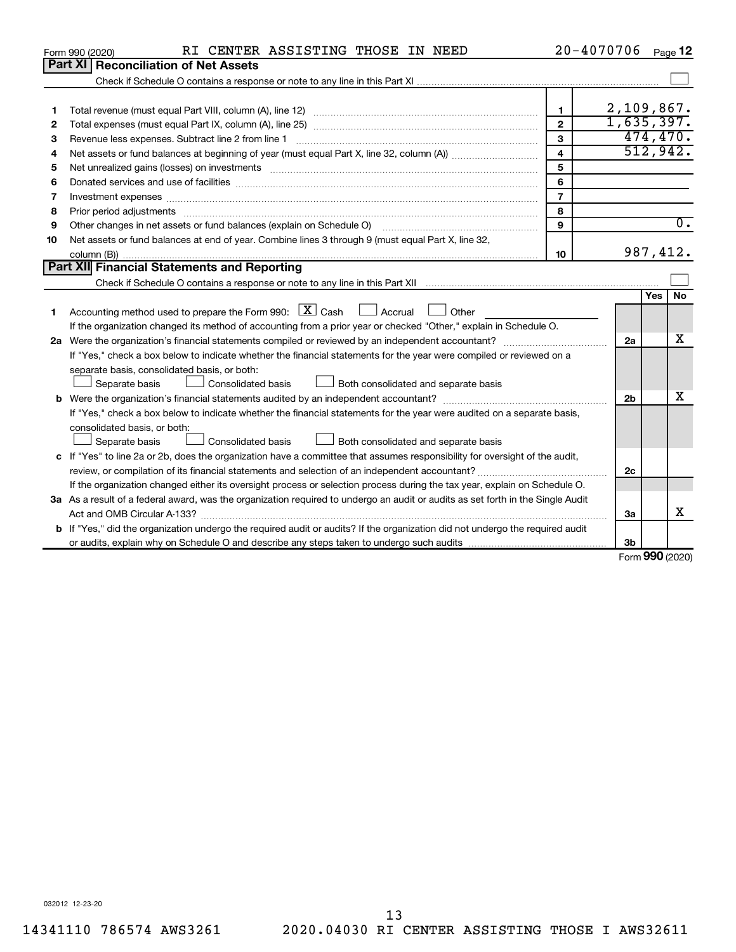|    | RI CENTER ASSISTING THOSE IN NEED<br>Form 990 (2020)                                                                                 | 20-4070706     |                |                     | Page 12          |
|----|--------------------------------------------------------------------------------------------------------------------------------------|----------------|----------------|---------------------|------------------|
|    | <b>Part XI</b><br><b>Reconciliation of Net Assets</b>                                                                                |                |                |                     |                  |
|    |                                                                                                                                      |                |                |                     |                  |
|    |                                                                                                                                      |                |                |                     |                  |
| 1  |                                                                                                                                      | $\mathbf 1$    | $2,109,867$ .  |                     |                  |
| 2  |                                                                                                                                      | $\overline{2}$ | 1,635,397.     |                     |                  |
| 3  | Revenue less expenses. Subtract line 2 from line 1                                                                                   | $\mathbf{3}$   |                |                     | 474, 470.        |
| 4  |                                                                                                                                      | $\overline{4}$ |                |                     | 512,942.         |
| 5  | Net unrealized gains (losses) on investments [111] www.marting.community.community.community.community.communi                       | 5              |                |                     |                  |
| 6  |                                                                                                                                      | 6              |                |                     |                  |
| 7  | Investment expenses www.communication.com/www.communication.com/www.communication.com/www.com                                        | $\overline{7}$ |                |                     |                  |
| 8  |                                                                                                                                      | 8              |                |                     |                  |
| 9  | Other changes in net assets or fund balances (explain on Schedule O)                                                                 | 9              |                |                     | $\overline{0}$ . |
| 10 | Net assets or fund balances at end of year. Combine lines 3 through 9 (must equal Part X, line 32,                                   |                |                |                     |                  |
|    |                                                                                                                                      | 10             |                |                     | 987, 412.        |
|    | Part XII Financial Statements and Reporting                                                                                          |                |                |                     |                  |
|    |                                                                                                                                      |                |                |                     |                  |
|    |                                                                                                                                      |                |                | Yes                 | No               |
| 1  | Accounting method used to prepare the Form 990: $X \subset X$ Cash<br>Accrual 1 Other                                                |                |                |                     |                  |
|    | If the organization changed its method of accounting from a prior year or checked "Other," explain in Schedule O.                    |                |                |                     |                  |
|    |                                                                                                                                      |                | 2a             |                     | x                |
|    | If "Yes," check a box below to indicate whether the financial statements for the year were compiled or reviewed on a                 |                |                |                     |                  |
|    | separate basis, consolidated basis, or both:                                                                                         |                |                |                     |                  |
|    | <b>Consolidated basis</b><br>Both consolidated and separate basis<br>Separate basis                                                  |                |                |                     |                  |
|    |                                                                                                                                      |                | 2 <sub>b</sub> |                     | x                |
|    | If "Yes," check a box below to indicate whether the financial statements for the year were audited on a separate basis,              |                |                |                     |                  |
|    | consolidated basis, or both:                                                                                                         |                |                |                     |                  |
|    | Consolidated basis<br>Both consolidated and separate basis<br>Separate basis                                                         |                |                |                     |                  |
|    | c If "Yes" to line 2a or 2b, does the organization have a committee that assumes responsibility for oversight of the audit,          |                |                |                     |                  |
|    |                                                                                                                                      |                | 2 <sub>c</sub> |                     |                  |
|    | If the organization changed either its oversight process or selection process during the tax year, explain on Schedule O.            |                |                |                     |                  |
|    | 3a As a result of a federal award, was the organization required to undergo an audit or audits as set forth in the Single Audit      |                |                |                     |                  |
|    | Act and OMB Circular A-133?                                                                                                          |                | 3a             |                     | x                |
|    | <b>b</b> If "Yes," did the organization undergo the required audit or audits? If the organization did not undergo the required audit |                |                |                     |                  |
|    |                                                                                                                                      |                | 3b             |                     |                  |
|    |                                                                                                                                      |                |                | $000 \text{ hours}$ |                  |

Form (2020) **990**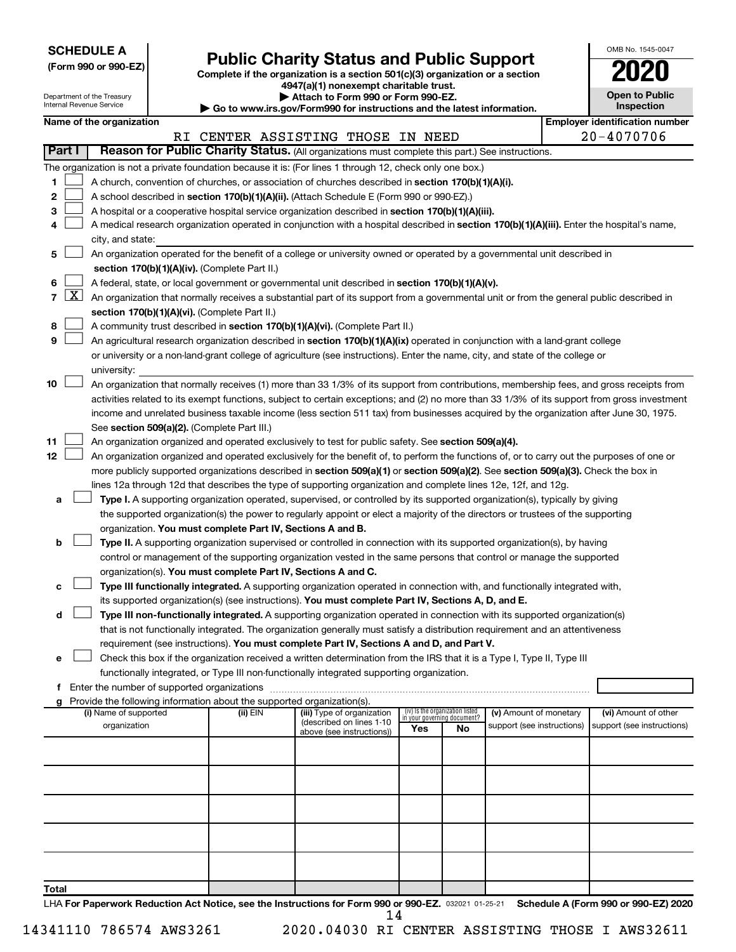**SCHEDULE A**

Department of the Treasury

## Form 990 or 990-EZ) **Public Charity Status and Public Support**<br>
Complete if the organization is a section 501(c)(3) organization or a section<br> **2020**

**4947(a)(1) nonexempt charitable trust. | Attach to Form 990 or Form 990-EZ.** 

| OMB No. 1545-0047                   |
|-------------------------------------|
| 2020                                |
| <b>Open to Public</b><br>Inspection |

|                | ᇭ ៶៴ ៲ ៴៲ ៲៲៲ ៴៴៴ ៴៲ ៲ ៴៲ ៲៲៲ ៴<br>Internal Revenue Service<br>Inspection<br>Go to www.irs.gov/Form990 for instructions and the latest information. |                                                                                                  |  |                                                                        |                                                                                                                                                                                                                                                 |  |                                                                |                        |  |                                       |
|----------------|-----------------------------------------------------------------------------------------------------------------------------------------------------|--------------------------------------------------------------------------------------------------|--|------------------------------------------------------------------------|-------------------------------------------------------------------------------------------------------------------------------------------------------------------------------------------------------------------------------------------------|--|----------------------------------------------------------------|------------------------|--|---------------------------------------|
|                |                                                                                                                                                     | Name of the organization                                                                         |  |                                                                        |                                                                                                                                                                                                                                                 |  |                                                                |                        |  | <b>Employer identification number</b> |
|                |                                                                                                                                                     |                                                                                                  |  |                                                                        | RI CENTER ASSISTING THOSE IN NEED                                                                                                                                                                                                               |  |                                                                |                        |  | 20-4070706                            |
|                | Part I                                                                                                                                              |                                                                                                  |  |                                                                        | Reason for Public Charity Status. (All organizations must complete this part.) See instructions.                                                                                                                                                |  |                                                                |                        |  |                                       |
|                |                                                                                                                                                     |                                                                                                  |  |                                                                        | The organization is not a private foundation because it is: (For lines 1 through 12, check only one box.)                                                                                                                                       |  |                                                                |                        |  |                                       |
| 1              |                                                                                                                                                     |                                                                                                  |  |                                                                        | A church, convention of churches, or association of churches described in section 170(b)(1)(A)(i).                                                                                                                                              |  |                                                                |                        |  |                                       |
| 2              |                                                                                                                                                     |                                                                                                  |  |                                                                        | A school described in section 170(b)(1)(A)(ii). (Attach Schedule E (Form 990 or 990-EZ).)                                                                                                                                                       |  |                                                                |                        |  |                                       |
| 3              |                                                                                                                                                     |                                                                                                  |  |                                                                        | A hospital or a cooperative hospital service organization described in section 170(b)(1)(A)(iii).                                                                                                                                               |  |                                                                |                        |  |                                       |
| 4              |                                                                                                                                                     |                                                                                                  |  |                                                                        | A medical research organization operated in conjunction with a hospital described in section 170(b)(1)(A)(iii). Enter the hospital's name,                                                                                                      |  |                                                                |                        |  |                                       |
|                |                                                                                                                                                     | city, and state:                                                                                 |  |                                                                        |                                                                                                                                                                                                                                                 |  |                                                                |                        |  |                                       |
| 5              |                                                                                                                                                     |                                                                                                  |  |                                                                        | An organization operated for the benefit of a college or university owned or operated by a governmental unit described in                                                                                                                       |  |                                                                |                        |  |                                       |
|                |                                                                                                                                                     |                                                                                                  |  | section 170(b)(1)(A)(iv). (Complete Part II.)                          |                                                                                                                                                                                                                                                 |  |                                                                |                        |  |                                       |
| 6              |                                                                                                                                                     | A federal, state, or local government or governmental unit described in section 170(b)(1)(A)(v). |  |                                                                        |                                                                                                                                                                                                                                                 |  |                                                                |                        |  |                                       |
| $\overline{7}$ | <u>  X  </u>                                                                                                                                        |                                                                                                  |  |                                                                        | An organization that normally receives a substantial part of its support from a governmental unit or from the general public described in                                                                                                       |  |                                                                |                        |  |                                       |
|                |                                                                                                                                                     |                                                                                                  |  | section 170(b)(1)(A)(vi). (Complete Part II.)                          |                                                                                                                                                                                                                                                 |  |                                                                |                        |  |                                       |
| 8              |                                                                                                                                                     |                                                                                                  |  |                                                                        | A community trust described in section 170(b)(1)(A)(vi). (Complete Part II.)                                                                                                                                                                    |  |                                                                |                        |  |                                       |
| 9              |                                                                                                                                                     |                                                                                                  |  |                                                                        | An agricultural research organization described in section 170(b)(1)(A)(ix) operated in conjunction with a land-grant college                                                                                                                   |  |                                                                |                        |  |                                       |
|                |                                                                                                                                                     |                                                                                                  |  |                                                                        | or university or a non-land-grant college of agriculture (see instructions). Enter the name, city, and state of the college or                                                                                                                  |  |                                                                |                        |  |                                       |
|                |                                                                                                                                                     | university:                                                                                      |  |                                                                        |                                                                                                                                                                                                                                                 |  |                                                                |                        |  |                                       |
| 10             |                                                                                                                                                     |                                                                                                  |  |                                                                        | An organization that normally receives (1) more than 33 1/3% of its support from contributions, membership fees, and gross receipts from                                                                                                        |  |                                                                |                        |  |                                       |
|                |                                                                                                                                                     |                                                                                                  |  |                                                                        | activities related to its exempt functions, subject to certain exceptions; and (2) no more than 33 1/3% of its support from gross investment                                                                                                    |  |                                                                |                        |  |                                       |
|                |                                                                                                                                                     |                                                                                                  |  |                                                                        | income and unrelated business taxable income (less section 511 tax) from businesses acquired by the organization after June 30, 1975.                                                                                                           |  |                                                                |                        |  |                                       |
|                |                                                                                                                                                     |                                                                                                  |  | See section 509(a)(2). (Complete Part III.)                            |                                                                                                                                                                                                                                                 |  |                                                                |                        |  |                                       |
| 11             |                                                                                                                                                     |                                                                                                  |  |                                                                        | An organization organized and operated exclusively to test for public safety. See section 509(a)(4).                                                                                                                                            |  |                                                                |                        |  |                                       |
| 12             |                                                                                                                                                     |                                                                                                  |  |                                                                        | An organization organized and operated exclusively for the benefit of, to perform the functions of, or to carry out the purposes of one or                                                                                                      |  |                                                                |                        |  |                                       |
|                |                                                                                                                                                     |                                                                                                  |  |                                                                        | more publicly supported organizations described in section 509(a)(1) or section 509(a)(2). See section 509(a)(3). Check the box in                                                                                                              |  |                                                                |                        |  |                                       |
|                |                                                                                                                                                     |                                                                                                  |  |                                                                        | lines 12a through 12d that describes the type of supporting organization and complete lines 12e, 12f, and 12g.                                                                                                                                  |  |                                                                |                        |  |                                       |
| а              |                                                                                                                                                     |                                                                                                  |  |                                                                        | Type I. A supporting organization operated, supervised, or controlled by its supported organization(s), typically by giving                                                                                                                     |  |                                                                |                        |  |                                       |
|                |                                                                                                                                                     |                                                                                                  |  |                                                                        | the supported organization(s) the power to regularly appoint or elect a majority of the directors or trustees of the supporting                                                                                                                 |  |                                                                |                        |  |                                       |
|                |                                                                                                                                                     |                                                                                                  |  | organization. You must complete Part IV, Sections A and B.             |                                                                                                                                                                                                                                                 |  |                                                                |                        |  |                                       |
| b              |                                                                                                                                                     |                                                                                                  |  |                                                                        | Type II. A supporting organization supervised or controlled in connection with its supported organization(s), by having<br>control or management of the supporting organization vested in the same persons that control or manage the supported |  |                                                                |                        |  |                                       |
|                |                                                                                                                                                     |                                                                                                  |  | organization(s). You must complete Part IV, Sections A and C.          |                                                                                                                                                                                                                                                 |  |                                                                |                        |  |                                       |
| с              |                                                                                                                                                     |                                                                                                  |  |                                                                        | Type III functionally integrated. A supporting organization operated in connection with, and functionally integrated with,                                                                                                                      |  |                                                                |                        |  |                                       |
|                |                                                                                                                                                     |                                                                                                  |  |                                                                        | its supported organization(s) (see instructions). You must complete Part IV, Sections A, D, and E.                                                                                                                                              |  |                                                                |                        |  |                                       |
| d              |                                                                                                                                                     |                                                                                                  |  |                                                                        | Type III non-functionally integrated. A supporting organization operated in connection with its supported organization(s)                                                                                                                       |  |                                                                |                        |  |                                       |
|                |                                                                                                                                                     |                                                                                                  |  |                                                                        | that is not functionally integrated. The organization generally must satisfy a distribution requirement and an attentiveness                                                                                                                    |  |                                                                |                        |  |                                       |
|                |                                                                                                                                                     |                                                                                                  |  |                                                                        | requirement (see instructions). You must complete Part IV, Sections A and D, and Part V.                                                                                                                                                        |  |                                                                |                        |  |                                       |
| е              |                                                                                                                                                     |                                                                                                  |  |                                                                        | Check this box if the organization received a written determination from the IRS that it is a Type I, Type II, Type III                                                                                                                         |  |                                                                |                        |  |                                       |
|                |                                                                                                                                                     |                                                                                                  |  |                                                                        | functionally integrated, or Type III non-functionally integrated supporting organization.                                                                                                                                                       |  |                                                                |                        |  |                                       |
| f              |                                                                                                                                                     |                                                                                                  |  |                                                                        |                                                                                                                                                                                                                                                 |  |                                                                |                        |  |                                       |
| g              |                                                                                                                                                     |                                                                                                  |  | Provide the following information about the supported organization(s). |                                                                                                                                                                                                                                                 |  |                                                                |                        |  |                                       |
|                |                                                                                                                                                     | (i) Name of supported                                                                            |  | (ii) EIN                                                               | (iii) Type of organization                                                                                                                                                                                                                      |  | (iv) Is the organization listed<br>in your governing document? | (v) Amount of monetary |  | (vi) Amount of other                  |
|                | (described on lines 1-10<br>organization<br>support (see instructions)<br>support (see instructions)<br>Yes<br>No<br>above (see instructions))      |                                                                                                  |  |                                                                        |                                                                                                                                                                                                                                                 |  |                                                                |                        |  |                                       |
|                |                                                                                                                                                     |                                                                                                  |  |                                                                        |                                                                                                                                                                                                                                                 |  |                                                                |                        |  |                                       |
|                |                                                                                                                                                     |                                                                                                  |  |                                                                        |                                                                                                                                                                                                                                                 |  |                                                                |                        |  |                                       |
|                |                                                                                                                                                     |                                                                                                  |  |                                                                        |                                                                                                                                                                                                                                                 |  |                                                                |                        |  |                                       |
|                |                                                                                                                                                     |                                                                                                  |  |                                                                        |                                                                                                                                                                                                                                                 |  |                                                                |                        |  |                                       |
|                |                                                                                                                                                     |                                                                                                  |  |                                                                        |                                                                                                                                                                                                                                                 |  |                                                                |                        |  |                                       |
|                |                                                                                                                                                     |                                                                                                  |  |                                                                        |                                                                                                                                                                                                                                                 |  |                                                                |                        |  |                                       |
|                |                                                                                                                                                     |                                                                                                  |  |                                                                        |                                                                                                                                                                                                                                                 |  |                                                                |                        |  |                                       |
|                |                                                                                                                                                     |                                                                                                  |  |                                                                        |                                                                                                                                                                                                                                                 |  |                                                                |                        |  |                                       |
|                |                                                                                                                                                     |                                                                                                  |  |                                                                        |                                                                                                                                                                                                                                                 |  |                                                                |                        |  |                                       |
| Total          |                                                                                                                                                     |                                                                                                  |  |                                                                        |                                                                                                                                                                                                                                                 |  |                                                                |                        |  |                                       |

LHA For Paperwork Reduction Act Notice, see the Instructions for Form 990 or 990-EZ. 032021 01-25-21 Schedule A (Form 990 or 990-EZ) 2020 14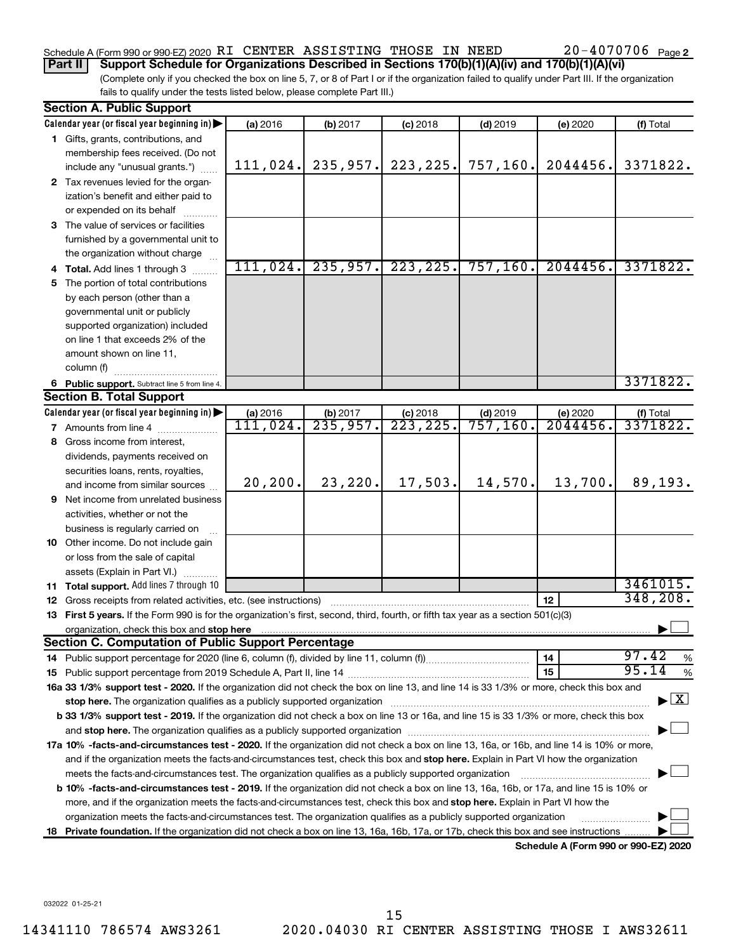#### Schedule A (Form 990 or 990-EZ) 2020 Page RI CENTER ASSISTING THOSE IN NEED 20-4070706

**Part II Support Schedule for Organizations Described in Sections 170(b)(1)(A)(iv) and 170(b)(1)(A)(vi)**

(Complete only if you checked the box on line 5, 7, or 8 of Part I or if the organization failed to qualify under Part III. If the organization fails to qualify under the tests listed below, please complete Part III.)

|    | <b>Section A. Public Support</b>                                                                                                                                                                                               |                      |                      |                         |                        |                                      |                                          |  |  |
|----|--------------------------------------------------------------------------------------------------------------------------------------------------------------------------------------------------------------------------------|----------------------|----------------------|-------------------------|------------------------|--------------------------------------|------------------------------------------|--|--|
|    | Calendar year (or fiscal year beginning in)                                                                                                                                                                                    | (a) 2016             | (b) 2017             | $(c)$ 2018              | $(d)$ 2019             | (e) 2020                             | (f) Total                                |  |  |
|    | 1 Gifts, grants, contributions, and                                                                                                                                                                                            |                      |                      |                         |                        |                                      |                                          |  |  |
|    | membership fees received. (Do not                                                                                                                                                                                              |                      |                      |                         |                        |                                      |                                          |  |  |
|    | include any "unusual grants.")                                                                                                                                                                                                 | 111,024.             | 235, 957.            | 223, 225.               | 757,160.               | 2044456.                             | 3371822.                                 |  |  |
|    | 2 Tax revenues levied for the organ-                                                                                                                                                                                           |                      |                      |                         |                        |                                      |                                          |  |  |
|    | ization's benefit and either paid to                                                                                                                                                                                           |                      |                      |                         |                        |                                      |                                          |  |  |
|    | or expended on its behalf                                                                                                                                                                                                      |                      |                      |                         |                        |                                      |                                          |  |  |
|    | 3 The value of services or facilities                                                                                                                                                                                          |                      |                      |                         |                        |                                      |                                          |  |  |
|    | furnished by a governmental unit to                                                                                                                                                                                            |                      |                      |                         |                        |                                      |                                          |  |  |
|    | the organization without charge                                                                                                                                                                                                |                      |                      |                         |                        |                                      |                                          |  |  |
|    | 4 Total. Add lines 1 through 3                                                                                                                                                                                                 | 111,024.             | 235,957.             | 223, 225.               | 757, 160.              | 2044456.                             | 3371822.                                 |  |  |
|    | 5 The portion of total contributions                                                                                                                                                                                           |                      |                      |                         |                        |                                      |                                          |  |  |
|    | by each person (other than a                                                                                                                                                                                                   |                      |                      |                         |                        |                                      |                                          |  |  |
|    | governmental unit or publicly                                                                                                                                                                                                  |                      |                      |                         |                        |                                      |                                          |  |  |
|    | supported organization) included                                                                                                                                                                                               |                      |                      |                         |                        |                                      |                                          |  |  |
|    | on line 1 that exceeds 2% of the                                                                                                                                                                                               |                      |                      |                         |                        |                                      |                                          |  |  |
|    | amount shown on line 11,                                                                                                                                                                                                       |                      |                      |                         |                        |                                      |                                          |  |  |
|    | column (f)                                                                                                                                                                                                                     |                      |                      |                         |                        |                                      | 3371822.                                 |  |  |
|    | 6 Public support. Subtract line 5 from line 4.                                                                                                                                                                                 |                      |                      |                         |                        |                                      |                                          |  |  |
|    | <b>Section B. Total Support</b>                                                                                                                                                                                                |                      |                      |                         |                        |                                      |                                          |  |  |
|    | Calendar year (or fiscal year beginning in)                                                                                                                                                                                    | (a) 2016<br>III,024. | (b) 2017<br>235,957. | $(c)$ 2018<br>223, 225. | $(d)$ 2019<br>757,160. | (e) 2020<br>2044456.                 | (f) Total<br>3371822.                    |  |  |
|    | <b>7</b> Amounts from line 4                                                                                                                                                                                                   |                      |                      |                         |                        |                                      |                                          |  |  |
|    | 8 Gross income from interest,                                                                                                                                                                                                  |                      |                      |                         |                        |                                      |                                          |  |  |
|    | dividends, payments received on                                                                                                                                                                                                |                      |                      |                         |                        |                                      |                                          |  |  |
|    | securities loans, rents, royalties,<br>and income from similar sources                                                                                                                                                         | 20, 200.             | 23, 220.             | 17,503.                 | 14,570.                | 13,700.                              | 89,193.                                  |  |  |
|    | 9 Net income from unrelated business                                                                                                                                                                                           |                      |                      |                         |                        |                                      |                                          |  |  |
|    | activities, whether or not the                                                                                                                                                                                                 |                      |                      |                         |                        |                                      |                                          |  |  |
|    | business is regularly carried on                                                                                                                                                                                               |                      |                      |                         |                        |                                      |                                          |  |  |
|    | 10 Other income. Do not include gain                                                                                                                                                                                           |                      |                      |                         |                        |                                      |                                          |  |  |
|    | or loss from the sale of capital                                                                                                                                                                                               |                      |                      |                         |                        |                                      |                                          |  |  |
|    | assets (Explain in Part VI.)                                                                                                                                                                                                   |                      |                      |                         |                        |                                      |                                          |  |  |
|    | 11 Total support. Add lines 7 through 10                                                                                                                                                                                       |                      |                      |                         |                        |                                      | 3461015.                                 |  |  |
|    | <b>12</b> Gross receipts from related activities, etc. (see instructions)                                                                                                                                                      |                      |                      |                         |                        | 12                                   | 348, 208.                                |  |  |
|    | 13 First 5 years. If the Form 990 is for the organization's first, second, third, fourth, or fifth tax year as a section 501(c)(3)                                                                                             |                      |                      |                         |                        |                                      |                                          |  |  |
|    | organization, check this box and stop here                                                                                                                                                                                     |                      |                      |                         |                        |                                      |                                          |  |  |
|    | <b>Section C. Computation of Public Support Percentage</b>                                                                                                                                                                     |                      |                      |                         |                        |                                      |                                          |  |  |
|    |                                                                                                                                                                                                                                |                      |                      |                         |                        | 14                                   | 97.42<br>%                               |  |  |
|    |                                                                                                                                                                                                                                |                      |                      |                         |                        | 15                                   | 95.14<br>$\%$                            |  |  |
|    | 16a 33 1/3% support test - 2020. If the organization did not check the box on line 13, and line 14 is 33 1/3% or more, check this box and                                                                                      |                      |                      |                         |                        |                                      |                                          |  |  |
|    | stop here. The organization qualifies as a publicly supported organization manufaction manufacture or manufacture or the organization manufacture or the organization of the state of the state of the state of the state of t |                      |                      |                         |                        |                                      | $\blacktriangleright$ $\boxed{\text{X}}$ |  |  |
|    | b 33 1/3% support test - 2019. If the organization did not check a box on line 13 or 16a, and line 15 is 33 1/3% or more, check this box                                                                                       |                      |                      |                         |                        |                                      |                                          |  |  |
|    |                                                                                                                                                                                                                                |                      |                      |                         |                        |                                      |                                          |  |  |
|    | 17a 10% -facts-and-circumstances test - 2020. If the organization did not check a box on line 13, 16a, or 16b, and line 14 is 10% or more,                                                                                     |                      |                      |                         |                        |                                      |                                          |  |  |
|    | and if the organization meets the facts-and-circumstances test, check this box and stop here. Explain in Part VI how the organization                                                                                          |                      |                      |                         |                        |                                      |                                          |  |  |
|    | meets the facts-and-circumstances test. The organization qualifies as a publicly supported organization                                                                                                                        |                      |                      |                         |                        |                                      |                                          |  |  |
|    | <b>b 10%</b> -facts-and-circumstances test - 2019. If the organization did not check a box on line 13, 16a, 16b, or 17a, and line 15 is 10% or                                                                                 |                      |                      |                         |                        |                                      |                                          |  |  |
|    | more, and if the organization meets the facts-and-circumstances test, check this box and <b>stop here.</b> Explain in Part VI how the                                                                                          |                      |                      |                         |                        |                                      |                                          |  |  |
|    | organization meets the facts-and-circumstances test. The organization qualifies as a publicly supported organization                                                                                                           |                      |                      |                         |                        |                                      |                                          |  |  |
| 18 | Private foundation. If the organization did not check a box on line 13, 16a, 16b, 17a, or 17b, check this box and see instructions.                                                                                            |                      |                      |                         |                        |                                      |                                          |  |  |
|    |                                                                                                                                                                                                                                |                      |                      |                         |                        | Schedule A (Form 990 or 990-EZ) 2020 |                                          |  |  |

032022 01-25-21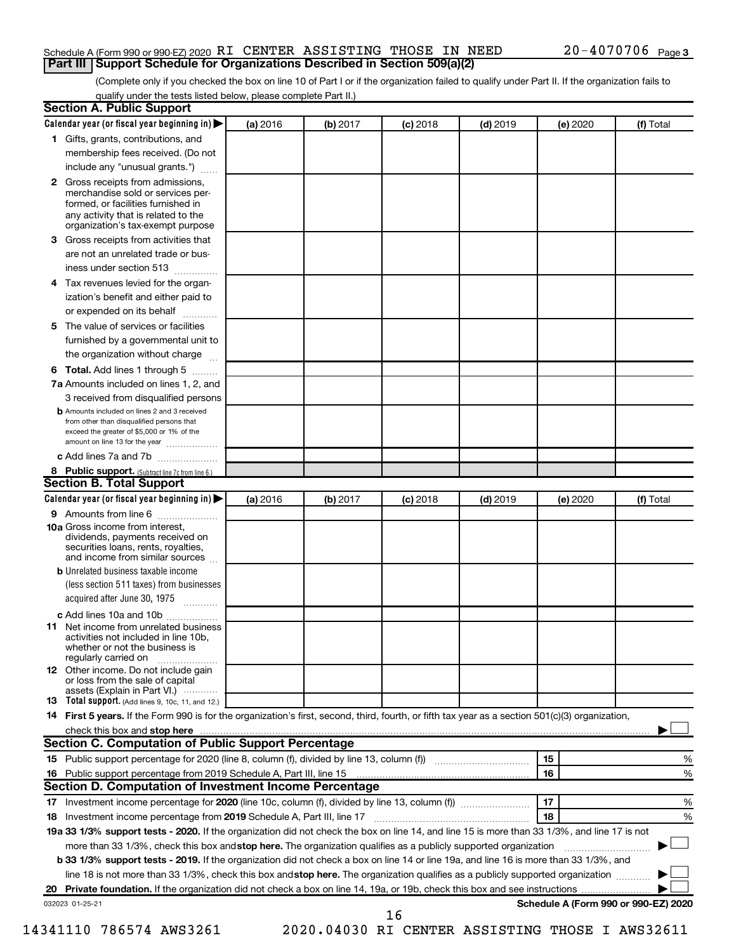#### Schedule A (Form 990 or 990-EZ) 2020 Page RI CENTER ASSISTING THOSE IN NEED 20-4070706 **Part III Support Schedule for Organizations Described in Section 509(a)(2)**

(Complete only if you checked the box on line 10 of Part I or if the organization failed to qualify under Part II. If the organization fails to qualify under the tests listed below, please complete Part II.)

|    | <b>Section A. Public Support</b>                                                                                                                                                                                               |          |          |            |            |          |                                      |
|----|--------------------------------------------------------------------------------------------------------------------------------------------------------------------------------------------------------------------------------|----------|----------|------------|------------|----------|--------------------------------------|
|    | Calendar year (or fiscal year beginning in)                                                                                                                                                                                    | (a) 2016 | (b) 2017 | (c) 2018   | $(d)$ 2019 | (e) 2020 | (f) Total                            |
|    | 1 Gifts, grants, contributions, and                                                                                                                                                                                            |          |          |            |            |          |                                      |
|    | membership fees received. (Do not                                                                                                                                                                                              |          |          |            |            |          |                                      |
|    | include any "unusual grants.")                                                                                                                                                                                                 |          |          |            |            |          |                                      |
|    | <b>2</b> Gross receipts from admissions,<br>merchandise sold or services per-<br>formed, or facilities furnished in<br>any activity that is related to the<br>organization's tax-exempt purpose                                |          |          |            |            |          |                                      |
|    | 3 Gross receipts from activities that                                                                                                                                                                                          |          |          |            |            |          |                                      |
|    | are not an unrelated trade or bus-                                                                                                                                                                                             |          |          |            |            |          |                                      |
|    | iness under section 513                                                                                                                                                                                                        |          |          |            |            |          |                                      |
|    | 4 Tax revenues levied for the organ-                                                                                                                                                                                           |          |          |            |            |          |                                      |
|    | ization's benefit and either paid to                                                                                                                                                                                           |          |          |            |            |          |                                      |
|    | or expended on its behalf                                                                                                                                                                                                      |          |          |            |            |          |                                      |
|    | 5 The value of services or facilities                                                                                                                                                                                          |          |          |            |            |          |                                      |
|    | furnished by a governmental unit to                                                                                                                                                                                            |          |          |            |            |          |                                      |
|    | the organization without charge                                                                                                                                                                                                |          |          |            |            |          |                                      |
|    | <b>6 Total.</b> Add lines 1 through 5                                                                                                                                                                                          |          |          |            |            |          |                                      |
|    | 7a Amounts included on lines 1, 2, and                                                                                                                                                                                         |          |          |            |            |          |                                      |
|    | 3 received from disqualified persons                                                                                                                                                                                           |          |          |            |            |          |                                      |
|    | <b>b</b> Amounts included on lines 2 and 3 received<br>from other than disqualified persons that<br>exceed the greater of \$5,000 or 1% of the<br>amount on line 13 for the year                                               |          |          |            |            |          |                                      |
|    | c Add lines 7a and 7b                                                                                                                                                                                                          |          |          |            |            |          |                                      |
|    | 8 Public support. (Subtract line 7c from line 6.)                                                                                                                                                                              |          |          |            |            |          |                                      |
|    | <b>Section B. Total Support</b>                                                                                                                                                                                                |          |          |            |            |          |                                      |
|    | Calendar year (or fiscal year beginning in)                                                                                                                                                                                    | (a) 2016 | (b) 2017 | $(c)$ 2018 | $(d)$ 2019 | (e) 2020 | (f) Total                            |
|    | 9 Amounts from line 6                                                                                                                                                                                                          |          |          |            |            |          |                                      |
|    | <b>10a</b> Gross income from interest,<br>dividends, payments received on<br>securities loans, rents, royalties,<br>and income from similar sources                                                                            |          |          |            |            |          |                                      |
|    | <b>b</b> Unrelated business taxable income                                                                                                                                                                                     |          |          |            |            |          |                                      |
|    | (less section 511 taxes) from businesses                                                                                                                                                                                       |          |          |            |            |          |                                      |
|    | acquired after June 30, 1975                                                                                                                                                                                                   |          |          |            |            |          |                                      |
|    | c Add lines 10a and 10b                                                                                                                                                                                                        |          |          |            |            |          |                                      |
|    | <b>11</b> Net income from unrelated business<br>activities not included in line 10b.<br>whether or not the business is<br>regularly carried on                                                                                 |          |          |            |            |          |                                      |
|    | 12 Other income. Do not include gain<br>or loss from the sale of capital<br>assets (Explain in Part VI.)                                                                                                                       |          |          |            |            |          |                                      |
|    | <b>13</b> Total support. (Add lines 9, 10c, 11, and 12.)                                                                                                                                                                       |          |          |            |            |          |                                      |
|    | 14 First 5 years. If the Form 990 is for the organization's first, second, third, fourth, or fifth tax year as a section 501(c)(3) organization,                                                                               |          |          |            |            |          |                                      |
|    | check this box and stop here measurements and contact the state of the state of the state of the state of the state of the state of the state of the state of the state of the state of the state of the state of the state of |          |          |            |            |          |                                      |
|    | Section C. Computation of Public Support Percentage                                                                                                                                                                            |          |          |            |            |          |                                      |
|    | 15 Public support percentage for 2020 (line 8, column (f), divided by line 13, column (f) <i></i>                                                                                                                              |          |          |            |            | 15       | %                                    |
|    |                                                                                                                                                                                                                                |          |          |            |            | 16       | %                                    |
|    | Section D. Computation of Investment Income Percentage                                                                                                                                                                         |          |          |            |            |          |                                      |
|    | 17 Investment income percentage for 2020 (line 10c, column (f), divided by line 13, column (f))                                                                                                                                |          |          |            |            | 17       | %                                    |
|    | 18 Investment income percentage from 2019 Schedule A, Part III, line 17                                                                                                                                                        |          |          |            |            | 18       | %                                    |
|    | 19a 33 1/3% support tests - 2020. If the organization did not check the box on line 14, and line 15 is more than 33 1/3%, and line 17 is not                                                                                   |          |          |            |            |          |                                      |
|    | more than 33 1/3%, check this box and stop here. The organization qualifies as a publicly supported organization                                                                                                               |          |          |            |            |          |                                      |
|    | b 33 1/3% support tests - 2019. If the organization did not check a box on line 14 or line 19a, and line 16 is more than 33 1/3%, and                                                                                          |          |          |            |            |          |                                      |
|    | line 18 is not more than 33 1/3%, check this box and stop here. The organization qualifies as a publicly supported organization                                                                                                |          |          |            |            |          |                                      |
| 20 |                                                                                                                                                                                                                                |          |          |            |            |          |                                      |
|    | 032023 01-25-21                                                                                                                                                                                                                |          |          |            |            |          | Schedule A (Form 990 or 990-EZ) 2020 |
|    |                                                                                                                                                                                                                                |          |          | 16         |            |          |                                      |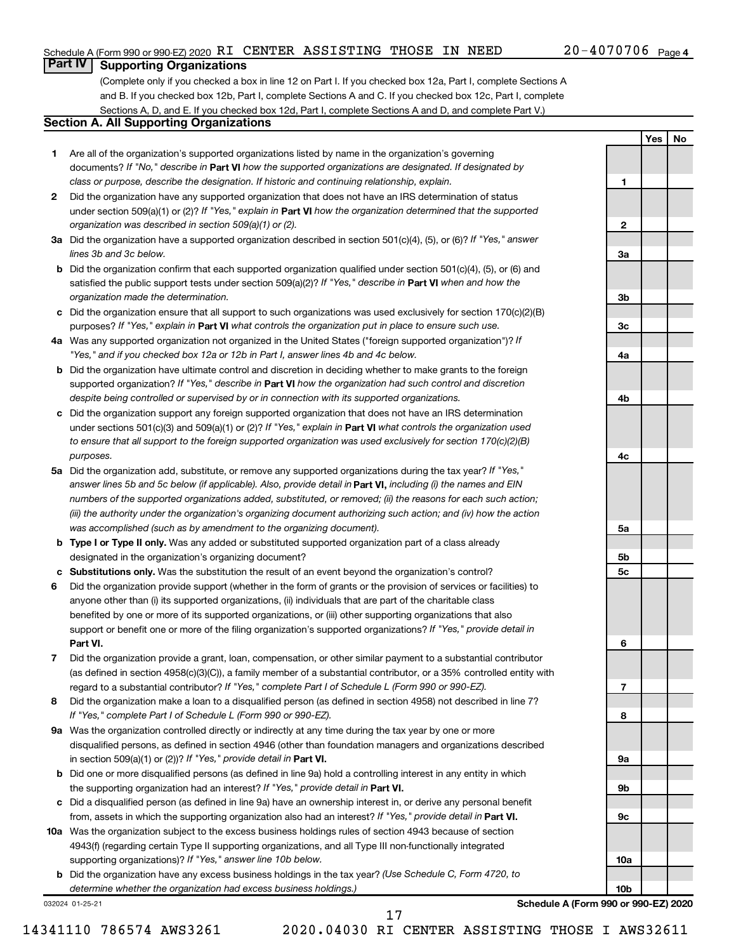**1**

**2**

**3a**

**3b**

**3c**

**4a**

**4b**

**4c**

**5a**

**5b 5c**

**6**

**7**

**8**

**9a**

**9b**

**9c**

**10a**

**10b**

**Yes No**

#### **Part IV Supporting Organizations**

(Complete only if you checked a box in line 12 on Part I. If you checked box 12a, Part I, complete Sections A and B. If you checked box 12b, Part I, complete Sections A and C. If you checked box 12c, Part I, complete Sections A, D, and E. If you checked box 12d, Part I, complete Sections A and D, and complete Part V.)

#### **Section A. All Supporting Organizations**

- **1** Are all of the organization's supported organizations listed by name in the organization's governing documents? If "No," describe in Part VI how the supported organizations are designated. If designated by *class or purpose, describe the designation. If historic and continuing relationship, explain.*
- **2** Did the organization have any supported organization that does not have an IRS determination of status under section 509(a)(1) or (2)? If "Yes," explain in Part **VI** how the organization determined that the supported *organization was described in section 509(a)(1) or (2).*
- **3a** Did the organization have a supported organization described in section 501(c)(4), (5), or (6)? If "Yes," answer *lines 3b and 3c below.*
- **b** Did the organization confirm that each supported organization qualified under section 501(c)(4), (5), or (6) and satisfied the public support tests under section 509(a)(2)? If "Yes," describe in Part VI when and how the *organization made the determination.*
- **c** Did the organization ensure that all support to such organizations was used exclusively for section 170(c)(2)(B) purposes? If "Yes," explain in Part VI what controls the organization put in place to ensure such use.
- **4 a** *If* Was any supported organization not organized in the United States ("foreign supported organization")? *"Yes," and if you checked box 12a or 12b in Part I, answer lines 4b and 4c below.*
- **b** Did the organization have ultimate control and discretion in deciding whether to make grants to the foreign supported organization? If "Yes," describe in Part VI how the organization had such control and discretion *despite being controlled or supervised by or in connection with its supported organizations.*
- **c** Did the organization support any foreign supported organization that does not have an IRS determination under sections 501(c)(3) and 509(a)(1) or (2)? If "Yes," explain in Part VI what controls the organization used *to ensure that all support to the foreign supported organization was used exclusively for section 170(c)(2)(B) purposes.*
- **5a** Did the organization add, substitute, or remove any supported organizations during the tax year? If "Yes," answer lines 5b and 5c below (if applicable). Also, provide detail in **Part VI,** including (i) the names and EIN *numbers of the supported organizations added, substituted, or removed; (ii) the reasons for each such action; (iii) the authority under the organization's organizing document authorizing such action; and (iv) how the action was accomplished (such as by amendment to the organizing document).*
- **b** Type I or Type II only. Was any added or substituted supported organization part of a class already designated in the organization's organizing document?
- **c Substitutions only.**  Was the substitution the result of an event beyond the organization's control?
- **6** Did the organization provide support (whether in the form of grants or the provision of services or facilities) to **Part VI.** support or benefit one or more of the filing organization's supported organizations? If "Yes," provide detail in anyone other than (i) its supported organizations, (ii) individuals that are part of the charitable class benefited by one or more of its supported organizations, or (iii) other supporting organizations that also
- **7** Did the organization provide a grant, loan, compensation, or other similar payment to a substantial contributor regard to a substantial contributor? If "Yes," complete Part I of Schedule L (Form 990 or 990-EZ). (as defined in section 4958(c)(3)(C)), a family member of a substantial contributor, or a 35% controlled entity with
- **8** Did the organization make a loan to a disqualified person (as defined in section 4958) not described in line 7? *If "Yes," complete Part I of Schedule L (Form 990 or 990-EZ).*
- **9 a** Was the organization controlled directly or indirectly at any time during the tax year by one or more in section 509(a)(1) or (2))? If "Yes," provide detail in **Part VI.** disqualified persons, as defined in section 4946 (other than foundation managers and organizations described
- **b** Did one or more disqualified persons (as defined in line 9a) hold a controlling interest in any entity in which the supporting organization had an interest? If "Yes," provide detail in Part VI.
- **c** Did a disqualified person (as defined in line 9a) have an ownership interest in, or derive any personal benefit from, assets in which the supporting organization also had an interest? If "Yes," provide detail in Part VI.
- **10 a** Was the organization subject to the excess business holdings rules of section 4943 because of section supporting organizations)? If "Yes," answer line 10b below. 4943(f) (regarding certain Type II supporting organizations, and all Type III non-functionally integrated
	- **b** Did the organization have any excess business holdings in the tax year? (Use Schedule C, Form 4720, to *determine whether the organization had excess business holdings.)*

032024 01-25-21

**Schedule A (Form 990 or 990-EZ) 2020**

17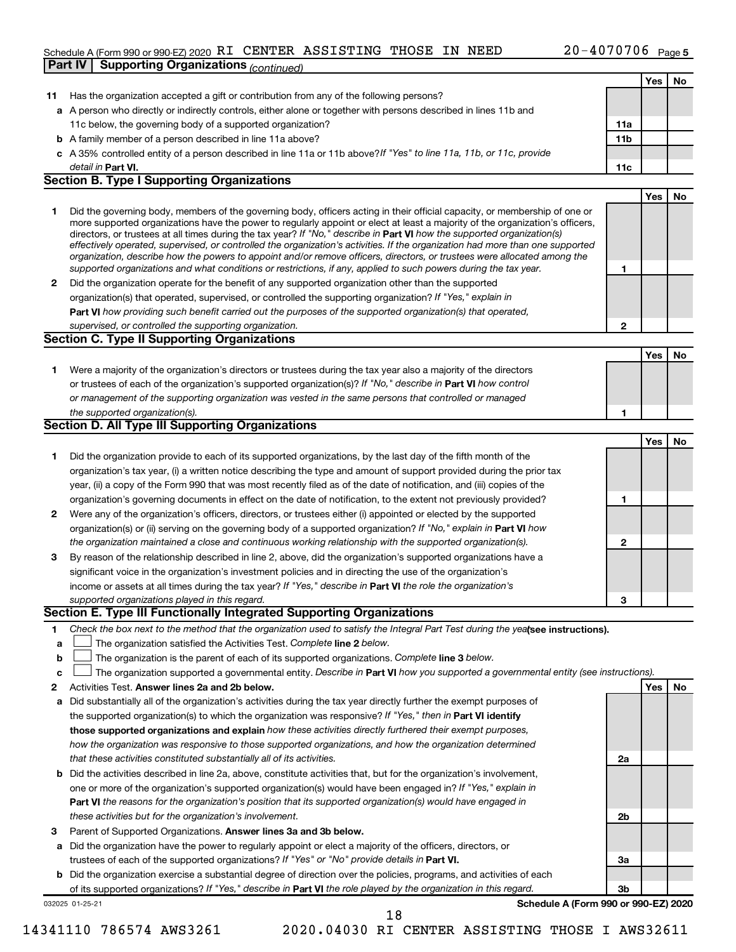#### Schedule A (Form 990 or 990-EZ) 2020 Page RI CENTER ASSISTING THOSE IN NEED 20-4070706 **Part IV Supporting Organizations** *(continued)*

|    |                                                                                                                                                                                                                                              |              | Yes | No. |
|----|----------------------------------------------------------------------------------------------------------------------------------------------------------------------------------------------------------------------------------------------|--------------|-----|-----|
| 11 | Has the organization accepted a gift or contribution from any of the following persons?                                                                                                                                                      |              |     |     |
|    | a A person who directly or indirectly controls, either alone or together with persons described in lines 11b and                                                                                                                             |              |     |     |
|    | 11c below, the governing body of a supported organization?                                                                                                                                                                                   | 11a          |     |     |
|    | <b>b</b> A family member of a person described in line 11a above?                                                                                                                                                                            | 11b          |     |     |
|    | c A 35% controlled entity of a person described in line 11a or 11b above? If "Yes" to line 11a, 11b, or 11c, provide                                                                                                                         |              |     |     |
|    | detail in Part VI.                                                                                                                                                                                                                           | 11c          |     |     |
|    | <b>Section B. Type I Supporting Organizations</b>                                                                                                                                                                                            |              |     |     |
|    |                                                                                                                                                                                                                                              |              | Yes | No  |
| 1  | Did the governing body, members of the governing body, officers acting in their official capacity, or membership of one or                                                                                                                   |              |     |     |
|    | more supported organizations have the power to regularly appoint or elect at least a majority of the organization's officers,                                                                                                                |              |     |     |
|    | directors, or trustees at all times during the tax year? If "No," describe in Part VI how the supported organization(s)                                                                                                                      |              |     |     |
|    | effectively operated, supervised, or controlled the organization's activities. If the organization had more than one supported                                                                                                               |              |     |     |
|    | organization, describe how the powers to appoint and/or remove officers, directors, or trustees were allocated among the<br>supported organizations and what conditions or restrictions, if any, applied to such powers during the tax year. | 1            |     |     |
|    | Did the organization operate for the benefit of any supported organization other than the supported                                                                                                                                          |              |     |     |
| 2  |                                                                                                                                                                                                                                              |              |     |     |
|    | organization(s) that operated, supervised, or controlled the supporting organization? If "Yes," explain in                                                                                                                                   |              |     |     |
|    | Part VI how providing such benefit carried out the purposes of the supported organization(s) that operated,                                                                                                                                  |              |     |     |
|    | supervised, or controlled the supporting organization.<br><b>Section C. Type II Supporting Organizations</b>                                                                                                                                 | $\mathbf{2}$ |     |     |
|    |                                                                                                                                                                                                                                              |              |     |     |
|    |                                                                                                                                                                                                                                              |              | Yes | No  |
| 1. | Were a majority of the organization's directors or trustees during the tax year also a majority of the directors                                                                                                                             |              |     |     |
|    | or trustees of each of the organization's supported organization(s)? If "No," describe in Part VI how control                                                                                                                                |              |     |     |
|    | or management of the supporting organization was vested in the same persons that controlled or managed                                                                                                                                       |              |     |     |
|    | the supported organization(s).<br><b>Section D. All Type III Supporting Organizations</b>                                                                                                                                                    | 1            |     |     |
|    |                                                                                                                                                                                                                                              |              |     |     |
|    |                                                                                                                                                                                                                                              |              | Yes | No  |
| 1. | Did the organization provide to each of its supported organizations, by the last day of the fifth month of the                                                                                                                               |              |     |     |
|    | organization's tax year, (i) a written notice describing the type and amount of support provided during the prior tax                                                                                                                        |              |     |     |
|    | year, (ii) a copy of the Form 990 that was most recently filed as of the date of notification, and (iii) copies of the                                                                                                                       |              |     |     |
|    | organization's governing documents in effect on the date of notification, to the extent not previously provided?                                                                                                                             | 1            |     |     |
| 2  | Were any of the organization's officers, directors, or trustees either (i) appointed or elected by the supported                                                                                                                             |              |     |     |
|    | organization(s) or (ii) serving on the governing body of a supported organization? If "No," explain in Part VI how                                                                                                                           |              |     |     |
|    | the organization maintained a close and continuous working relationship with the supported organization(s).                                                                                                                                  | $\mathbf{2}$ |     |     |
| 3  | By reason of the relationship described in line 2, above, did the organization's supported organizations have a                                                                                                                              |              |     |     |
|    | significant voice in the organization's investment policies and in directing the use of the organization's                                                                                                                                   |              |     |     |
|    | income or assets at all times during the tax year? If "Yes," describe in Part VI the role the organization's                                                                                                                                 |              |     |     |
|    | supported organizations played in this regard.                                                                                                                                                                                               | 3            |     |     |
|    | Section E. Type III Functionally Integrated Supporting Organizations                                                                                                                                                                         |              |     |     |
| 1  | Check the box next to the method that the organization used to satisfy the Integral Part Test during the yealsee instructions).                                                                                                              |              |     |     |
| a  | The organization satisfied the Activities Test. Complete line 2 below.                                                                                                                                                                       |              |     |     |
| b  | The organization is the parent of each of its supported organizations. Complete line 3 below.                                                                                                                                                |              |     |     |
| с  | The organization supported a governmental entity. Describe in Part VI how you supported a governmental entity (see instructions).                                                                                                            |              |     |     |
| 2  | Activities Test. Answer lines 2a and 2b below.                                                                                                                                                                                               |              | Yes | No  |
| а  | Did substantially all of the organization's activities during the tax year directly further the exempt purposes of                                                                                                                           |              |     |     |
|    | the supported organization(s) to which the organization was responsive? If "Yes," then in Part VI identify                                                                                                                                   |              |     |     |
|    | those supported organizations and explain how these activities directly furthered their exempt purposes,                                                                                                                                     |              |     |     |
|    | how the organization was responsive to those supported organizations, and how the organization determined                                                                                                                                    |              |     |     |
|    | that these activities constituted substantially all of its activities.                                                                                                                                                                       | 2a           |     |     |
| b  | Did the activities described in line 2a, above, constitute activities that, but for the organization's involvement,                                                                                                                          |              |     |     |
|    | one or more of the organization's supported organization(s) would have been engaged in? If "Yes," explain in                                                                                                                                 |              |     |     |
|    | <b>Part VI</b> the reasons for the organization's position that its supported organization(s) would have engaged in                                                                                                                          |              |     |     |
|    | these activities but for the organization's involvement.                                                                                                                                                                                     | 2b           |     |     |
| з  | Parent of Supported Organizations. Answer lines 3a and 3b below.                                                                                                                                                                             |              |     |     |
| а  | Did the organization have the power to regularly appoint or elect a majority of the officers, directors, or                                                                                                                                  |              |     |     |
|    | trustees of each of the supported organizations? If "Yes" or "No" provide details in Part VI.                                                                                                                                                | За           |     |     |
|    | <b>b</b> Did the organization exercise a substantial degree of direction over the policies, programs, and activities of each                                                                                                                 |              |     |     |
|    | of its supported organizations? If "Yes," describe in Part VI the role played by the organization in this regard.                                                                                                                            | 3b           |     |     |
|    | Schedule A (Form 990 or 990-EZ) 2020<br>032025 01-25-21                                                                                                                                                                                      |              |     |     |
|    | 18                                                                                                                                                                                                                                           |              |     |     |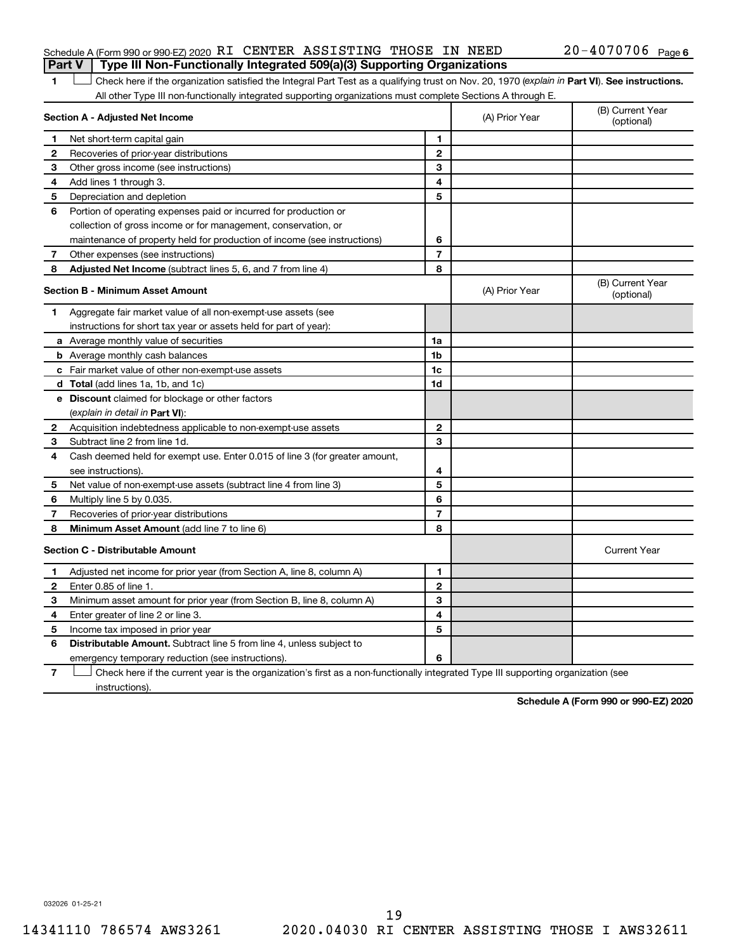#### Schedule A (Form 990 or 990-EZ) 2020 Page RI CENTER ASSISTING THOSE IN NEED 20-4070706 **Part V Type III Non-Functionally Integrated 509(a)(3) Supporting Organizations**

1 **Letter See instructions.** Check here if the organization satisfied the Integral Part Test as a qualifying trust on Nov. 20, 1970 (*explain in* Part **VI**). See instructions. All other Type III non-functionally integrated supporting organizations must complete Sections A through E.

| Section A - Adjusted Net Income |                                                                             |                | (A) Prior Year | (B) Current Year<br>(optional) |
|---------------------------------|-----------------------------------------------------------------------------|----------------|----------------|--------------------------------|
| 1                               | Net short-term capital gain                                                 | 1              |                |                                |
| 2                               | Recoveries of prior-year distributions                                      | $\mathbf{2}$   |                |                                |
| 3                               | Other gross income (see instructions)                                       | 3              |                |                                |
| 4                               | Add lines 1 through 3.                                                      | 4              |                |                                |
| 5                               | Depreciation and depletion                                                  | 5              |                |                                |
| 6                               | Portion of operating expenses paid or incurred for production or            |                |                |                                |
|                                 | collection of gross income or for management, conservation, or              |                |                |                                |
|                                 | maintenance of property held for production of income (see instructions)    | 6              |                |                                |
| 7                               | Other expenses (see instructions)                                           | $\overline{7}$ |                |                                |
| 8                               | Adjusted Net Income (subtract lines 5, 6, and 7 from line 4)                | 8              |                |                                |
|                                 | <b>Section B - Minimum Asset Amount</b>                                     |                | (A) Prior Year | (B) Current Year<br>(optional) |
| 1                               | Aggregate fair market value of all non-exempt-use assets (see               |                |                |                                |
|                                 | instructions for short tax year or assets held for part of year):           |                |                |                                |
|                                 | <b>a</b> Average monthly value of securities                                | 1a             |                |                                |
|                                 | <b>b</b> Average monthly cash balances                                      | 1 <sub>b</sub> |                |                                |
|                                 | c Fair market value of other non-exempt-use assets                          | 1c             |                |                                |
|                                 | d Total (add lines 1a, 1b, and 1c)                                          | 1d             |                |                                |
|                                 | e Discount claimed for blockage or other factors                            |                |                |                                |
|                                 | (explain in detail in <b>Part VI</b> ):                                     |                |                |                                |
| 2                               | Acquisition indebtedness applicable to non-exempt-use assets                | $\mathbf{2}$   |                |                                |
| 3                               | Subtract line 2 from line 1d.                                               | 3              |                |                                |
| 4                               | Cash deemed held for exempt use. Enter 0.015 of line 3 (for greater amount, |                |                |                                |
|                                 | see instructions).                                                          | 4              |                |                                |
| 5                               | Net value of non-exempt-use assets (subtract line 4 from line 3)            | 5              |                |                                |
| 6                               | Multiply line 5 by 0.035.                                                   | 6              |                |                                |
| 7                               | Recoveries of prior-year distributions                                      | $\overline{7}$ |                |                                |
| 8                               | <b>Minimum Asset Amount (add line 7 to line 6)</b>                          | 8              |                |                                |
|                                 | <b>Section C - Distributable Amount</b>                                     |                |                | <b>Current Year</b>            |
| 1                               | Adjusted net income for prior year (from Section A, line 8, column A)       | 1              |                |                                |
| $\mathbf{2}$                    | Enter 0.85 of line 1.                                                       | $\mathbf{2}$   |                |                                |
| 3                               | Minimum asset amount for prior year (from Section B, line 8, column A)      | 3              |                |                                |
| 4                               | Enter greater of line 2 or line 3.                                          | 4              |                |                                |
| 5                               | Income tax imposed in prior year                                            | 5              |                |                                |
| 6                               | Distributable Amount. Subtract line 5 from line 4, unless subject to        |                |                |                                |
|                                 | emergency temporary reduction (see instructions).                           | 6              |                |                                |
|                                 |                                                                             |                |                |                                |

**7** Check here if the current year is the organization's first as a non-functionally integrated Type III supporting organization (see † instructions).

**Schedule A (Form 990 or 990-EZ) 2020**

032026 01-25-21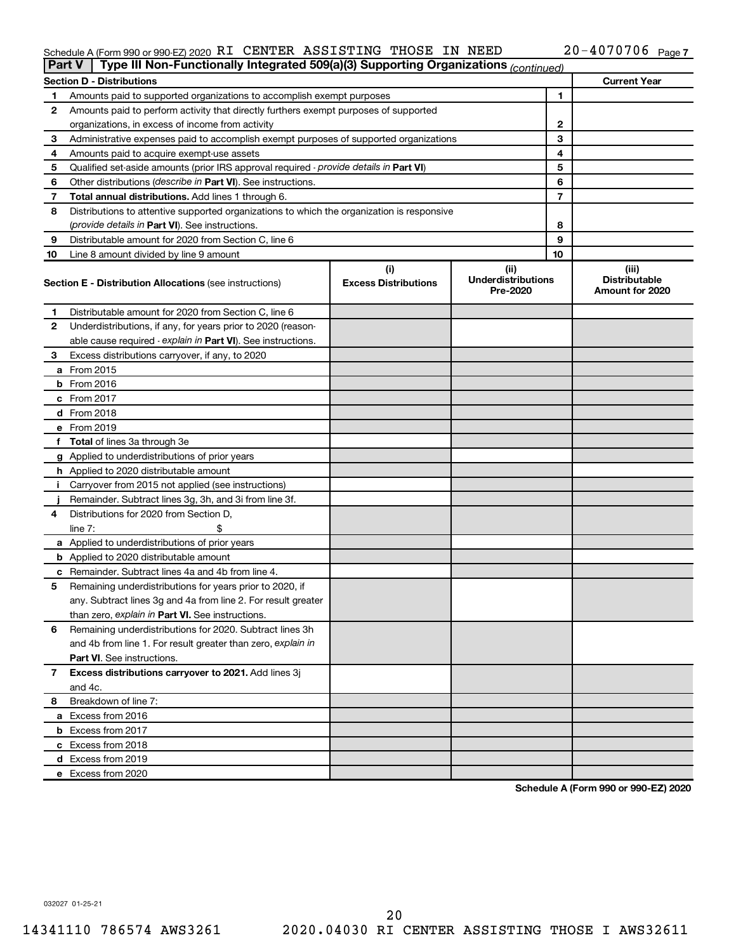#### Schedule A (Form 990 or 990-EZ) 2020 RT CENTER ASSISTING THOSE IN NEED  $ZU - 4U / U / U6$  Page RI CENTER ASSISTING THOSE IN NEED 20-4070706

|    | Type III Non-Functionally Integrated 509(a)(3) Supporting Organizations (continued)<br><b>Part V</b> |                             |                                       |    |                                         |  |  |
|----|------------------------------------------------------------------------------------------------------|-----------------------------|---------------------------------------|----|-----------------------------------------|--|--|
|    | <b>Section D - Distributions</b>                                                                     |                             |                                       |    | <b>Current Year</b>                     |  |  |
| 1  | Amounts paid to supported organizations to accomplish exempt purposes                                |                             |                                       | 1  |                                         |  |  |
| 2  | Amounts paid to perform activity that directly furthers exempt purposes of supported                 |                             |                                       |    |                                         |  |  |
|    | organizations, in excess of income from activity                                                     | $\mathbf{2}$                |                                       |    |                                         |  |  |
| 3  | Administrative expenses paid to accomplish exempt purposes of supported organizations                |                             | 3                                     |    |                                         |  |  |
| 4  | Amounts paid to acquire exempt-use assets                                                            |                             |                                       | 4  |                                         |  |  |
| 5  | Qualified set-aside amounts (prior IRS approval required - provide details in Part VI)               |                             |                                       | 5  |                                         |  |  |
| 6  | Other distributions ( <i>describe in Part VI</i> ). See instructions.                                |                             |                                       | 6  |                                         |  |  |
| 7  | Total annual distributions. Add lines 1 through 6.                                                   |                             |                                       | 7  |                                         |  |  |
| 8  | Distributions to attentive supported organizations to which the organization is responsive           |                             |                                       |    |                                         |  |  |
|    | (provide details in Part VI). See instructions.                                                      |                             |                                       | 8  |                                         |  |  |
| 9  | Distributable amount for 2020 from Section C, line 6                                                 |                             |                                       | 9  |                                         |  |  |
| 10 | Line 8 amount divided by line 9 amount                                                               |                             |                                       | 10 |                                         |  |  |
|    |                                                                                                      | (i)                         | (ii)                                  |    | (iii)                                   |  |  |
|    | <b>Section E - Distribution Allocations (see instructions)</b>                                       | <b>Excess Distributions</b> | <b>Underdistributions</b><br>Pre-2020 |    | <b>Distributable</b><br>Amount for 2020 |  |  |
| 1  | Distributable amount for 2020 from Section C, line 6                                                 |                             |                                       |    |                                         |  |  |
| 2  | Underdistributions, if any, for years prior to 2020 (reason-                                         |                             |                                       |    |                                         |  |  |
|    | able cause required - explain in Part VI). See instructions.                                         |                             |                                       |    |                                         |  |  |
| 3  | Excess distributions carryover, if any, to 2020                                                      |                             |                                       |    |                                         |  |  |
|    | a From 2015                                                                                          |                             |                                       |    |                                         |  |  |
|    | <b>b</b> From 2016                                                                                   |                             |                                       |    |                                         |  |  |
|    | $c$ From 2017                                                                                        |                             |                                       |    |                                         |  |  |
|    | d From 2018                                                                                          |                             |                                       |    |                                         |  |  |
|    | e From 2019                                                                                          |                             |                                       |    |                                         |  |  |
|    | f Total of lines 3a through 3e                                                                       |                             |                                       |    |                                         |  |  |
|    | g Applied to underdistributions of prior years                                                       |                             |                                       |    |                                         |  |  |
|    | <b>h</b> Applied to 2020 distributable amount                                                        |                             |                                       |    |                                         |  |  |
| Ť. | Carryover from 2015 not applied (see instructions)                                                   |                             |                                       |    |                                         |  |  |
|    | Remainder. Subtract lines 3g, 3h, and 3i from line 3f.                                               |                             |                                       |    |                                         |  |  |
| 4  | Distributions for 2020 from Section D,                                                               |                             |                                       |    |                                         |  |  |
|    | line $7:$                                                                                            |                             |                                       |    |                                         |  |  |
|    | a Applied to underdistributions of prior years                                                       |                             |                                       |    |                                         |  |  |
|    | <b>b</b> Applied to 2020 distributable amount                                                        |                             |                                       |    |                                         |  |  |
|    | <b>c</b> Remainder. Subtract lines 4a and 4b from line 4.                                            |                             |                                       |    |                                         |  |  |
| 5  | Remaining underdistributions for years prior to 2020, if                                             |                             |                                       |    |                                         |  |  |
|    | any. Subtract lines 3g and 4a from line 2. For result greater                                        |                             |                                       |    |                                         |  |  |
|    | than zero, explain in Part VI. See instructions.                                                     |                             |                                       |    |                                         |  |  |
| 6  | Remaining underdistributions for 2020. Subtract lines 3h                                             |                             |                                       |    |                                         |  |  |
|    | and 4b from line 1. For result greater than zero, explain in                                         |                             |                                       |    |                                         |  |  |
|    | <b>Part VI.</b> See instructions.                                                                    |                             |                                       |    |                                         |  |  |
| 7  | Excess distributions carryover to 2021. Add lines 3j                                                 |                             |                                       |    |                                         |  |  |
|    | and 4c.                                                                                              |                             |                                       |    |                                         |  |  |
|    |                                                                                                      |                             |                                       |    |                                         |  |  |
| 8  | Breakdown of line 7:                                                                                 |                             |                                       |    |                                         |  |  |
|    | a Excess from 2016                                                                                   |                             |                                       |    |                                         |  |  |
|    | <b>b</b> Excess from 2017                                                                            |                             |                                       |    |                                         |  |  |
|    | c Excess from 2018                                                                                   |                             |                                       |    |                                         |  |  |
|    | d Excess from 2019                                                                                   |                             |                                       |    |                                         |  |  |
|    | e Excess from 2020                                                                                   |                             |                                       |    |                                         |  |  |

**Schedule A (Form 990 or 990-EZ) 2020**

032027 01-25-21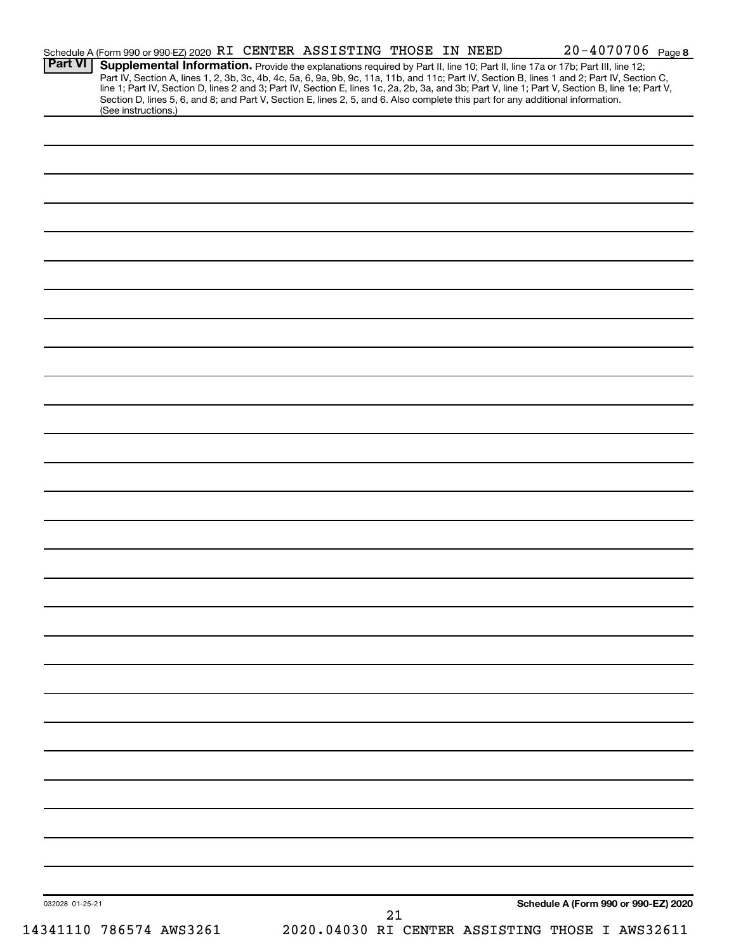| <b>Part VI</b>  | Schedule A (Form 990 or 990-EZ) 2020 RI CENTER ASSISTING THOSE IN NEED                                                          |  |    |  | 20-4070706 Page 8                                                                                                                                                                                                             |  |
|-----------------|---------------------------------------------------------------------------------------------------------------------------------|--|----|--|-------------------------------------------------------------------------------------------------------------------------------------------------------------------------------------------------------------------------------|--|
|                 |                                                                                                                                 |  |    |  | Supplemental Information. Provide the explanations required by Part II, line 10; Part II, line 17a or 17b; Part III, line 12;                                                                                                 |  |
|                 |                                                                                                                                 |  |    |  | Part IV, Section A, lines 1, 2, 3b, 3c, 4b, 4c, 5a, 6, 9a, 9b, 9c, 11a, 11b, and 11c; Part IV, Section B, lines 1 and 2; Part IV, Section C, line 1; Part IV, Section D, lines 2 and 3; Part IV, Section E, lines 1c, 2a, 2b, |  |
|                 | Section D, lines 5, 6, and 8; and Part V, Section E, lines 2, 5, and 6. Also complete this part for any additional information. |  |    |  |                                                                                                                                                                                                                               |  |
|                 | (See instructions.)                                                                                                             |  |    |  |                                                                                                                                                                                                                               |  |
|                 |                                                                                                                                 |  |    |  |                                                                                                                                                                                                                               |  |
|                 |                                                                                                                                 |  |    |  |                                                                                                                                                                                                                               |  |
|                 |                                                                                                                                 |  |    |  |                                                                                                                                                                                                                               |  |
|                 |                                                                                                                                 |  |    |  |                                                                                                                                                                                                                               |  |
|                 |                                                                                                                                 |  |    |  |                                                                                                                                                                                                                               |  |
|                 |                                                                                                                                 |  |    |  |                                                                                                                                                                                                                               |  |
|                 |                                                                                                                                 |  |    |  |                                                                                                                                                                                                                               |  |
|                 |                                                                                                                                 |  |    |  |                                                                                                                                                                                                                               |  |
|                 |                                                                                                                                 |  |    |  |                                                                                                                                                                                                                               |  |
|                 |                                                                                                                                 |  |    |  |                                                                                                                                                                                                                               |  |
|                 |                                                                                                                                 |  |    |  |                                                                                                                                                                                                                               |  |
|                 |                                                                                                                                 |  |    |  |                                                                                                                                                                                                                               |  |
|                 |                                                                                                                                 |  |    |  |                                                                                                                                                                                                                               |  |
|                 |                                                                                                                                 |  |    |  |                                                                                                                                                                                                                               |  |
|                 |                                                                                                                                 |  |    |  |                                                                                                                                                                                                                               |  |
|                 |                                                                                                                                 |  |    |  |                                                                                                                                                                                                                               |  |
|                 |                                                                                                                                 |  |    |  |                                                                                                                                                                                                                               |  |
|                 |                                                                                                                                 |  |    |  |                                                                                                                                                                                                                               |  |
|                 |                                                                                                                                 |  |    |  |                                                                                                                                                                                                                               |  |
|                 |                                                                                                                                 |  |    |  |                                                                                                                                                                                                                               |  |
|                 |                                                                                                                                 |  |    |  |                                                                                                                                                                                                                               |  |
|                 |                                                                                                                                 |  |    |  |                                                                                                                                                                                                                               |  |
|                 |                                                                                                                                 |  |    |  |                                                                                                                                                                                                                               |  |
|                 |                                                                                                                                 |  |    |  |                                                                                                                                                                                                                               |  |
|                 |                                                                                                                                 |  |    |  |                                                                                                                                                                                                                               |  |
|                 |                                                                                                                                 |  |    |  |                                                                                                                                                                                                                               |  |
|                 |                                                                                                                                 |  |    |  |                                                                                                                                                                                                                               |  |
|                 |                                                                                                                                 |  |    |  |                                                                                                                                                                                                                               |  |
|                 |                                                                                                                                 |  |    |  |                                                                                                                                                                                                                               |  |
|                 |                                                                                                                                 |  |    |  |                                                                                                                                                                                                                               |  |
|                 |                                                                                                                                 |  |    |  |                                                                                                                                                                                                                               |  |
|                 |                                                                                                                                 |  |    |  |                                                                                                                                                                                                                               |  |
|                 |                                                                                                                                 |  |    |  |                                                                                                                                                                                                                               |  |
|                 |                                                                                                                                 |  |    |  |                                                                                                                                                                                                                               |  |
|                 |                                                                                                                                 |  |    |  |                                                                                                                                                                                                                               |  |
|                 |                                                                                                                                 |  |    |  |                                                                                                                                                                                                                               |  |
|                 |                                                                                                                                 |  |    |  |                                                                                                                                                                                                                               |  |
|                 |                                                                                                                                 |  |    |  |                                                                                                                                                                                                                               |  |
|                 |                                                                                                                                 |  |    |  |                                                                                                                                                                                                                               |  |
|                 |                                                                                                                                 |  |    |  |                                                                                                                                                                                                                               |  |
|                 |                                                                                                                                 |  |    |  |                                                                                                                                                                                                                               |  |
|                 |                                                                                                                                 |  |    |  |                                                                                                                                                                                                                               |  |
|                 |                                                                                                                                 |  |    |  |                                                                                                                                                                                                                               |  |
|                 |                                                                                                                                 |  |    |  |                                                                                                                                                                                                                               |  |
|                 |                                                                                                                                 |  |    |  |                                                                                                                                                                                                                               |  |
|                 |                                                                                                                                 |  |    |  |                                                                                                                                                                                                                               |  |
|                 |                                                                                                                                 |  |    |  |                                                                                                                                                                                                                               |  |
|                 |                                                                                                                                 |  |    |  |                                                                                                                                                                                                                               |  |
|                 |                                                                                                                                 |  |    |  |                                                                                                                                                                                                                               |  |
|                 |                                                                                                                                 |  |    |  |                                                                                                                                                                                                                               |  |
|                 |                                                                                                                                 |  |    |  |                                                                                                                                                                                                                               |  |
|                 |                                                                                                                                 |  |    |  |                                                                                                                                                                                                                               |  |
|                 |                                                                                                                                 |  |    |  |                                                                                                                                                                                                                               |  |
|                 |                                                                                                                                 |  |    |  |                                                                                                                                                                                                                               |  |
|                 |                                                                                                                                 |  |    |  |                                                                                                                                                                                                                               |  |
| 032028 01-25-21 |                                                                                                                                 |  | 21 |  | Schedule A (Form 990 or 990-EZ) 2020                                                                                                                                                                                          |  |
|                 | 14341110 786574 AWS3261                                                                                                         |  |    |  | 2020.04030 RI CENTER ASSISTING THOSE I AWS32611                                                                                                                                                                               |  |
|                 |                                                                                                                                 |  |    |  |                                                                                                                                                                                                                               |  |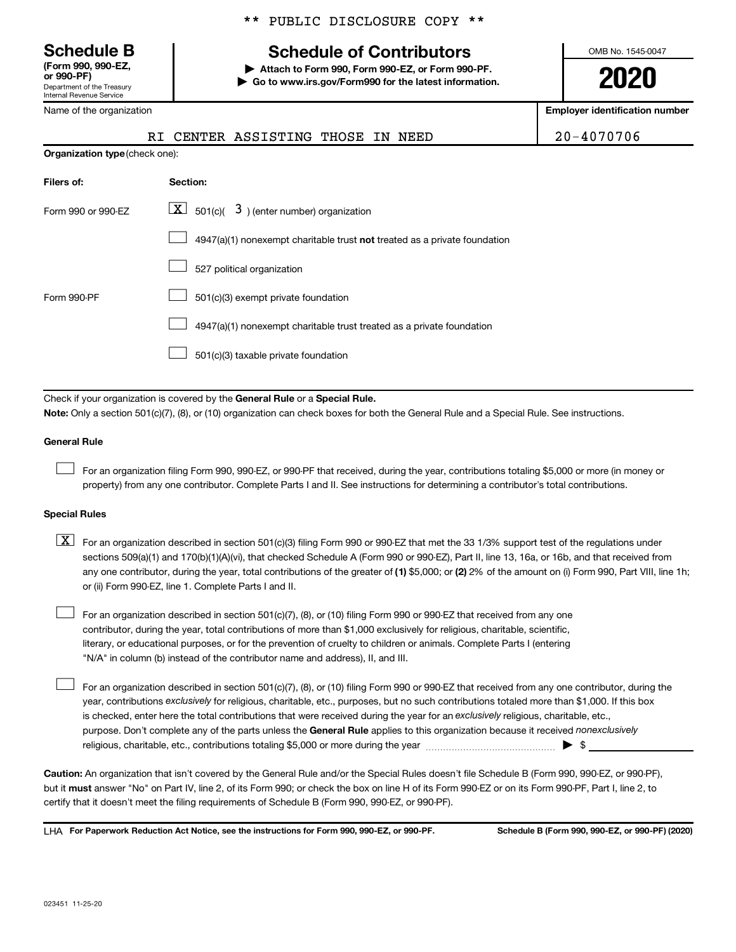Department of the Treasury Internal Revenue Service **(Form 990, 990-EZ,**

Name of the organization

#### \*\* PUBLIC DISCLOSURE COPY \*\*

## **Schedule B Schedule of Contributors**

**or 990-PF) | Attach to Form 990, Form 990-EZ, or Form 990-PF. | Go to www.irs.gov/Form990 for the latest information.** OMB No. 1545-0047

**2020**

**Employer identification number**

|                                | RI CENTER ASSISTING THOSE<br>IN NEED                                                                                                                                                                                                                                             | 20-4070706 |
|--------------------------------|----------------------------------------------------------------------------------------------------------------------------------------------------------------------------------------------------------------------------------------------------------------------------------|------------|
| Organization type (check one): |                                                                                                                                                                                                                                                                                  |            |
| Filers of:                     | Section:                                                                                                                                                                                                                                                                         |            |
| Form 990 or 990-EZ             | $\lfloor \underline{X} \rfloor$ 501(c)( 3) (enter number) organization                                                                                                                                                                                                           |            |
|                                | 4947(a)(1) nonexempt charitable trust not treated as a private foundation                                                                                                                                                                                                        |            |
|                                | 527 political organization                                                                                                                                                                                                                                                       |            |
| Form 990-PF                    | 501(c)(3) exempt private foundation                                                                                                                                                                                                                                              |            |
|                                | 4947(a)(1) nonexempt charitable trust treated as a private foundation                                                                                                                                                                                                            |            |
|                                | 501(c)(3) taxable private foundation                                                                                                                                                                                                                                             |            |
|                                |                                                                                                                                                                                                                                                                                  |            |
|                                | Check if your organization is covered by the General Rule or a Special Rule.                                                                                                                                                                                                     |            |
|                                | Note: Only a section 501(c)(7), (8), or (10) organization can check boxes for both the General Rule and a Special Rule. See instructions.                                                                                                                                        |            |
| <b>General Rule</b>            |                                                                                                                                                                                                                                                                                  |            |
|                                | For an organization filing Form 990, 990-EZ, or 990-PF that received, during the year, contributions totaling \$5,000 or more (in money or<br>property) from any one contributor. Complete Parts I and II. See instructions for determining a contributor's total contributions. |            |
| <b>Special Rules</b>           |                                                                                                                                                                                                                                                                                  |            |

#### any one contributor, during the year, total contributions of the greater of (1) \$5,000; or (2) 2% of the amount on (i) Form 990, Part VIII, line 1h;  $\boxed{\text{X}}$  For an organization described in section 501(c)(3) filing Form 990 or 990-EZ that met the 33 1/3% support test of the regulations under sections 509(a)(1) and 170(b)(1)(A)(vi), that checked Schedule A (Form 990 or 990-EZ), Part II, line 13, 16a, or 16b, and that received from or (ii) Form 990-EZ, line 1. Complete Parts I and II.

For an organization described in section 501(c)(7), (8), or (10) filing Form 990 or 990-EZ that received from any one contributor, during the year, total contributions of more than \$1,000 exclusively for religious, charitable, scientific, literary, or educational purposes, or for the prevention of cruelty to children or animals. Complete Parts I (entering "N/A" in column (b) instead of the contributor name and address), II, and III.  $\Box$ 

purpose. Don't complete any of the parts unless the General Rule applies to this organization because it received nonexclusively year, contributions exclusively for religious, charitable, etc., purposes, but no such contributions totaled more than \$1,000. If this box is checked, enter here the total contributions that were received during the year for an exclusively religious, charitable, etc., For an organization described in section 501(c)(7), (8), or (10) filing Form 990 or 990-EZ that received from any one contributor, during the religious, charitable, etc., contributions totaling \$5,000 or more during the year  $~\ldots\ldots\ldots\ldots\ldots\ldots\ldots\ldots\blacktriangleright~$ \$

**Caution:**  An organization that isn't covered by the General Rule and/or the Special Rules doesn't file Schedule B (Form 990, 990-EZ, or 990-PF),  **must** but it answer "No" on Part IV, line 2, of its Form 990; or check the box on line H of its Form 990-EZ or on its Form 990-PF, Part I, line 2, to certify that it doesn't meet the filing requirements of Schedule B (Form 990, 990-EZ, or 990-PF).

**For Paperwork Reduction Act Notice, see the instructions for Form 990, 990-EZ, or 990-PF. Schedule B (Form 990, 990-EZ, or 990-PF) (2020)** LHA

 $\Box$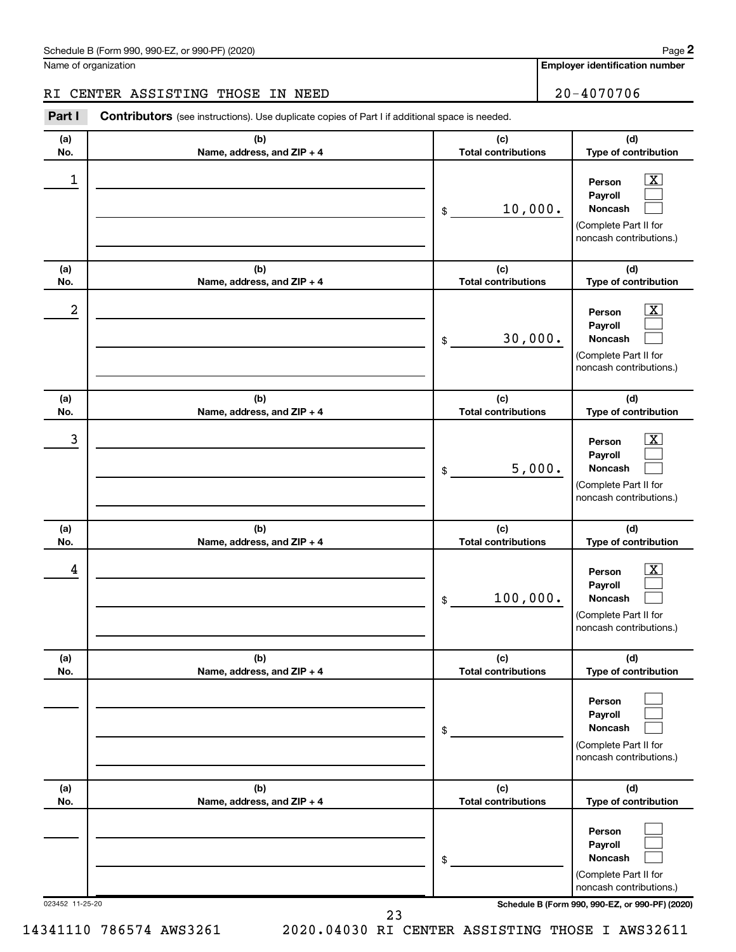**Employer identification number**

**(d) Type of contribution**

#### RI CENTER ASSISTING THOSE IN NEED 20-4070706

**(a) No. (b) Name, address, and ZIP + 4 (c) Total contributions Part I** Contributors (see instructions). Use duplicate copies of Part I if additional space is needed.

| 1               |                                                 | 10,000.<br>\$                     | х<br>Person<br>Payroll<br>Noncash<br>(Complete Part II for<br>noncash contributions.) |  |  |
|-----------------|-------------------------------------------------|-----------------------------------|---------------------------------------------------------------------------------------|--|--|
| (a)<br>No.      | (b)<br>Name, address, and ZIP + 4               | (c)<br><b>Total contributions</b> | (d)<br>Type of contribution                                                           |  |  |
| 2               |                                                 | 30,000.<br>\$                     | x<br>Person<br>Payroll<br>Noncash<br>(Complete Part II for<br>noncash contributions.) |  |  |
| (a)<br>No.      | (b)<br>Name, address, and ZIP + 4               | (c)<br><b>Total contributions</b> | (d)<br>Type of contribution                                                           |  |  |
| 3               |                                                 | 5,000.<br>\$                      | x<br>Person<br>Payroll<br>Noncash<br>(Complete Part II for<br>noncash contributions.) |  |  |
| (a)<br>No.      | (b)<br>Name, address, and ZIP + 4               | (c)<br><b>Total contributions</b> | (d)<br>Type of contribution                                                           |  |  |
| 4               |                                                 | 100,000.<br>\$                    | x<br>Person<br>Payroll<br>Noncash<br>(Complete Part II for<br>noncash contributions.) |  |  |
| (a)<br>No.      | (b)<br>Name, address, and ZIP + 4               | (c)<br><b>Total contributions</b> | (d)<br>Type of contribution                                                           |  |  |
|                 |                                                 | \$                                | Person<br>Payroll<br>Noncash<br>(Complete Part II for<br>noncash contributions.)      |  |  |
| (a)<br>No.      | (b)<br>Name, address, and ZIP + 4               | (c)<br><b>Total contributions</b> | (d)<br>Type of contribution                                                           |  |  |
|                 |                                                 | \$                                | Person<br>Payroll<br>Noncash<br>(Complete Part II for<br>noncash contributions.)      |  |  |
| 023452 11-25-20 | Schedule B (Form 990, 990-EZ, or 990-PF) (2020) |                                   |                                                                                       |  |  |

23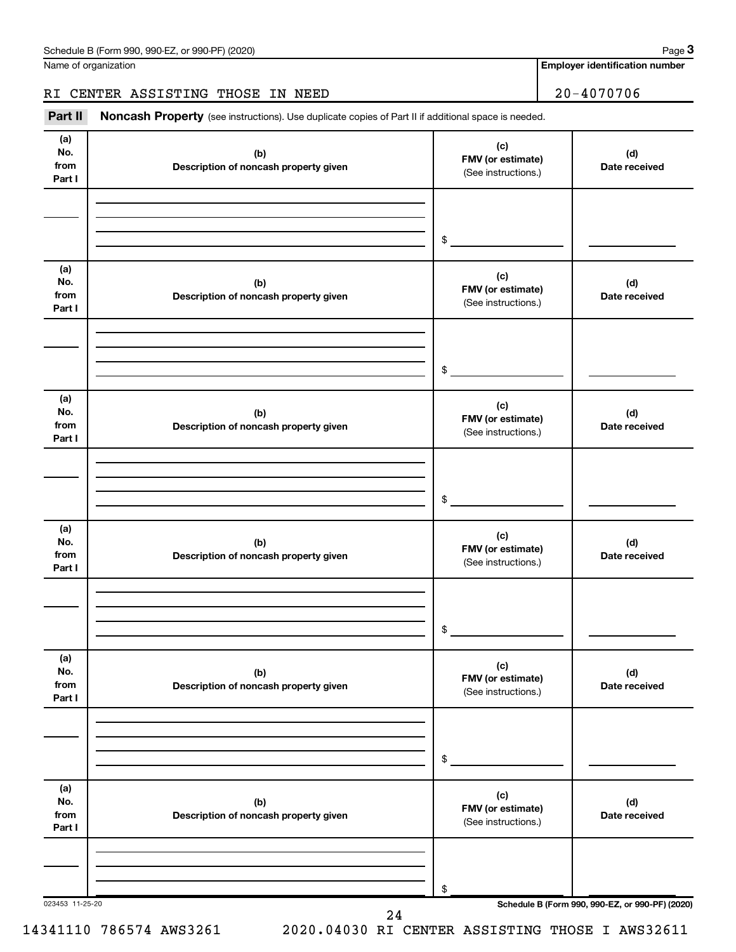Name of organization

**Employer identification number**

#### RI CENTER ASSISTING THOSE IN NEED 20-4070706

Part II Noncash Property (see instructions). Use duplicate copies of Part II if additional space is needed.

| (a)<br>No.<br>from<br>Part I | (b)<br>Description of noncash property given | (c)<br>FMV (or estimate)<br>(See instructions.) | (d)<br>Date received                            |
|------------------------------|----------------------------------------------|-------------------------------------------------|-------------------------------------------------|
|                              |                                              | $\frac{1}{2}$                                   |                                                 |
| (a)<br>No.<br>from<br>Part I | (b)<br>Description of noncash property given | (c)<br>FMV (or estimate)<br>(See instructions.) | (d)<br>Date received                            |
|                              |                                              |                                                 |                                                 |
| (a)<br>No.<br>from<br>Part I | (b)<br>Description of noncash property given | (c)<br>FMV (or estimate)<br>(See instructions.) | (d)<br>Date received                            |
|                              |                                              |                                                 |                                                 |
| (a)<br>No.<br>from<br>Part I | (b)<br>Description of noncash property given | (c)<br>FMV (or estimate)<br>(See instructions.) | (d)<br>Date received                            |
|                              |                                              | $\frac{1}{2}$                                   |                                                 |
| (a)<br>No.<br>from<br>Part I | (b)<br>Description of noncash property given | (c)<br>FMV (or estimate)<br>(See instructions.) | (d)<br>Date received                            |
|                              |                                              | \$                                              |                                                 |
| (a)<br>No.<br>from<br>Part I | (b)<br>Description of noncash property given | (c)<br>FMV (or estimate)<br>(See instructions.) | (d)<br>Date received                            |
| 023453 11-25-20              |                                              | \$                                              | Schedule B (Form 990, 990-EZ, or 990-PF) (2020) |

24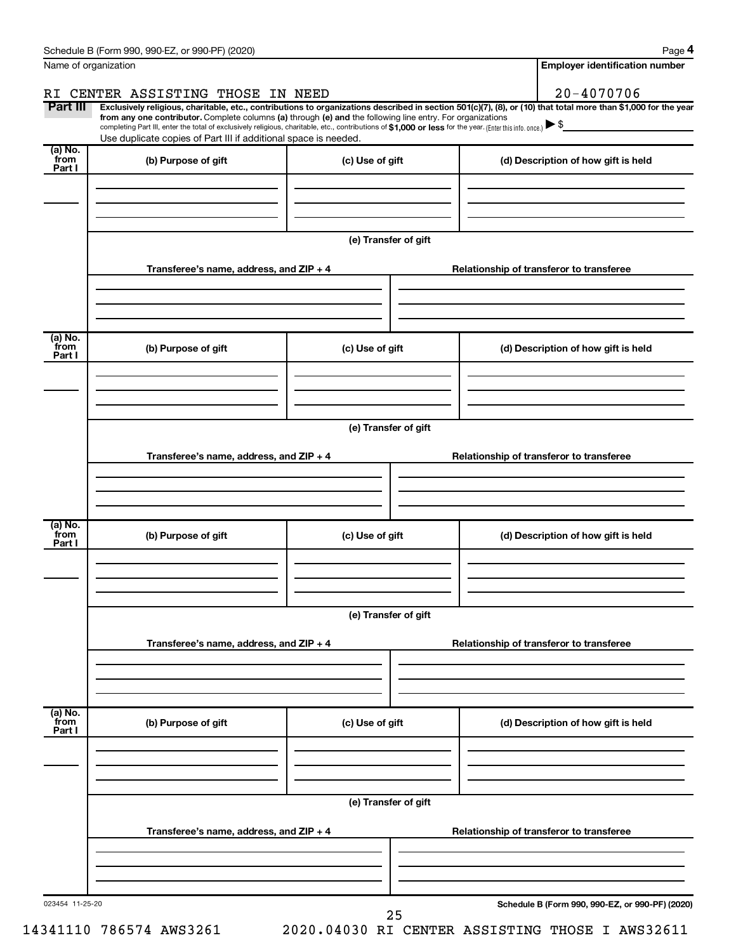|                           | Schedule B (Form 990, 990-EZ, or 990-PF) (2020)                                                                                                                                                                                  |                                          | Page 4                                                                                                                                                         |  |  |  |  |
|---------------------------|----------------------------------------------------------------------------------------------------------------------------------------------------------------------------------------------------------------------------------|------------------------------------------|----------------------------------------------------------------------------------------------------------------------------------------------------------------|--|--|--|--|
|                           | Name of organization                                                                                                                                                                                                             |                                          | <b>Employer identification number</b>                                                                                                                          |  |  |  |  |
| RI                        | CENTER ASSISTING THOSE IN NEED                                                                                                                                                                                                   |                                          | $20 - 4070706$                                                                                                                                                 |  |  |  |  |
| Part III                  | from any one contributor. Complete columns (a) through (e) and the following line entry. For organizations                                                                                                                       |                                          | Exclusively religious, charitable, etc., contributions to organizations described in section 501(c)(7), (8), or (10) that total more than \$1,000 for the year |  |  |  |  |
|                           | completing Part III, enter the total of exclusively religious, charitable, etc., contributions of \$1,000 or less for the year. (Enter this info. once.) ▶ \$<br>Use duplicate copies of Part III if additional space is needed. |                                          |                                                                                                                                                                |  |  |  |  |
| (a) No.                   |                                                                                                                                                                                                                                  |                                          |                                                                                                                                                                |  |  |  |  |
| from<br>Part I            | (b) Purpose of gift                                                                                                                                                                                                              | (c) Use of gift                          | (d) Description of how gift is held                                                                                                                            |  |  |  |  |
|                           |                                                                                                                                                                                                                                  |                                          |                                                                                                                                                                |  |  |  |  |
|                           |                                                                                                                                                                                                                                  |                                          |                                                                                                                                                                |  |  |  |  |
|                           |                                                                                                                                                                                                                                  |                                          |                                                                                                                                                                |  |  |  |  |
|                           |                                                                                                                                                                                                                                  | (e) Transfer of gift                     |                                                                                                                                                                |  |  |  |  |
|                           | Transferee's name, address, and ZIP + 4                                                                                                                                                                                          |                                          | Relationship of transferor to transferee                                                                                                                       |  |  |  |  |
|                           |                                                                                                                                                                                                                                  |                                          |                                                                                                                                                                |  |  |  |  |
|                           |                                                                                                                                                                                                                                  |                                          |                                                                                                                                                                |  |  |  |  |
| (a) No.                   |                                                                                                                                                                                                                                  |                                          |                                                                                                                                                                |  |  |  |  |
| from<br>Part I            | (b) Purpose of gift                                                                                                                                                                                                              | (c) Use of gift                          | (d) Description of how gift is held                                                                                                                            |  |  |  |  |
|                           |                                                                                                                                                                                                                                  |                                          |                                                                                                                                                                |  |  |  |  |
|                           |                                                                                                                                                                                                                                  |                                          |                                                                                                                                                                |  |  |  |  |
|                           |                                                                                                                                                                                                                                  |                                          |                                                                                                                                                                |  |  |  |  |
|                           |                                                                                                                                                                                                                                  | (e) Transfer of gift                     |                                                                                                                                                                |  |  |  |  |
|                           | Transferee's name, address, and ZIP + 4                                                                                                                                                                                          | Relationship of transferor to transferee |                                                                                                                                                                |  |  |  |  |
|                           |                                                                                                                                                                                                                                  |                                          |                                                                                                                                                                |  |  |  |  |
|                           |                                                                                                                                                                                                                                  |                                          |                                                                                                                                                                |  |  |  |  |
|                           |                                                                                                                                                                                                                                  |                                          |                                                                                                                                                                |  |  |  |  |
| (a) No.<br>from<br>Part I | (b) Purpose of gift                                                                                                                                                                                                              | (c) Use of gift                          | (d) Description of how gift is held                                                                                                                            |  |  |  |  |
|                           |                                                                                                                                                                                                                                  |                                          |                                                                                                                                                                |  |  |  |  |
|                           |                                                                                                                                                                                                                                  |                                          |                                                                                                                                                                |  |  |  |  |
|                           |                                                                                                                                                                                                                                  |                                          |                                                                                                                                                                |  |  |  |  |
|                           | (e) Transfer of gift                                                                                                                                                                                                             |                                          |                                                                                                                                                                |  |  |  |  |
|                           | Transferee's name, address, and ZIP + 4<br>Relationship of transferor to transferee                                                                                                                                              |                                          |                                                                                                                                                                |  |  |  |  |
|                           |                                                                                                                                                                                                                                  |                                          |                                                                                                                                                                |  |  |  |  |
|                           |                                                                                                                                                                                                                                  |                                          |                                                                                                                                                                |  |  |  |  |
|                           |                                                                                                                                                                                                                                  |                                          |                                                                                                                                                                |  |  |  |  |
| (a) No.<br>from<br>Part I | (b) Purpose of gift                                                                                                                                                                                                              | (c) Use of gift                          | (d) Description of how gift is held                                                                                                                            |  |  |  |  |
|                           |                                                                                                                                                                                                                                  |                                          |                                                                                                                                                                |  |  |  |  |
|                           |                                                                                                                                                                                                                                  |                                          |                                                                                                                                                                |  |  |  |  |
|                           |                                                                                                                                                                                                                                  |                                          |                                                                                                                                                                |  |  |  |  |
|                           | (e) Transfer of gift                                                                                                                                                                                                             |                                          |                                                                                                                                                                |  |  |  |  |
|                           | Transferee's name, address, and ZIP + 4<br>Relationship of transferor to transferee                                                                                                                                              |                                          |                                                                                                                                                                |  |  |  |  |
|                           |                                                                                                                                                                                                                                  |                                          |                                                                                                                                                                |  |  |  |  |
|                           |                                                                                                                                                                                                                                  |                                          |                                                                                                                                                                |  |  |  |  |
|                           |                                                                                                                                                                                                                                  |                                          |                                                                                                                                                                |  |  |  |  |
| 023454 11-25-20           |                                                                                                                                                                                                                                  | 25                                       | Schedule B (Form 990, 990-EZ, or 990-PF) (2020)                                                                                                                |  |  |  |  |
|                           |                                                                                                                                                                                                                                  |                                          |                                                                                                                                                                |  |  |  |  |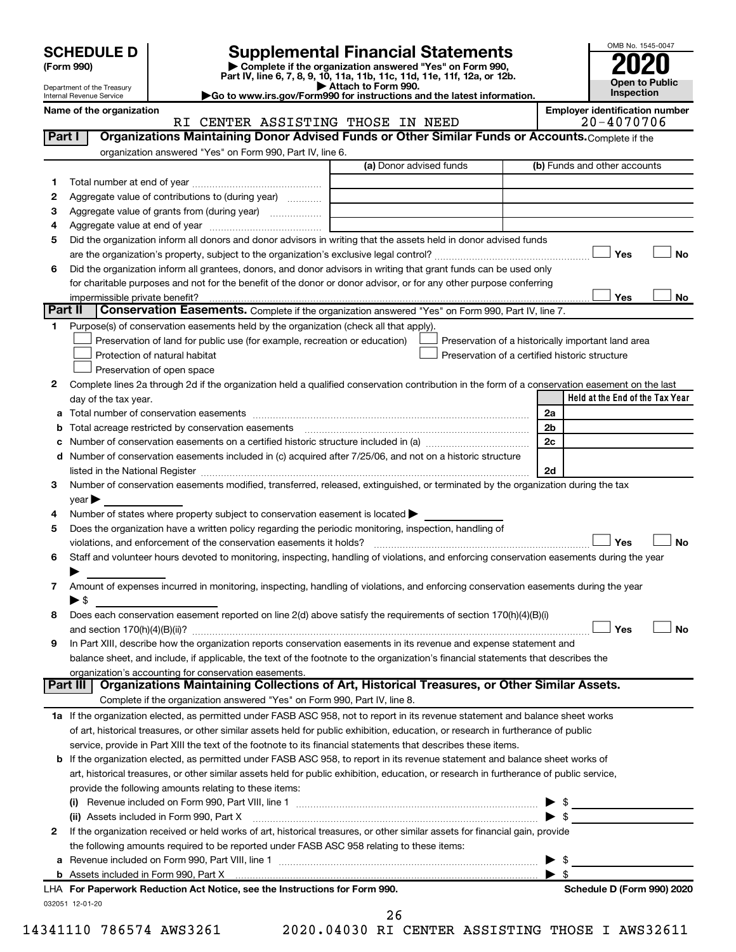| <b>SCHEDULE D</b> |  |
|-------------------|--|
|-------------------|--|

Department of the Treasury Internal Revenue Service

# **SCHEDULE D Supplemental Financial Statements**<br> **Form 990 2020**<br> **Part IV** line 6.7.8.9.10, 11a, 11b, 11d, 11d, 11d, 11d, 11d, 12a, 0r, 12b

**(Form 990) | Complete if the organization answered "Yes" on Form 990, Part IV, line 6, 7, 8, 9, 10, 11a, 11b, 11c, 11d, 11e, 11f, 12a, or 12b.**

**| Attach to Form 990. |Go to www.irs.gov/Form990 for instructions and the latest information.**



| Name of the organizatio |  |
|-------------------------|--|
|-------------------------|--|

<sup>on</sup><br>RI CENTER ASSISTING THOSE IN NEED **RIM** 20-4070706 RI CENTER ASSISTING THOSE IN NEED

| Part I  | Organizations Maintaining Donor Advised Funds or Other Similar Funds or Accounts. Complete if the                                                                                                                             |                         |                         |                                                    |
|---------|-------------------------------------------------------------------------------------------------------------------------------------------------------------------------------------------------------------------------------|-------------------------|-------------------------|----------------------------------------------------|
|         | organization answered "Yes" on Form 990, Part IV, line 6.                                                                                                                                                                     | (a) Donor advised funds |                         | (b) Funds and other accounts                       |
|         |                                                                                                                                                                                                                               |                         |                         |                                                    |
| 1.      |                                                                                                                                                                                                                               |                         |                         |                                                    |
| 2       | Aggregate value of contributions to (during year)                                                                                                                                                                             |                         |                         |                                                    |
| з       | Aggregate value of grants from (during year)                                                                                                                                                                                  |                         |                         |                                                    |
| 4<br>5  | Did the organization inform all donors and donor advisors in writing that the assets held in donor advised funds                                                                                                              |                         |                         |                                                    |
|         |                                                                                                                                                                                                                               |                         |                         | Yes<br>No                                          |
| 6       | Did the organization inform all grantees, donors, and donor advisors in writing that grant funds can be used only                                                                                                             |                         |                         |                                                    |
|         | for charitable purposes and not for the benefit of the donor or donor advisor, or for any other purpose conferring                                                                                                            |                         |                         |                                                    |
|         |                                                                                                                                                                                                                               |                         |                         | Yes<br>No                                          |
| Part II | Conservation Easements. Complete if the organization answered "Yes" on Form 990, Part IV, line 7.                                                                                                                             |                         |                         |                                                    |
| 1       | Purpose(s) of conservation easements held by the organization (check all that apply).                                                                                                                                         |                         |                         |                                                    |
|         | Preservation of land for public use (for example, recreation or education)                                                                                                                                                    |                         |                         | Preservation of a historically important land area |
|         | Protection of natural habitat                                                                                                                                                                                                 |                         |                         | Preservation of a certified historic structure     |
|         | Preservation of open space                                                                                                                                                                                                    |                         |                         |                                                    |
| 2       | Complete lines 2a through 2d if the organization held a qualified conservation contribution in the form of a conservation easement on the last                                                                                |                         |                         |                                                    |
|         | day of the tax year.                                                                                                                                                                                                          |                         |                         | Held at the End of the Tax Year                    |
| а       |                                                                                                                                                                                                                               |                         | 2a                      |                                                    |
| b       |                                                                                                                                                                                                                               |                         | 2 <sub>b</sub>          |                                                    |
| с       |                                                                                                                                                                                                                               |                         | 2c                      |                                                    |
| d       | Number of conservation easements included in (c) acquired after 7/25/06, and not on a historic structure                                                                                                                      |                         |                         |                                                    |
|         | listed in the National Register [111] Marshall Register [11] Marshall Register [11] Marshall Register [11] Marshall Register [11] Marshall Register [11] Marshall Register [11] Marshall Register [11] Marshall Register [11] |                         | 2d                      |                                                    |
| 3       | Number of conservation easements modified, transferred, released, extinguished, or terminated by the organization during the tax                                                                                              |                         |                         |                                                    |
|         | year                                                                                                                                                                                                                          |                         |                         |                                                    |
| 4       | Number of states where property subject to conservation easement is located >                                                                                                                                                 |                         |                         |                                                    |
| 5       | Does the organization have a written policy regarding the periodic monitoring, inspection, handling of                                                                                                                        |                         |                         |                                                    |
|         | violations, and enforcement of the conservation easements it holds?                                                                                                                                                           |                         |                         | Yes<br><b>No</b>                                   |
| 6       | Staff and volunteer hours devoted to monitoring, inspecting, handling of violations, and enforcing conservation easements during the year                                                                                     |                         |                         |                                                    |
|         |                                                                                                                                                                                                                               |                         |                         |                                                    |
| 7       | Amount of expenses incurred in monitoring, inspecting, handling of violations, and enforcing conservation easements during the year                                                                                           |                         |                         |                                                    |
|         | $\blacktriangleright$ \$                                                                                                                                                                                                      |                         |                         |                                                    |
| 8       | Does each conservation easement reported on line 2(d) above satisfy the requirements of section 170(h)(4)(B)(i)                                                                                                               |                         |                         |                                                    |
|         |                                                                                                                                                                                                                               |                         |                         | Yes<br><b>No</b>                                   |
| 9       | In Part XIII, describe how the organization reports conservation easements in its revenue and expense statement and                                                                                                           |                         |                         |                                                    |
|         | balance sheet, and include, if applicable, the text of the footnote to the organization's financial statements that describes the                                                                                             |                         |                         |                                                    |
|         | organization's accounting for conservation easements.                                                                                                                                                                         |                         |                         |                                                    |
|         | Organizations Maintaining Collections of Art, Historical Treasures, or Other Similar Assets.<br>Part III                                                                                                                      |                         |                         |                                                    |
|         | Complete if the organization answered "Yes" on Form 990, Part IV, line 8.                                                                                                                                                     |                         |                         |                                                    |
|         | 1a If the organization elected, as permitted under FASB ASC 958, not to report in its revenue statement and balance sheet works                                                                                               |                         |                         |                                                    |
|         | of art, historical treasures, or other similar assets held for public exhibition, education, or research in furtherance of public                                                                                             |                         |                         |                                                    |
|         | service, provide in Part XIII the text of the footnote to its financial statements that describes these items.                                                                                                                |                         |                         |                                                    |
| b       | If the organization elected, as permitted under FASB ASC 958, to report in its revenue statement and balance sheet works of                                                                                                   |                         |                         |                                                    |
|         | art, historical treasures, or other similar assets held for public exhibition, education, or research in furtherance of public service,                                                                                       |                         |                         |                                                    |
|         | provide the following amounts relating to these items:                                                                                                                                                                        |                         |                         |                                                    |
|         |                                                                                                                                                                                                                               |                         |                         |                                                    |
|         | (ii) Assets included in Form 990, Part X                                                                                                                                                                                      |                         |                         | $\blacktriangleright$ \$                           |
| 2       | If the organization received or held works of art, historical treasures, or other similar assets for financial gain, provide                                                                                                  |                         |                         |                                                    |
|         | the following amounts required to be reported under FASB ASC 958 relating to these items:                                                                                                                                     |                         |                         |                                                    |
| а       |                                                                                                                                                                                                                               |                         | ▶                       | -\$                                                |
|         |                                                                                                                                                                                                                               |                         | $\blacktriangleright$ s |                                                    |
|         | LHA For Paperwork Reduction Act Notice, see the Instructions for Form 990.                                                                                                                                                    |                         |                         | Schedule D (Form 990) 2020                         |
|         | 032051 12-01-20                                                                                                                                                                                                               |                         |                         |                                                    |

26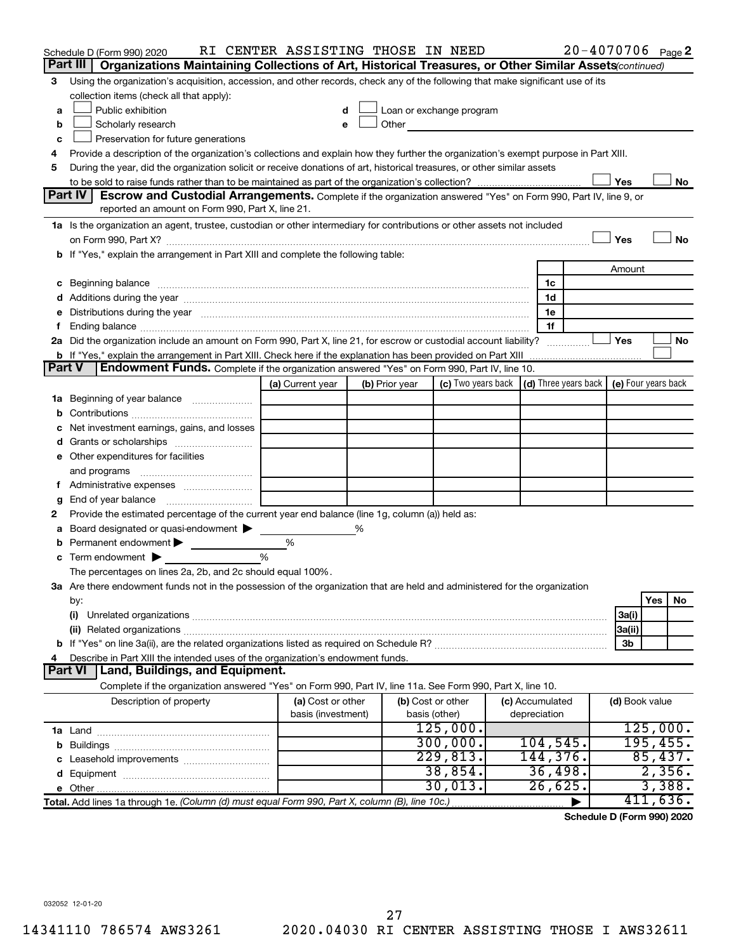|               | Schedule D (Form 990) 2020                                                                                                                                                                                                     | RI CENTER ASSISTING THOSE IN NEED |   |                |                                                                                                                                                                                                                               |                 | $20 - 4070706$ Page 2 |                |          |    |
|---------------|--------------------------------------------------------------------------------------------------------------------------------------------------------------------------------------------------------------------------------|-----------------------------------|---|----------------|-------------------------------------------------------------------------------------------------------------------------------------------------------------------------------------------------------------------------------|-----------------|-----------------------|----------------|----------|----|
|               | Part III<br>Organizations Maintaining Collections of Art, Historical Treasures, or Other Similar Assets (continued)                                                                                                            |                                   |   |                |                                                                                                                                                                                                                               |                 |                       |                |          |    |
| 3             | Using the organization's acquisition, accession, and other records, check any of the following that make significant use of its                                                                                                |                                   |   |                |                                                                                                                                                                                                                               |                 |                       |                |          |    |
|               | collection items (check all that apply):                                                                                                                                                                                       |                                   |   |                |                                                                                                                                                                                                                               |                 |                       |                |          |    |
| a             | Public exhibition                                                                                                                                                                                                              |                                   |   |                | Loan or exchange program                                                                                                                                                                                                      |                 |                       |                |          |    |
| b             | Scholarly research                                                                                                                                                                                                             |                                   |   |                | Other and the contract of the contract of the contract of the contract of the contract of the contract of the contract of the contract of the contract of the contract of the contract of the contract of the contract of the |                 |                       |                |          |    |
| с             | Preservation for future generations                                                                                                                                                                                            |                                   |   |                |                                                                                                                                                                                                                               |                 |                       |                |          |    |
| 4             | Provide a description of the organization's collections and explain how they further the organization's exempt purpose in Part XIII.                                                                                           |                                   |   |                |                                                                                                                                                                                                                               |                 |                       |                |          |    |
| 5             | During the year, did the organization solicit or receive donations of art, historical treasures, or other similar assets                                                                                                       |                                   |   |                |                                                                                                                                                                                                                               |                 |                       |                |          |    |
|               |                                                                                                                                                                                                                                |                                   |   |                |                                                                                                                                                                                                                               |                 |                       | Yes            |          | No |
|               | Part IV<br><b>Escrow and Custodial Arrangements.</b> Complete if the organization answered "Yes" on Form 990, Part IV, line 9, or                                                                                              |                                   |   |                |                                                                                                                                                                                                                               |                 |                       |                |          |    |
|               | reported an amount on Form 990, Part X, line 21.                                                                                                                                                                               |                                   |   |                |                                                                                                                                                                                                                               |                 |                       |                |          |    |
|               | 1a Is the organization an agent, trustee, custodian or other intermediary for contributions or other assets not included                                                                                                       |                                   |   |                |                                                                                                                                                                                                                               |                 |                       |                |          |    |
|               |                                                                                                                                                                                                                                |                                   |   |                |                                                                                                                                                                                                                               |                 |                       | Yes            |          | No |
|               | b If "Yes," explain the arrangement in Part XIII and complete the following table:                                                                                                                                             |                                   |   |                |                                                                                                                                                                                                                               |                 |                       |                |          |    |
|               |                                                                                                                                                                                                                                |                                   |   |                |                                                                                                                                                                                                                               |                 |                       | Amount         |          |    |
|               | c Beginning balance measurements and the contract of the contract of the contract of the contract of the contract of the contract of the contract of the contract of the contract of the contract of the contract of the contr |                                   |   |                |                                                                                                                                                                                                                               | 1c              |                       |                |          |    |
|               | d Additions during the year manufactured and an account of the year manufactured and account of the year manufactured and account of the year manufactured and account of the year manufactured and account of the year manufa |                                   |   |                |                                                                                                                                                                                                                               | 1d              |                       |                |          |    |
|               | e Distributions during the year manufactured and contained and contained and contained and contained and contained and contained and contained and contained and contained and contained and contained and contained and conta |                                   |   |                |                                                                                                                                                                                                                               | 1e<br>1f        |                       |                |          |    |
|               | 2a Did the organization include an amount on Form 990, Part X, line 21, for escrow or custodial account liability?                                                                                                             |                                   |   |                |                                                                                                                                                                                                                               |                 |                       | Yes            |          | No |
|               |                                                                                                                                                                                                                                |                                   |   |                |                                                                                                                                                                                                                               |                 |                       |                |          |    |
| <b>Part V</b> | Endowment Funds. Complete if the organization answered "Yes" on Form 990, Part IV, line 10.                                                                                                                                    |                                   |   |                |                                                                                                                                                                                                                               |                 |                       |                |          |    |
|               |                                                                                                                                                                                                                                | (a) Current year                  |   | (b) Prior year | (c) Two years back $\vert$ (d) Three years back $\vert$ (e) Four years back                                                                                                                                                   |                 |                       |                |          |    |
|               | <b>1a</b> Beginning of year balance                                                                                                                                                                                            |                                   |   |                |                                                                                                                                                                                                                               |                 |                       |                |          |    |
|               |                                                                                                                                                                                                                                |                                   |   |                |                                                                                                                                                                                                                               |                 |                       |                |          |    |
|               | Net investment earnings, gains, and losses                                                                                                                                                                                     |                                   |   |                |                                                                                                                                                                                                                               |                 |                       |                |          |    |
|               |                                                                                                                                                                                                                                |                                   |   |                |                                                                                                                                                                                                                               |                 |                       |                |          |    |
|               | e Other expenditures for facilities                                                                                                                                                                                            |                                   |   |                |                                                                                                                                                                                                                               |                 |                       |                |          |    |
|               | and programs                                                                                                                                                                                                                   |                                   |   |                |                                                                                                                                                                                                                               |                 |                       |                |          |    |
|               |                                                                                                                                                                                                                                |                                   |   |                |                                                                                                                                                                                                                               |                 |                       |                |          |    |
|               | <b>g</b> End of year balance $\ldots$                                                                                                                                                                                          |                                   |   |                |                                                                                                                                                                                                                               |                 |                       |                |          |    |
| 2             | Provide the estimated percentage of the current year end balance (line 1g, column (a)) held as:                                                                                                                                |                                   |   |                |                                                                                                                                                                                                                               |                 |                       |                |          |    |
| а             | Board designated or quasi-endowment                                                                                                                                                                                            |                                   | % |                |                                                                                                                                                                                                                               |                 |                       |                |          |    |
|               | <b>b</b> Permanent endowment $\blacktriangleright$                                                                                                                                                                             | %                                 |   |                |                                                                                                                                                                                                                               |                 |                       |                |          |    |
|               | $\mathbf c$ Term endowment $\blacktriangleright$                                                                                                                                                                               | %                                 |   |                |                                                                                                                                                                                                                               |                 |                       |                |          |    |
|               | The percentages on lines 2a, 2b, and 2c should equal 100%.                                                                                                                                                                     |                                   |   |                |                                                                                                                                                                                                                               |                 |                       |                |          |    |
|               | 3a Are there endowment funds not in the possession of the organization that are held and administered for the organization                                                                                                     |                                   |   |                |                                                                                                                                                                                                                               |                 |                       |                |          |    |
|               | by:                                                                                                                                                                                                                            |                                   |   |                |                                                                                                                                                                                                                               |                 |                       |                | Yes      | No |
|               | (i)                                                                                                                                                                                                                            |                                   |   |                |                                                                                                                                                                                                                               |                 |                       | 3a(i)          |          |    |
|               |                                                                                                                                                                                                                                |                                   |   |                |                                                                                                                                                                                                                               |                 |                       | 3a(ii)         |          |    |
|               |                                                                                                                                                                                                                                |                                   |   |                |                                                                                                                                                                                                                               |                 |                       | 3b             |          |    |
| 4             | Describe in Part XIII the intended uses of the organization's endowment funds.                                                                                                                                                 |                                   |   |                |                                                                                                                                                                                                                               |                 |                       |                |          |    |
|               | Land, Buildings, and Equipment.<br><b>Part VI</b>                                                                                                                                                                              |                                   |   |                |                                                                                                                                                                                                                               |                 |                       |                |          |    |
|               | Complete if the organization answered "Yes" on Form 990, Part IV, line 11a. See Form 990, Part X, line 10.                                                                                                                     |                                   |   |                |                                                                                                                                                                                                                               |                 |                       |                |          |    |
|               | Description of property                                                                                                                                                                                                        | (a) Cost or other                 |   |                | (b) Cost or other                                                                                                                                                                                                             | (c) Accumulated |                       | (d) Book value |          |    |
|               |                                                                                                                                                                                                                                | basis (investment)                |   |                | basis (other)                                                                                                                                                                                                                 | depreciation    |                       |                |          |    |
|               |                                                                                                                                                                                                                                |                                   |   |                | 125,000.                                                                                                                                                                                                                      |                 |                       |                | 125,000. |    |
|               |                                                                                                                                                                                                                                |                                   |   |                | 300,000.                                                                                                                                                                                                                      | 104, 545.       |                       |                | 195,455. |    |
|               |                                                                                                                                                                                                                                |                                   |   |                | 229,813.                                                                                                                                                                                                                      | 144,376.        |                       |                | 85,437.  |    |
|               |                                                                                                                                                                                                                                |                                   |   |                | 38,854.                                                                                                                                                                                                                       | 36,498.         |                       |                | 2,356.   |    |
|               |                                                                                                                                                                                                                                |                                   |   |                | 30,013.                                                                                                                                                                                                                       | 26,625.         |                       |                | 3,388.   |    |
|               | Total. Add lines 1a through 1e. (Column (d) must equal Form 990, Part X, column (B), line 10c.)                                                                                                                                |                                   |   |                |                                                                                                                                                                                                                               |                 |                       |                | 411,636. |    |

**Schedule D (Form 990) 2020**

032052 12-01-20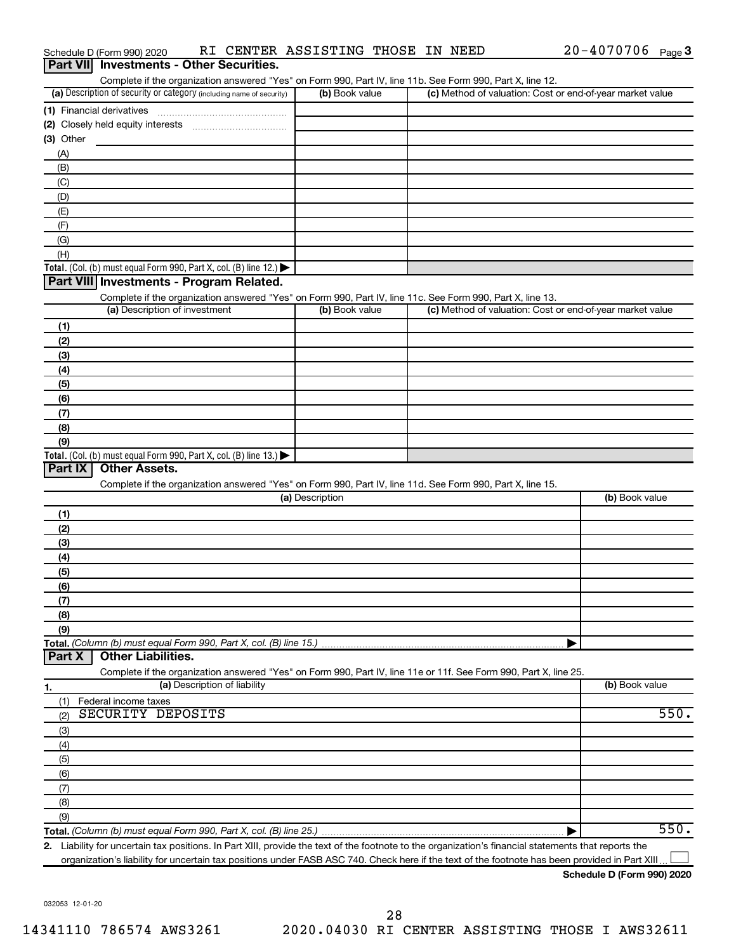| Part VII Investments - Other Securities.                                                                                                                                           |                 |                                                           |                |
|------------------------------------------------------------------------------------------------------------------------------------------------------------------------------------|-----------------|-----------------------------------------------------------|----------------|
| Complete if the organization answered "Yes" on Form 990, Part IV, line 11b. See Form 990, Part X, line 12.<br>(a) Description of security or category (including name of security) | (b) Book value  | (c) Method of valuation: Cost or end-of-year market value |                |
|                                                                                                                                                                                    |                 |                                                           |                |
|                                                                                                                                                                                    |                 |                                                           |                |
| (3) Other                                                                                                                                                                          |                 |                                                           |                |
| (A)                                                                                                                                                                                |                 |                                                           |                |
| (B)                                                                                                                                                                                |                 |                                                           |                |
| (C)                                                                                                                                                                                |                 |                                                           |                |
| (D)                                                                                                                                                                                |                 |                                                           |                |
| (E)                                                                                                                                                                                |                 |                                                           |                |
| (F)                                                                                                                                                                                |                 |                                                           |                |
| (G)                                                                                                                                                                                |                 |                                                           |                |
| (H)                                                                                                                                                                                |                 |                                                           |                |
| Total. (Col. (b) must equal Form 990, Part X, col. (B) line 12.) $\blacktriangleright$                                                                                             |                 |                                                           |                |
| Part VIII Investments - Program Related.                                                                                                                                           |                 |                                                           |                |
| Complete if the organization answered "Yes" on Form 990, Part IV, line 11c. See Form 990, Part X, line 13.                                                                         |                 |                                                           |                |
| (a) Description of investment                                                                                                                                                      | (b) Book value  | (c) Method of valuation: Cost or end-of-year market value |                |
| (1)                                                                                                                                                                                |                 |                                                           |                |
| (2)                                                                                                                                                                                |                 |                                                           |                |
| (3)                                                                                                                                                                                |                 |                                                           |                |
| (4)                                                                                                                                                                                |                 |                                                           |                |
| (5)                                                                                                                                                                                |                 |                                                           |                |
| (6)                                                                                                                                                                                |                 |                                                           |                |
| (7)                                                                                                                                                                                |                 |                                                           |                |
| (8)                                                                                                                                                                                |                 |                                                           |                |
| (9)                                                                                                                                                                                |                 |                                                           |                |
| Total. (Col. (b) must equal Form 990, Part X, col. (B) line 13.) $\blacktriangleright$<br>Part IX<br><b>Other Assets.</b>                                                          |                 |                                                           |                |
|                                                                                                                                                                                    |                 |                                                           |                |
| Complete if the organization answered "Yes" on Form 990, Part IV, line 11d. See Form 990, Part X, line 15.                                                                         | (a) Description |                                                           | (b) Book value |
|                                                                                                                                                                                    |                 |                                                           |                |
| (1)<br>(2)                                                                                                                                                                         |                 |                                                           |                |
| (3)                                                                                                                                                                                |                 |                                                           |                |
| (4)                                                                                                                                                                                |                 |                                                           |                |
| (5)                                                                                                                                                                                |                 |                                                           |                |
| (6)                                                                                                                                                                                |                 |                                                           |                |
| (7)                                                                                                                                                                                |                 |                                                           |                |
| (8)                                                                                                                                                                                |                 |                                                           |                |
| (9)                                                                                                                                                                                |                 |                                                           |                |
| Total. (Column (b) must equal Form 990, Part X, col. (B) line 15.)                                                                                                                 |                 |                                                           |                |
| <b>Other Liabilities.</b><br>Part X                                                                                                                                                |                 |                                                           |                |
| Complete if the organization answered "Yes" on Form 990, Part IV, line 11e or 11f. See Form 990, Part X, line 25.                                                                  |                 |                                                           |                |
| (a) Description of liability<br>1.                                                                                                                                                 |                 |                                                           | (b) Book value |
| Federal income taxes<br>(1)                                                                                                                                                        |                 |                                                           |                |
| SECURITY DEPOSITS<br>(2)                                                                                                                                                           |                 |                                                           | 550.           |
| (3)                                                                                                                                                                                |                 |                                                           |                |
| (4)                                                                                                                                                                                |                 |                                                           |                |
| (5)                                                                                                                                                                                |                 |                                                           |                |
| (6)                                                                                                                                                                                |                 |                                                           |                |
| (7)                                                                                                                                                                                |                 |                                                           |                |
| (8)                                                                                                                                                                                |                 |                                                           |                |
| (9)                                                                                                                                                                                |                 |                                                           |                |
|                                                                                                                                                                                    |                 |                                                           | 550.           |
| 2. Liability for uncertain tax positions. In Part XIII, provide the text of the footnote to the organization's financial statements that reports the                               |                 |                                                           |                |

Schedule D (Form 990) 2020 Page RI CENTER ASSISTING THOSE IN NEED 20-4070706

organization's liability for uncertain tax positions under FASB ASC 740. Check here if the text of the footnote has been provided in Part XIII...

20-4070706 Page 3

032053 12-01-20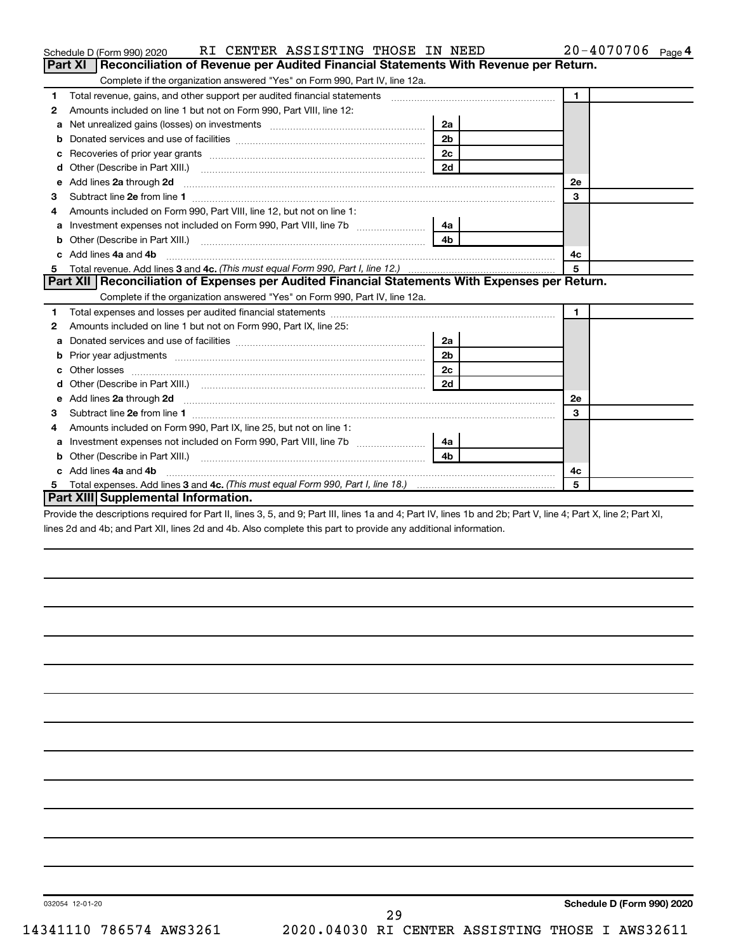|   | RI CENTER ASSISTING THOSE IN NEED<br>Schedule D (Form 990) 2020                                                                                                                                                                     |                | 20-4070706 Page 4 |
|---|-------------------------------------------------------------------------------------------------------------------------------------------------------------------------------------------------------------------------------------|----------------|-------------------|
|   | Part XI   Reconciliation of Revenue per Audited Financial Statements With Revenue per Return.                                                                                                                                       |                |                   |
|   | Complete if the organization answered "Yes" on Form 990, Part IV, line 12a.                                                                                                                                                         |                |                   |
| 1 | Total revenue, gains, and other support per audited financial statements [11] [11] Total revenue, gains, and other support per audited financial statements                                                                         |                | $\mathbf{1}$      |
| 2 | Amounts included on line 1 but not on Form 990, Part VIII, line 12:                                                                                                                                                                 |                |                   |
| a | Net unrealized gains (losses) on investments [111] [12] matter was uncontracted by the unrealized gains (losses) on investments                                                                                                     | 2a             |                   |
| b |                                                                                                                                                                                                                                     | 2 <sub>b</sub> |                   |
| c |                                                                                                                                                                                                                                     | 2c             |                   |
| d |                                                                                                                                                                                                                                     | 2d             |                   |
| е | Add lines 2a through 2d <b>[10]</b> University of the state of the state of the state of the state of the state of the state of the state of the state of the state of the state of the state of the state of the state of the stat |                | <b>2e</b>         |
| 3 |                                                                                                                                                                                                                                     |                | 3                 |
|   | Amounts included on Form 990, Part VIII, line 12, but not on line 1:                                                                                                                                                                |                |                   |
| a | Investment expenses not included on Form 990, Part VIII, line 7b                                                                                                                                                                    | 4a             |                   |
| b |                                                                                                                                                                                                                                     | 4 <sub>b</sub> |                   |
|   | Add lines 4a and 4b                                                                                                                                                                                                                 |                | 4с                |
| 5 |                                                                                                                                                                                                                                     |                | 5                 |
|   | Part XII Reconciliation of Expenses per Audited Financial Statements With Expenses per Return.                                                                                                                                      |                |                   |
|   | Complete if the organization answered "Yes" on Form 990, Part IV, line 12a.                                                                                                                                                         |                |                   |
| 1 |                                                                                                                                                                                                                                     |                | $\mathbf{1}$      |
| 2 | Amounts included on line 1 but not on Form 990, Part IX, line 25:                                                                                                                                                                   |                |                   |
| a |                                                                                                                                                                                                                                     | 2a             |                   |
| b |                                                                                                                                                                                                                                     | 2 <sub>b</sub> |                   |
|   |                                                                                                                                                                                                                                     | 2c             |                   |
|   |                                                                                                                                                                                                                                     | 2d             |                   |
| e | Add lines 2a through 2d <b>manufactures</b> in the contract of the state of the state of the state of the state of the state of the state of the state of the state of the state of the state of the state of the state of the stat |                | 2е                |
| З |                                                                                                                                                                                                                                     |                | 3                 |
| 4 | Amounts included on Form 990, Part IX, line 25, but not on line 1:                                                                                                                                                                  |                |                   |
| a |                                                                                                                                                                                                                                     | 4a             |                   |
|   |                                                                                                                                                                                                                                     | 4 <sub>h</sub> |                   |
|   | c Add lines 4a and 4b                                                                                                                                                                                                               |                | 4с                |
|   |                                                                                                                                                                                                                                     |                | 5                 |
|   | Part XIII Supplemental Information.                                                                                                                                                                                                 |                |                   |

Provide the descriptions required for Part II, lines 3, 5, and 9; Part III, lines 1a and 4; Part IV, lines 1b and 2b; Part V, line 4; Part X, line 2; Part XI, lines 2d and 4b; and Part XII, lines 2d and 4b. Also complete this part to provide any additional information.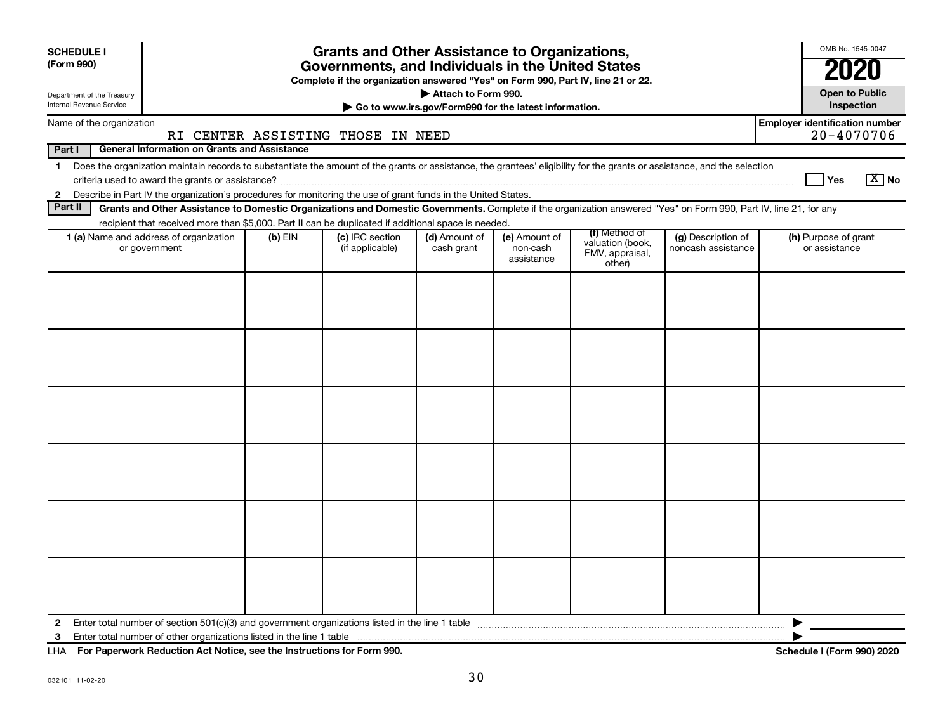| <b>SCHEDULE I</b><br>(Form 990)                         |                                                                                                                                                                          |           | <b>Grants and Other Assistance to Organizations,</b><br>Governments, and Individuals in the United States<br>Complete if the organization answered "Yes" on Form 990, Part IV, line 21 or 22. |                                                       |                                         |                                               |                                          | OMB No. 1545-0047<br>2020                           |
|---------------------------------------------------------|--------------------------------------------------------------------------------------------------------------------------------------------------------------------------|-----------|-----------------------------------------------------------------------------------------------------------------------------------------------------------------------------------------------|-------------------------------------------------------|-----------------------------------------|-----------------------------------------------|------------------------------------------|-----------------------------------------------------|
| Department of the Treasury                              |                                                                                                                                                                          |           |                                                                                                                                                                                               | Attach to Form 990.                                   |                                         |                                               |                                          | <b>Open to Public</b>                               |
| <b>Internal Revenue Service</b>                         |                                                                                                                                                                          |           |                                                                                                                                                                                               | Go to www.irs.gov/Form990 for the latest information. |                                         |                                               |                                          | Inspection                                          |
| Name of the organization                                |                                                                                                                                                                          |           | RI CENTER ASSISTING THOSE IN NEED                                                                                                                                                             |                                                       |                                         |                                               |                                          | <b>Employer identification number</b><br>20-4070706 |
| Part I                                                  | <b>General Information on Grants and Assistance</b>                                                                                                                      |           |                                                                                                                                                                                               |                                                       |                                         |                                               |                                          |                                                     |
| $\mathbf 1$                                             | Does the organization maintain records to substantiate the amount of the grants or assistance, the grantees' eligibility for the grants or assistance, and the selection |           |                                                                                                                                                                                               |                                                       |                                         |                                               |                                          | $\boxed{\text{X}}$ No<br><b>Yes</b>                 |
| $\mathbf{2}$                                            | Describe in Part IV the organization's procedures for monitoring the use of grant funds in the United States.                                                            |           |                                                                                                                                                                                               |                                                       |                                         |                                               |                                          |                                                     |
| Part II                                                 | Grants and Other Assistance to Domestic Organizations and Domestic Governments. Complete if the organization answered "Yes" on Form 990, Part IV, line 21, for any       |           |                                                                                                                                                                                               |                                                       |                                         |                                               |                                          |                                                     |
|                                                         | recipient that received more than \$5,000. Part II can be duplicated if additional space is needed.                                                                      |           |                                                                                                                                                                                               |                                                       |                                         | (f) Method of                                 |                                          |                                                     |
| 1 (a) Name and address of organization<br>or government |                                                                                                                                                                          | $(b)$ EIN | (c) IRC section<br>(if applicable)                                                                                                                                                            | (d) Amount of<br>cash grant                           | (e) Amount of<br>non-cash<br>assistance | valuation (book,<br>FMV, appraisal,<br>other) | (g) Description of<br>noncash assistance | (h) Purpose of grant<br>or assistance               |
|                                                         |                                                                                                                                                                          |           |                                                                                                                                                                                               |                                                       |                                         |                                               |                                          |                                                     |
| $\mathbf{2}$                                            |                                                                                                                                                                          |           |                                                                                                                                                                                               |                                                       |                                         |                                               |                                          |                                                     |
| 3                                                       |                                                                                                                                                                          |           |                                                                                                                                                                                               |                                                       |                                         |                                               |                                          |                                                     |

**For Paperwork Reduction Act Notice, see the Instructions for Form 990. Schedule I (Form 990) 2020** LHA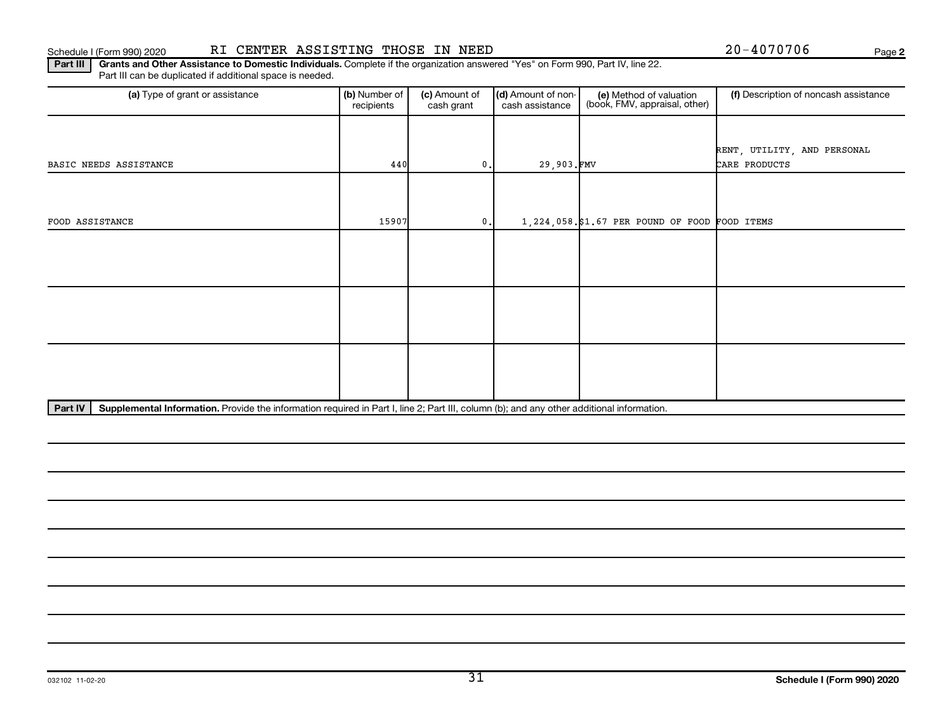**2**

Part III | Grants and Other Assistance to Domestic Individuals. Complete if the organization answered "Yes" on Form 990, Part IV, line 22. Part III can be duplicated if additional space is needed.

| (a) Type of grant or assistance | (b) Number of<br>recipients                                                                                                               | (c) Amount of<br>cash grant | (d) Amount of non-<br>cash assistance | (e) Method of valuation<br>(book, FMV, appraisal, other) | (f) Description of noncash assistance |  |  |  |  |
|---------------------------------|-------------------------------------------------------------------------------------------------------------------------------------------|-----------------------------|---------------------------------------|----------------------------------------------------------|---------------------------------------|--|--|--|--|
|                                 |                                                                                                                                           |                             |                                       |                                                          |                                       |  |  |  |  |
|                                 |                                                                                                                                           |                             |                                       |                                                          | RENT, UTILITY, AND PERSONAL           |  |  |  |  |
| BASIC NEEDS ASSISTANCE          | 440                                                                                                                                       | 0.                          | 29,903.FMV                            |                                                          | CARE PRODUCTS                         |  |  |  |  |
|                                 |                                                                                                                                           |                             |                                       |                                                          |                                       |  |  |  |  |
|                                 |                                                                                                                                           |                             |                                       |                                                          |                                       |  |  |  |  |
| FOOD ASSISTANCE                 | 15907                                                                                                                                     | 0.                          |                                       | $1,224,058$ .\$1.67 PER POUND OF FOOD FOOD ITEMS         |                                       |  |  |  |  |
|                                 |                                                                                                                                           |                             |                                       |                                                          |                                       |  |  |  |  |
|                                 |                                                                                                                                           |                             |                                       |                                                          |                                       |  |  |  |  |
|                                 |                                                                                                                                           |                             |                                       |                                                          |                                       |  |  |  |  |
|                                 |                                                                                                                                           |                             |                                       |                                                          |                                       |  |  |  |  |
|                                 |                                                                                                                                           |                             |                                       |                                                          |                                       |  |  |  |  |
|                                 |                                                                                                                                           |                             |                                       |                                                          |                                       |  |  |  |  |
|                                 |                                                                                                                                           |                             |                                       |                                                          |                                       |  |  |  |  |
|                                 |                                                                                                                                           |                             |                                       |                                                          |                                       |  |  |  |  |
|                                 |                                                                                                                                           |                             |                                       |                                                          |                                       |  |  |  |  |
| Part IV                         | Supplemental Information. Provide the information required in Part I, line 2; Part III, column (b); and any other additional information. |                             |                                       |                                                          |                                       |  |  |  |  |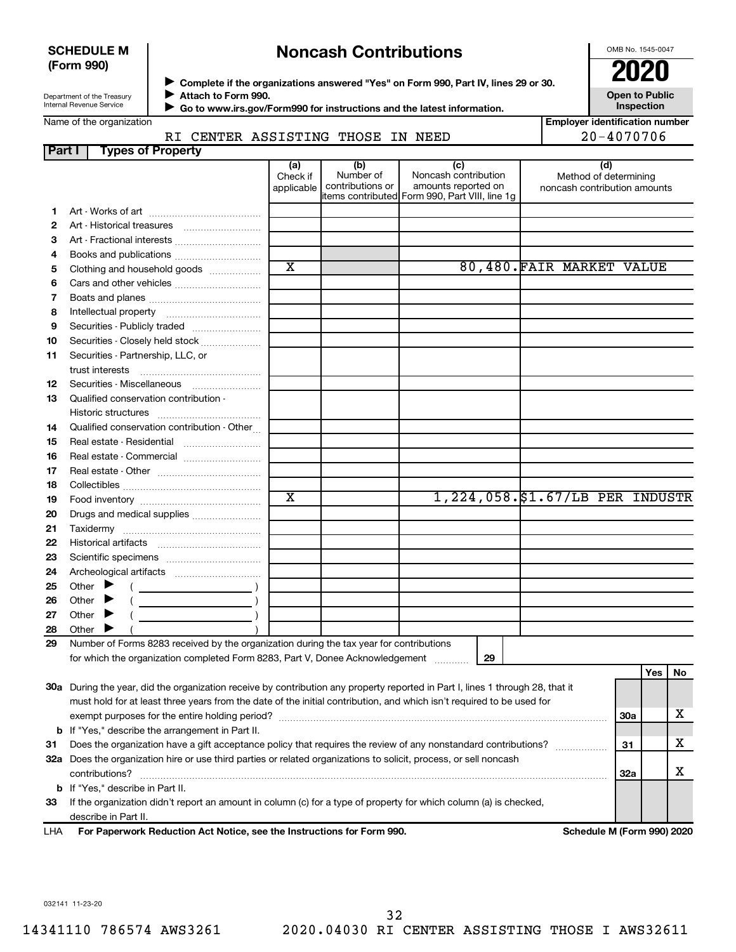#### **SCHEDULE M (Form 990)**

## **Noncash Contributions**

OMB No. 1545-0047

| Department of the Treasury      |  |
|---------------------------------|--|
| <b>Internal Revenue Service</b> |  |

◆ Complete if the organizations answered "Yes" on Form 990, Part IV, lines 29 or 30.<br>● Complete if the organizations answered "Yes" on Form 990, Part IV, lines 29 or 30. **Attach to Form 990.**  $\blacktriangleright$ 

 **Go to www.irs.gov/Form990 for instructions and the latest information.** J

**Inspection Employer identification number**

**Open to Public**

| Name of the organization |  |
|--------------------------|--|
|--------------------------|--|

RI CENTER ASSISTING THOSE IN NEED  $20-4070706$ 

| Part I | <b>Types of Property</b>                                                                                                                                                 |                       |                               |                                                |                                 |            |          |
|--------|--------------------------------------------------------------------------------------------------------------------------------------------------------------------------|-----------------------|-------------------------------|------------------------------------------------|---------------------------------|------------|----------|
|        |                                                                                                                                                                          | (a)                   | (b)                           | (c)                                            | (d)                             |            |          |
|        |                                                                                                                                                                          | Check if              | Number of<br>contributions or | Noncash contribution<br>amounts reported on    | Method of determining           |            |          |
|        |                                                                                                                                                                          | applicable            |                               | items contributed Form 990, Part VIII, line 1g | noncash contribution amounts    |            |          |
| 1      |                                                                                                                                                                          |                       |                               |                                                |                                 |            |          |
| 2      |                                                                                                                                                                          |                       |                               |                                                |                                 |            |          |
| З      |                                                                                                                                                                          |                       |                               |                                                |                                 |            |          |
| 4      |                                                                                                                                                                          |                       |                               |                                                |                                 |            |          |
| 5      | Clothing and household goods                                                                                                                                             | $\overline{\text{x}}$ |                               |                                                | 80,480. FAIR MARKET VALUE       |            |          |
| 6      |                                                                                                                                                                          |                       |                               |                                                |                                 |            |          |
| 7      |                                                                                                                                                                          |                       |                               |                                                |                                 |            |          |
| 8      |                                                                                                                                                                          |                       |                               |                                                |                                 |            |          |
| 9      | Securities - Publicly traded                                                                                                                                             |                       |                               |                                                |                                 |            |          |
| 10     | Securities - Closely held stock                                                                                                                                          |                       |                               |                                                |                                 |            |          |
| 11     | Securities - Partnership, LLC, or                                                                                                                                        |                       |                               |                                                |                                 |            |          |
|        | trust interests                                                                                                                                                          |                       |                               |                                                |                                 |            |          |
| 12     | Securities - Miscellaneous                                                                                                                                               |                       |                               |                                                |                                 |            |          |
| 13     | Qualified conservation contribution -                                                                                                                                    |                       |                               |                                                |                                 |            |          |
|        |                                                                                                                                                                          |                       |                               |                                                |                                 |            |          |
| 14     | Qualified conservation contribution - Other                                                                                                                              |                       |                               |                                                |                                 |            |          |
| 15     |                                                                                                                                                                          |                       |                               |                                                |                                 |            |          |
| 16     |                                                                                                                                                                          |                       |                               |                                                |                                 |            |          |
| 17     |                                                                                                                                                                          |                       |                               |                                                |                                 |            |          |
| 18     |                                                                                                                                                                          |                       |                               |                                                |                                 |            |          |
| 19     |                                                                                                                                                                          | $\overline{\text{x}}$ |                               |                                                | 1,224,058.\$1.67/LB PER INDUSTR |            |          |
| 20     | Drugs and medical supplies                                                                                                                                               |                       |                               |                                                |                                 |            |          |
| 21     |                                                                                                                                                                          |                       |                               |                                                |                                 |            |          |
| 22     |                                                                                                                                                                          |                       |                               |                                                |                                 |            |          |
| 23     |                                                                                                                                                                          |                       |                               |                                                |                                 |            |          |
| 24     |                                                                                                                                                                          |                       |                               |                                                |                                 |            |          |
| 25     | Other $\blacktriangleright$                                                                                                                                              |                       |                               |                                                |                                 |            |          |
| 26     | Other $\blacktriangleright$                                                                                                                                              |                       |                               |                                                |                                 |            |          |
| 27     | Other $\blacktriangleright$                                                                                                                                              |                       |                               |                                                |                                 |            |          |
| 28     | Other $\blacktriangleright$                                                                                                                                              |                       |                               |                                                |                                 |            |          |
| 29     | Number of Forms 8283 received by the organization during the tax year for contributions<br>for which the organization completed Form 8283, Part V, Donee Acknowledgement |                       |                               | 29                                             |                                 |            |          |
|        |                                                                                                                                                                          |                       |                               |                                                |                                 |            |          |
|        | 30a During the year, did the organization receive by contribution any property reported in Part I, lines 1 through 28, that it                                           |                       |                               |                                                |                                 |            | Yes   No |
|        | must hold for at least three years from the date of the initial contribution, and which isn't required to be used for                                                    |                       |                               |                                                |                                 |            |          |
|        |                                                                                                                                                                          |                       |                               |                                                |                                 | <b>30a</b> | x        |
|        | <b>b</b> If "Yes," describe the arrangement in Part II.                                                                                                                  |                       |                               |                                                |                                 |            |          |
| 31     | Does the organization have a gift acceptance policy that requires the review of any nonstandard contributions?                                                           |                       |                               |                                                |                                 | 31         | х        |
|        | 32a Does the organization hire or use third parties or related organizations to solicit, process, or sell noncash                                                        |                       |                               |                                                |                                 |            |          |
|        | contributions?                                                                                                                                                           |                       |                               |                                                |                                 | 32a        | х        |
|        | <b>b</b> If "Yes," describe in Part II.                                                                                                                                  |                       |                               |                                                |                                 |            |          |
| 33     | If the organization didn't report an amount in column (c) for a type of property for which column (a) is checked,                                                        |                       |                               |                                                |                                 |            |          |
|        | describe in Part II.                                                                                                                                                     |                       |                               |                                                |                                 |            |          |
|        |                                                                                                                                                                          |                       |                               |                                                |                                 |            |          |

**For Paperwork Reduction Act Notice, see the Instructions for Form 990. Schedule M (Form 990) 2020** LHA

032141 11-23-20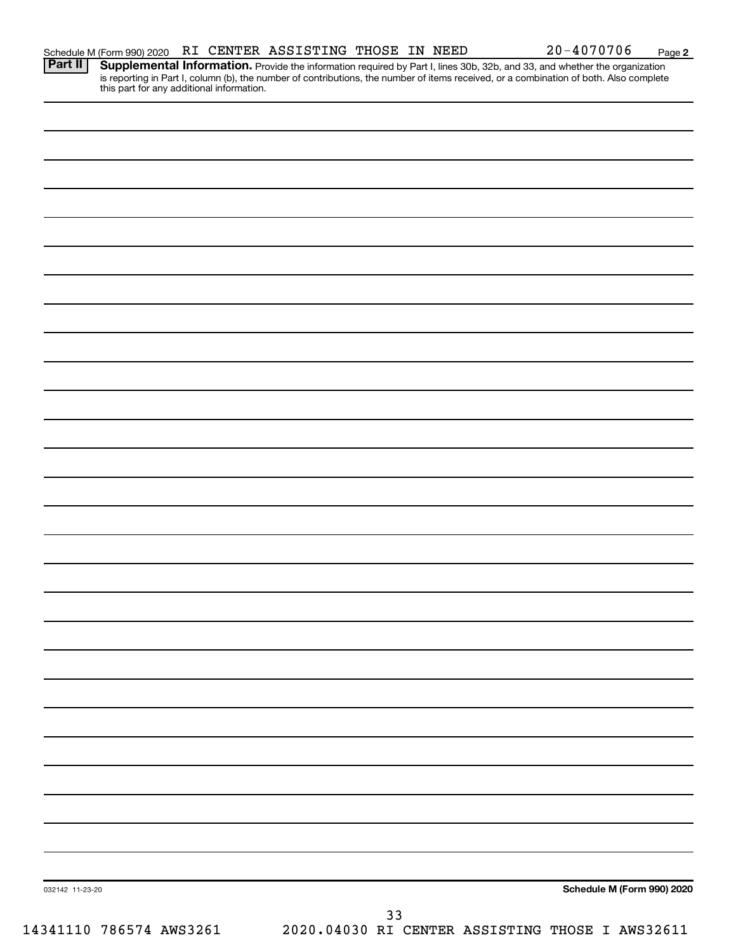**2**

Provide the information required by Part I, lines 30b, 32b, and 33, and whether the organization is reporting in Part I, column (b), the number of contributions, the number of items received, or a combination of both. Also complete this part for any additional information. **Part II Supplemental Information.** 

| 032142 11-23-20 |  | Schedule M (Form 990) 2020 |
|-----------------|--|----------------------------|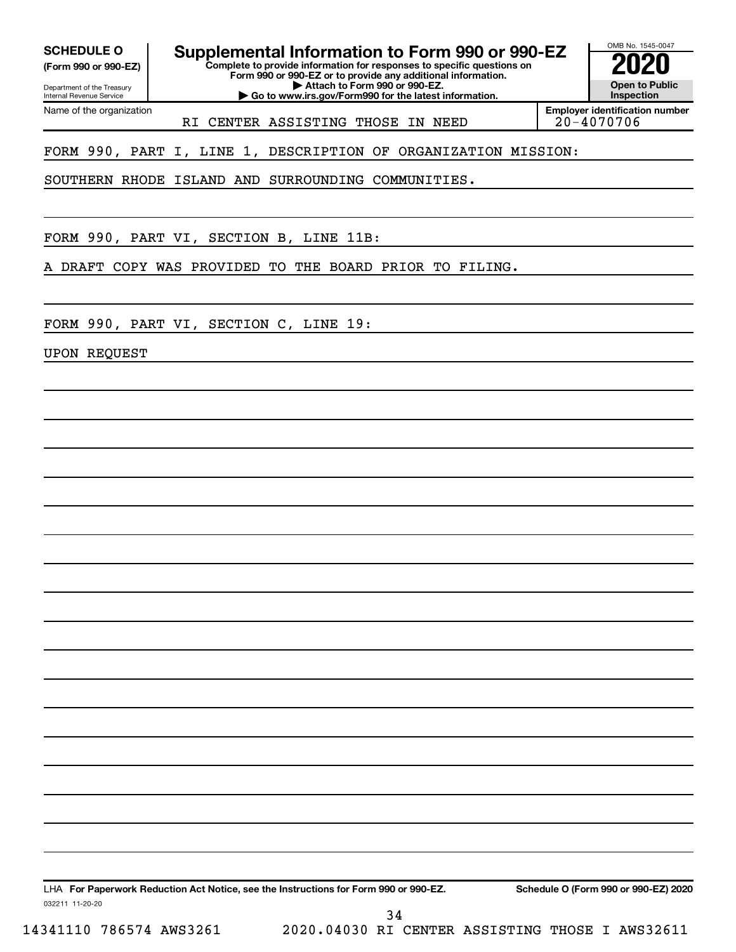Department of the Treasury **(Form 990 or 990-EZ)**

**Complete to provide information for responses to specific questions on SCHEDULE O Supplemental Information to Form 990 or 990-EZ 2020** 

**Form 990 or 990-EZ or to provide any additional information. | Attach to Form 990 or 990-EZ.**

**| Go to www.irs.gov/Form990 for the latest information.**

OMB No. 1545-0047 **Open to Public Inspection**

Internal Revenue Service Name of the organization

RI CENTER ASSISTING THOSE IN NEED

**Employer identification number**

FORM 990, PART I, LINE 1, DESCRIPTION OF ORGANIZATION MISSION:

SOUTHERN RHODE ISLAND AND SURROUNDING COMMUNITIES.

FORM 990, PART VI, SECTION B, LINE 11B:

A DRAFT COPY WAS PROVIDED TO THE BOARD PRIOR TO FILING.

FORM 990, PART VI, SECTION C, LINE 19:

UPON REQUEST

**For Paperwork Reduction Act Notice, see the Instructions for Form 990 or 990-EZ. Schedule O (Form 990 or 990-EZ) 2020** LHA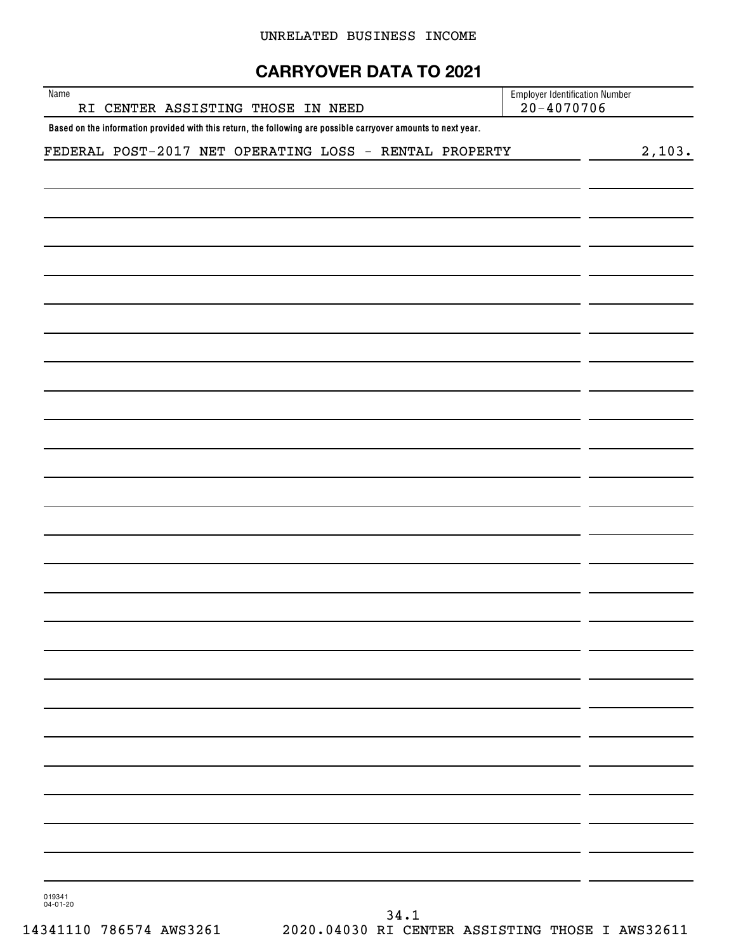#### UNRELATED BUSINESS INCOME

## **CARRYOVER DATA TO 2021**

| Name<br>RI CENTER ASSISTING THOSE IN NEED                                                                      | <b>Employer Identification Number</b><br>$20 - 4070706$ |
|----------------------------------------------------------------------------------------------------------------|---------------------------------------------------------|
| Based on the information provided with this return, the following are possible carryover amounts to next year. |                                                         |
| FEDERAL POST-2017 NET OPERATING LOSS - RENTAL PROPERTY                                                         | 2,103.                                                  |
|                                                                                                                |                                                         |
|                                                                                                                |                                                         |
|                                                                                                                |                                                         |
|                                                                                                                |                                                         |
|                                                                                                                |                                                         |
|                                                                                                                |                                                         |
|                                                                                                                |                                                         |
|                                                                                                                |                                                         |
|                                                                                                                |                                                         |
|                                                                                                                |                                                         |
|                                                                                                                |                                                         |
|                                                                                                                |                                                         |
|                                                                                                                |                                                         |
|                                                                                                                |                                                         |
|                                                                                                                |                                                         |
|                                                                                                                |                                                         |
|                                                                                                                |                                                         |
|                                                                                                                |                                                         |
|                                                                                                                |                                                         |
|                                                                                                                |                                                         |
|                                                                                                                |                                                         |
|                                                                                                                |                                                         |
|                                                                                                                |                                                         |
|                                                                                                                |                                                         |
|                                                                                                                |                                                         |
|                                                                                                                |                                                         |
|                                                                                                                |                                                         |
|                                                                                                                |                                                         |
|                                                                                                                |                                                         |
|                                                                                                                |                                                         |
|                                                                                                                |                                                         |
|                                                                                                                |                                                         |
|                                                                                                                |                                                         |
|                                                                                                                |                                                         |

019341 04-01-20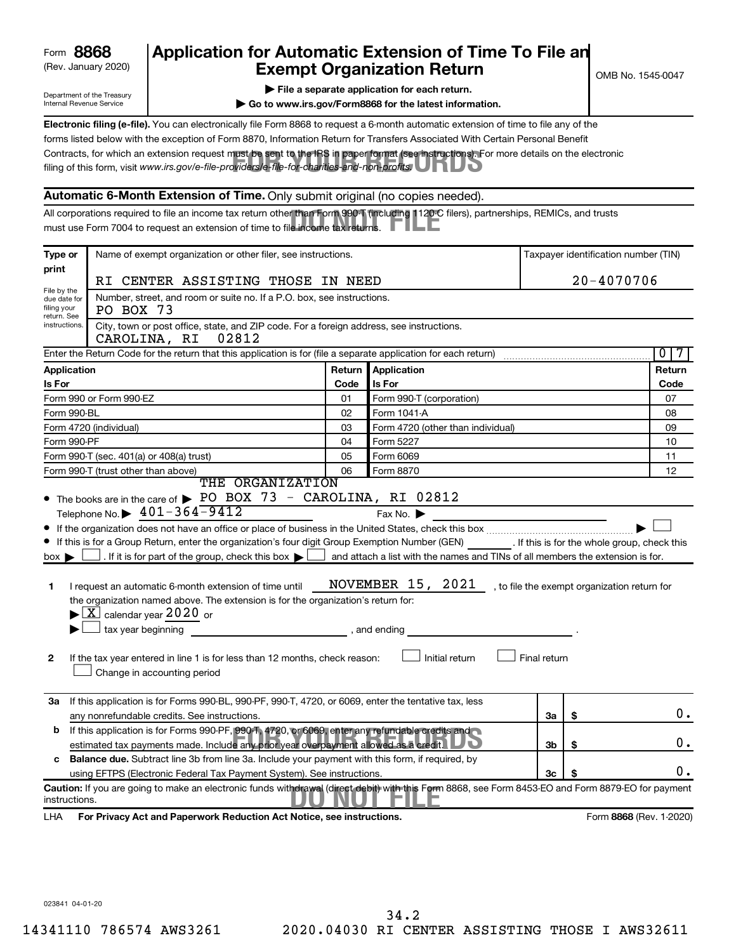| 8868<br>Form |
|--------------|
|--------------|

## (Rev. January 2020) **Cxempt Organization Return** Manuary 2020) and the settern **Canadian Exempt Organization Return Form 8868 Application for Automatic Extension of Time To File an**<br>**Exempt Organization Beturn**

Department of the Treasury Internal Revenue Service

|  | $\blacktriangleright$ File a separate application for each return. |  |
|--|--------------------------------------------------------------------|--|

**| Go to www.irs.gov/Form8868 for the latest information.**

Contracts, for which an extension request must be sent to the IRS in paper format (see instructions). For more details on the electronic<br>filing of this form, visit www.irs.*gov/e-file-providers/e-file-for-charities-and-non* **Electronic filing (e-file).** You can electronically file Form 8868 to request a 6-month automatic extension of time to file any of the filing of this form, visit www.irs.gov/e-file-providers/e-file-for-charities-and-non-profits. forms listed below with the exception of Form 8870, Information Return for Transfers Associated With Certain Personal Benefit

#### **Automatic 6-Month Extension of Time.** Only submit original (no copies needed).

All corporations required to file an income tax return other than Form 990-T (including 1120-C filers), partnerships, REMICs, and trusts<br>must use Form 7004 to request an extension of time to file income tax returns. must use Form 7004 to request an extension of time to file income tax returns.

| Type or                                                                                                                                                                                                 | Name of exempt organization or other filer, see instructions.                                                                                                                                                                                                                                                                                                                                                                                                                                                                                                                                                                                                                    |        |                                                                |              |    | Taxpayer identification number (TIN)         |  |
|---------------------------------------------------------------------------------------------------------------------------------------------------------------------------------------------------------|----------------------------------------------------------------------------------------------------------------------------------------------------------------------------------------------------------------------------------------------------------------------------------------------------------------------------------------------------------------------------------------------------------------------------------------------------------------------------------------------------------------------------------------------------------------------------------------------------------------------------------------------------------------------------------|--------|----------------------------------------------------------------|--------------|----|----------------------------------------------|--|
| print                                                                                                                                                                                                   |                                                                                                                                                                                                                                                                                                                                                                                                                                                                                                                                                                                                                                                                                  |        |                                                                |              |    |                                              |  |
| 20-4070706<br>RI CENTER ASSISTING THOSE IN NEED<br>File by the                                                                                                                                          |                                                                                                                                                                                                                                                                                                                                                                                                                                                                                                                                                                                                                                                                                  |        |                                                                |              |    |                                              |  |
| Number, street, and room or suite no. If a P.O. box, see instructions.<br>due date for<br>filing your<br>PO BOX 73<br>return. See                                                                       |                                                                                                                                                                                                                                                                                                                                                                                                                                                                                                                                                                                                                                                                                  |        |                                                                |              |    |                                              |  |
| instructions.                                                                                                                                                                                           | City, town or post office, state, and ZIP code. For a foreign address, see instructions.<br>CAROLINA, RI<br>02812                                                                                                                                                                                                                                                                                                                                                                                                                                                                                                                                                                |        |                                                                |              |    |                                              |  |
|                                                                                                                                                                                                         | Enter the Return Code for the return that this application is for (file a separate application for each return)                                                                                                                                                                                                                                                                                                                                                                                                                                                                                                                                                                  |        |                                                                |              |    | $\overline{0}$                               |  |
| <b>Application</b>                                                                                                                                                                                      |                                                                                                                                                                                                                                                                                                                                                                                                                                                                                                                                                                                                                                                                                  | Return | Application                                                    |              |    | Return                                       |  |
| Is For                                                                                                                                                                                                  |                                                                                                                                                                                                                                                                                                                                                                                                                                                                                                                                                                                                                                                                                  | Code   | Is For                                                         |              |    | Code                                         |  |
|                                                                                                                                                                                                         | Form 990 or Form 990-EZ                                                                                                                                                                                                                                                                                                                                                                                                                                                                                                                                                                                                                                                          | 01     | Form 990-T (corporation)                                       |              |    | 07                                           |  |
| Form 990-BL                                                                                                                                                                                             |                                                                                                                                                                                                                                                                                                                                                                                                                                                                                                                                                                                                                                                                                  | 02     | Form 1041-A                                                    |              |    | 08                                           |  |
|                                                                                                                                                                                                         | Form 4720 (individual)                                                                                                                                                                                                                                                                                                                                                                                                                                                                                                                                                                                                                                                           | 03     | Form 4720 (other than individual)                              |              |    | 09                                           |  |
| Form 990-PF                                                                                                                                                                                             |                                                                                                                                                                                                                                                                                                                                                                                                                                                                                                                                                                                                                                                                                  | 04     | Form 5227                                                      |              |    | 10                                           |  |
|                                                                                                                                                                                                         | Form 990-T (sec. 401(a) or 408(a) trust)                                                                                                                                                                                                                                                                                                                                                                                                                                                                                                                                                                                                                                         | 05     | Form 6069                                                      |              |    | 11                                           |  |
|                                                                                                                                                                                                         | Form 990-T (trust other than above)<br>THE ORGANIZATION                                                                                                                                                                                                                                                                                                                                                                                                                                                                                                                                                                                                                          | 06     | Form 8870                                                      |              |    | 12                                           |  |
| $box \blacktriangleright$<br>1<br>2                                                                                                                                                                     | Telephone No. $\triangleright$ 401-364-9412<br>If this is for a Group Return, enter the organization's four digit Group Exemption Number (GEN) [If this is for the whole group, check this<br>If it is for part of the group, check this box $\blacktriangleright$ and attach a list with the names and TINs of all members the extension is for.<br>I request an automatic 6-month extension of time until<br>the organization named above. The extension is for the organization's return for:<br>$\blacktriangleright$ $\boxed{\text{X}}$ calendar year 2020 or<br>If the tax year entered in line 1 is for less than 12 months, check reason:<br>Change in accounting period |        | Fax No.<br>NOVEMBER 15, 2021<br>, and ending<br>Initial return | Final return |    | , to file the exempt organization return for |  |
| За                                                                                                                                                                                                      | If this application is for Forms 990-BL, 990-PF, 990-T, 4720, or 6069, enter the tentative tax, less<br>any nonrefundable credits. See instructions.                                                                                                                                                                                                                                                                                                                                                                                                                                                                                                                             |        |                                                                | За           | \$ | 0.                                           |  |
| If this application is for Forms 990-PF, 990-T, 4720, or 6069, enter any refundable credits and<br>b<br>estimated tax payments made. Include any prior year overpayment allowed as a credit.<br>3b<br>S |                                                                                                                                                                                                                                                                                                                                                                                                                                                                                                                                                                                                                                                                                  |        |                                                                |              |    |                                              |  |
| c                                                                                                                                                                                                       | <b>Balance due.</b> Subtract line 3b from line 3a. Include your payment with this form, if required, by                                                                                                                                                                                                                                                                                                                                                                                                                                                                                                                                                                          |        |                                                                |              |    |                                              |  |
|                                                                                                                                                                                                         | using EFTPS (Electronic Federal Tax Payment System). See instructions.                                                                                                                                                                                                                                                                                                                                                                                                                                                                                                                                                                                                           |        |                                                                | 3c           | S  | Ο.                                           |  |
| instructions.                                                                                                                                                                                           | Caution: If you are going to make an electronic funds withdrawal (direct debit) with this Form 8868, see Form 8453-EO and Form 8879-EO for payment                                                                                                                                                                                                                                                                                                                                                                                                                                                                                                                               |        |                                                                |              |    |                                              |  |
| LHA                                                                                                                                                                                                     | For Privacy Act and Paperwork Reduction Act Notice, see instructions.                                                                                                                                                                                                                                                                                                                                                                                                                                                                                                                                                                                                            |        |                                                                |              |    | Form 8868 (Rev. 1-2020)                      |  |

023841 04-01-20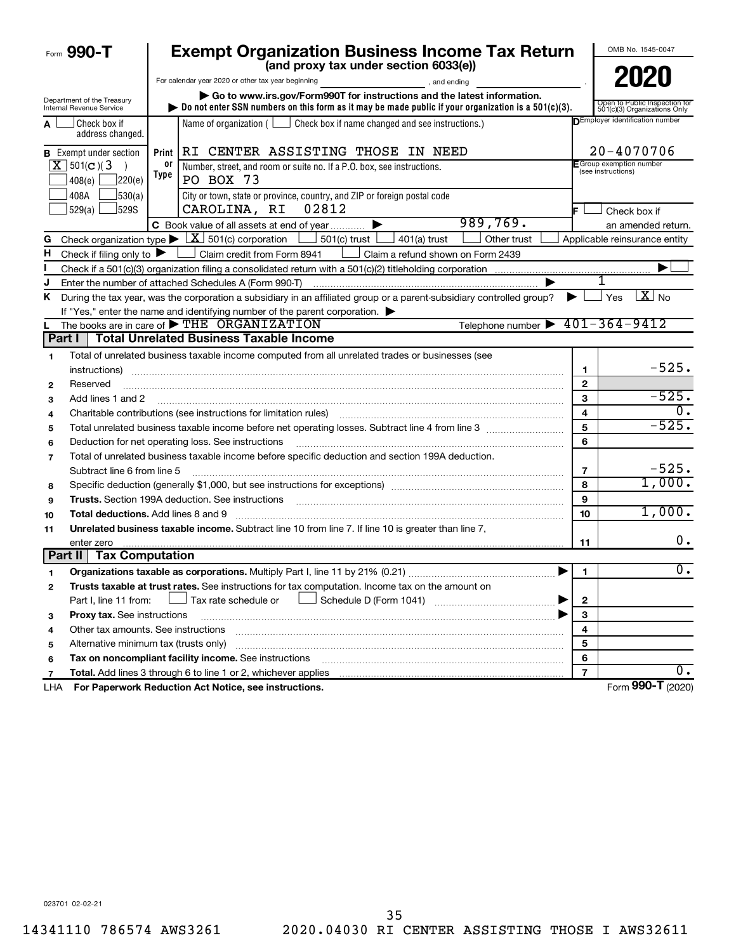|         | Form 990-T                                             |            | <b>Exempt Organization Business Income Tax Return</b><br>(and proxy tax under section 6033(e))                                                                                               |                         | OMB No. 1545-0047                                             |
|---------|--------------------------------------------------------|------------|----------------------------------------------------------------------------------------------------------------------------------------------------------------------------------------------|-------------------------|---------------------------------------------------------------|
|         |                                                        |            | For calendar year 2020 or other tax year beginning                                                                                                                                           |                         | 2020                                                          |
|         | Department of the Treasury<br>Internal Revenue Service |            | and ending<br>Go to www.irs.gov/Form990T for instructions and the latest information.<br>Do not enter SSN numbers on this form as it may be made public if your organization is a 501(c)(3). |                         | Open to Public Inspection for<br>501(c)(3) Organizations Only |
| A       | Check box if<br>address changed.                       |            | Name of organization ( $\Box$ Check box if name changed and see instructions.)                                                                                                               |                         | DEmployer identification number                               |
|         | <b>B</b> Exempt under section                          |            | Print RI CENTER ASSISTING THOSE IN NEED                                                                                                                                                      |                         | 20-4070706                                                    |
|         | $X$ 501(c)(3)<br>7220(e)<br>408(e)                     | 0r<br>Type | Number, street, and room or suite no. If a P.O. box, see instructions.<br>PO BOX 73                                                                                                          |                         | E Group exemption number<br>(see instructions)                |
|         | 30(a)<br>408A<br>529(a)<br>]529S                       |            | City or town, state or province, country, and ZIP or foreign postal code<br>CAROLINA, RI<br>02812                                                                                            |                         | Check box if                                                  |
|         |                                                        |            | 989,769.<br>C Book value of all assets at end of year                                                                                                                                        |                         | an amended return.                                            |
| G       |                                                        |            | Check organization type $\triangleright \lfloor \underline{X} \rfloor$ 501(c) corporation<br>$501(c)$ trust $\vert$<br>Other trust<br>$401(a)$ trust                                         |                         | Applicable reinsurance entity                                 |
| н       | Check if filing only to $\blacktriangleright$          |            | Claim credit from Form 8941<br>Claim a refund shown on Form 2439                                                                                                                             |                         |                                                               |
|         |                                                        |            |                                                                                                                                                                                              |                         |                                                               |
|         |                                                        |            | Enter the number of attached Schedules A (Form 990-T)                                                                                                                                        |                         | 1                                                             |
| ĸ       |                                                        |            | During the tax year, was the corporation a subsidiary in an affiliated group or a parent-subsidiary controlled group?                                                                        | ▶ ।                     | $\overline{X}$ No<br>Yes                                      |
|         |                                                        |            | If "Yes," enter the name and identifying number of the parent corporation.                                                                                                                   |                         |                                                               |
| L       |                                                        |            | Telephone number $\triangleright$ 401-364-9412<br>The books are in care of THE ORGANIZATION                                                                                                  |                         |                                                               |
| Part I  |                                                        |            | <b>Total Unrelated Business Taxable Income</b>                                                                                                                                               |                         |                                                               |
| 1       |                                                        |            | Total of unrelated business taxable income computed from all unrelated trades or businesses (see                                                                                             |                         | $-525.$                                                       |
|         | instructions)                                          |            |                                                                                                                                                                                              | 1                       |                                                               |
| 2       | Reserved                                               |            |                                                                                                                                                                                              | $\mathbf{2}$            | $-525.$                                                       |
| з       | Add lines 1 and 2                                      |            |                                                                                                                                                                                              | 3                       |                                                               |
| 4       |                                                        |            | Charitable contributions (see instructions for limitation rules)                                                                                                                             | $\overline{\mathbf{4}}$ | $-525.$                                                       |
| 5       |                                                        |            | Total unrelated business taxable income before net operating losses. Subtract line 4 from line 3 manusum                                                                                     | 5<br>6                  |                                                               |
| 6       |                                                        |            | Deduction for net operating loss. See instructions                                                                                                                                           |                         |                                                               |
| 7       |                                                        |            | Total of unrelated business taxable income before specific deduction and section 199A deduction.                                                                                             |                         | $-525.$                                                       |
|         | Subtract line 6 from line 5                            |            |                                                                                                                                                                                              | 7<br>8                  | 1,000.                                                        |
| 8       |                                                        |            | Specific deduction (generally \$1,000, but see instructions for exceptions) manufactured contains and set of the                                                                             | 9                       |                                                               |
| 9       |                                                        |            |                                                                                                                                                                                              |                         | 1,000.                                                        |
| 10      | <b>Total deductions.</b> Add lines 8 and 9             |            |                                                                                                                                                                                              | 10                      |                                                               |
| 11      |                                                        |            | Unrelated business taxable income. Subtract line 10 from line 7. If line 10 is greater than line 7,                                                                                          |                         | 0.                                                            |
| Part II | enter zero<br><b>Tax Computation</b>                   |            |                                                                                                                                                                                              | 11                      |                                                               |
|         |                                                        |            | Organizations taxable as corporations. Multiply Part I, line 11 by 21% (0.21)                                                                                                                | $\blacksquare$          | $\overline{0}$ .                                              |
| 2       |                                                        |            | Trusts taxable at trust rates. See instructions for tax computation. Income tax on the amount on                                                                                             |                         |                                                               |
|         | Part I, line 11 from:                                  |            | Tax rate schedule or                                                                                                                                                                         | $\mathbf 2$             |                                                               |
| з       | <b>Proxy tax.</b> See instructions                     |            |                                                                                                                                                                                              | 3                       |                                                               |
| 4       | Other tax amounts. See instructions                    |            |                                                                                                                                                                                              | 4                       |                                                               |
| 5       | Alternative minimum tax (trusts only)                  |            |                                                                                                                                                                                              | 5                       |                                                               |
| 6       |                                                        |            | Tax on noncompliant facility income. See instructions                                                                                                                                        | 6                       |                                                               |
| 7       |                                                        |            | Total. Add lines 3 through 6 to line 1 or 2, whichever applies                                                                                                                               | $\overline{\mathbf{z}}$ | υ.                                                            |
| LHA     |                                                        |            | For Paperwork Reduction Act Notice, see instructions.                                                                                                                                        |                         | Form 990-T (2020)                                             |

023701 02-02-21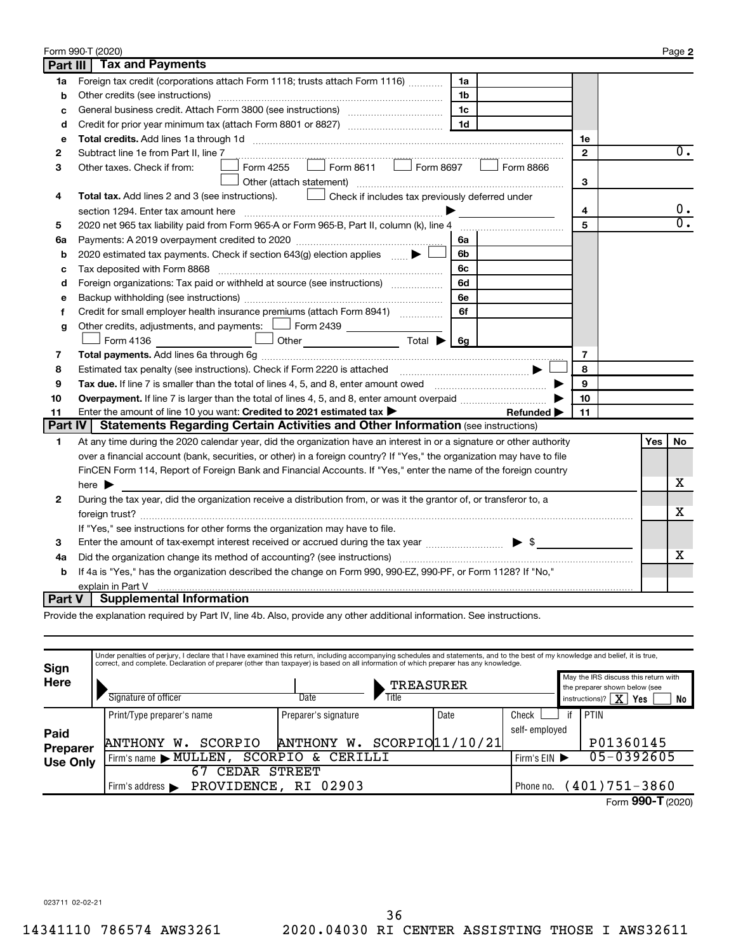|                 | Form 990-T (2020)                                                                                                       |                |     | Page 2           |
|-----------------|-------------------------------------------------------------------------------------------------------------------------|----------------|-----|------------------|
| <b>Part III</b> | <b>Tax and Payments</b>                                                                                                 |                |     |                  |
| 1a              | Foreign tax credit (corporations attach Form 1118; trusts attach Form 1116)<br>1a                                       |                |     |                  |
| b               | Other credits (see instructions)<br>1b                                                                                  |                |     |                  |
| c               | 1c                                                                                                                      |                |     |                  |
| d               | 1 <sub>d</sub>                                                                                                          |                |     |                  |
| e               |                                                                                                                         | 1e             |     |                  |
| 2               | Subtract line 1e from Part II, line 7                                                                                   | $\mathbf{2}$   |     | $0$ .            |
| з               | $\vert$ Form 8611 $\vert$ Form 8697<br>Form 4255<br>Form 8866<br>Other taxes. Check if from:                            |                |     |                  |
|                 | Other (attach statement)                                                                                                | 3              |     |                  |
| 4               | Check if includes tax previously deferred under<br>Total tax. Add lines 2 and 3 (see instructions).                     |                |     |                  |
|                 |                                                                                                                         | 4              |     | $0 \cdot$        |
| 5               | 2020 net 965 tax liability paid from Form 965-A or Form 965-B, Part II, column (k), line 4                              | 5              |     | $\overline{0}$ . |
| 6a              | 6a                                                                                                                      |                |     |                  |
| b               | 2020 estimated tax payments. Check if section 643(g) election applies<br>6b                                             |                |     |                  |
| c               | 6с                                                                                                                      |                |     |                  |
| d               | Foreign organizations: Tax paid or withheld at source (see instructions) [<br>6d                                        |                |     |                  |
| е               | 6e                                                                                                                      |                |     |                  |
| f               | 6f<br>Credit for small employer health insurance premiums (attach Form 8941)                                            |                |     |                  |
| g               | Other credits, adjustments, and payments: $\Box$ Form 2439 $\Box$                                                       |                |     |                  |
|                 | $\cup$ Other $\qquad \qquad$ Total $\blacktriangleright$ 6g<br>Form 4136                                                |                |     |                  |
| 7               |                                                                                                                         | $\overline{7}$ |     |                  |
| 8               |                                                                                                                         | 8              |     |                  |
| 9               |                                                                                                                         | 9              |     |                  |
| 10              | Overpayment. If line 7 is larger than the total of lines 4, 5, and 8, enter amount overpaid <i>manument</i> of lines    | 10             |     |                  |
| 11              | Enter the amount of line 10 you want: Credited to 2021 estimated tax ><br>Refunded $\blacktriangleright$                | 11             |     |                  |
| <b>Part IV</b>  | <b>Statements Regarding Certain Activities and Other Information (see instructions)</b>                                 |                |     |                  |
| 1               | At any time during the 2020 calendar year, did the organization have an interest in or a signature or other authority   |                | Yes | No               |
|                 | over a financial account (bank, securities, or other) in a foreign country? If "Yes," the organization may have to file |                |     |                  |
|                 | FinCEN Form 114, Report of Foreign Bank and Financial Accounts. If "Yes," enter the name of the foreign country         |                |     |                  |
|                 | here $\blacktriangleright$                                                                                              |                |     | х                |
| 2               | During the tax year, did the organization receive a distribution from, or was it the grantor of, or transferor to, a    |                |     |                  |
|                 |                                                                                                                         |                |     | x                |
|                 | If "Yes," see instructions for other forms the organization may have to file.                                           |                |     |                  |
| 3               | Enter the amount of tax-exempt interest received or accrued during the tax year manufacturer $\blacktriangleright$ \$   |                |     |                  |
| 4a              |                                                                                                                         |                |     | х                |
| b               | If 4a is "Yes," has the organization described the change on Form 990, 990-EZ, 990-PF, or Form 1128? If "No,"           |                |     |                  |
|                 | explain in Part V                                                                                                       |                |     |                  |
| Part V          | <b>Supplemental Information</b>                                                                                         |                |     |                  |

Provide the explanation required by Part IV, line 4b. Also, provide any other additional information. See instructions.

| Sign            | Under penalties of perjury, I declare that I have examined this return, including accompanying schedules and statements, and to the best of my knowledge and belief, it is true,<br>correct, and complete. Declaration of preparer (other than taxpayer) is based on all information of which preparer has any knowledge. |                                   |  |                 |               |                                                                                                                           |                      |  |  |  |  |
|-----------------|---------------------------------------------------------------------------------------------------------------------------------------------------------------------------------------------------------------------------------------------------------------------------------------------------------------------------|-----------------------------------|--|-----------------|---------------|---------------------------------------------------------------------------------------------------------------------------|----------------------|--|--|--|--|
| <b>Here</b>     | Signature of officer                                                                                                                                                                                                                                                                                                      | <b>TREASURER</b><br>Title<br>Date |  |                 |               | May the IRS discuss this return with<br>the preparer shown below (see<br>instructions)? $\boxed{\mathbf{X}}$<br>Yes<br>No |                      |  |  |  |  |
|                 | Print/Type preparer's name                                                                                                                                                                                                                                                                                                | Preparer's signature              |  | Date            | Check         |                                                                                                                           | PTIN                 |  |  |  |  |
| Paid            |                                                                                                                                                                                                                                                                                                                           |                                   |  |                 | self-employed |                                                                                                                           |                      |  |  |  |  |
| <b>Preparer</b> | SCORPIO<br><b>ANTHONY</b><br>w.                                                                                                                                                                                                                                                                                           | ANTHONY W. SCORPIO $1/10/21$      |  |                 |               |                                                                                                                           | P01360145            |  |  |  |  |
| <b>Use Only</b> | SCORPIO<br>CERILLI<br>$\delta$ .<br>Firm's name MULLEN                                                                                                                                                                                                                                                                    |                                   |  |                 |               |                                                                                                                           | 05-0392605           |  |  |  |  |
|                 | 67<br><b>STREET</b><br>CEDAR                                                                                                                                                                                                                                                                                              |                                   |  |                 |               |                                                                                                                           |                      |  |  |  |  |
|                 | PROVIDENCE, RI 02903<br>Firm's address $\blacktriangleright$                                                                                                                                                                                                                                                              | Phone no.                         |  | $(401)751-3860$ |               |                                                                                                                           |                      |  |  |  |  |
|                 |                                                                                                                                                                                                                                                                                                                           |                                   |  |                 |               |                                                                                                                           | $\sim$ $\sim$ $\sim$ |  |  |  |  |

Form 990-T (2020)

023711 02-02-21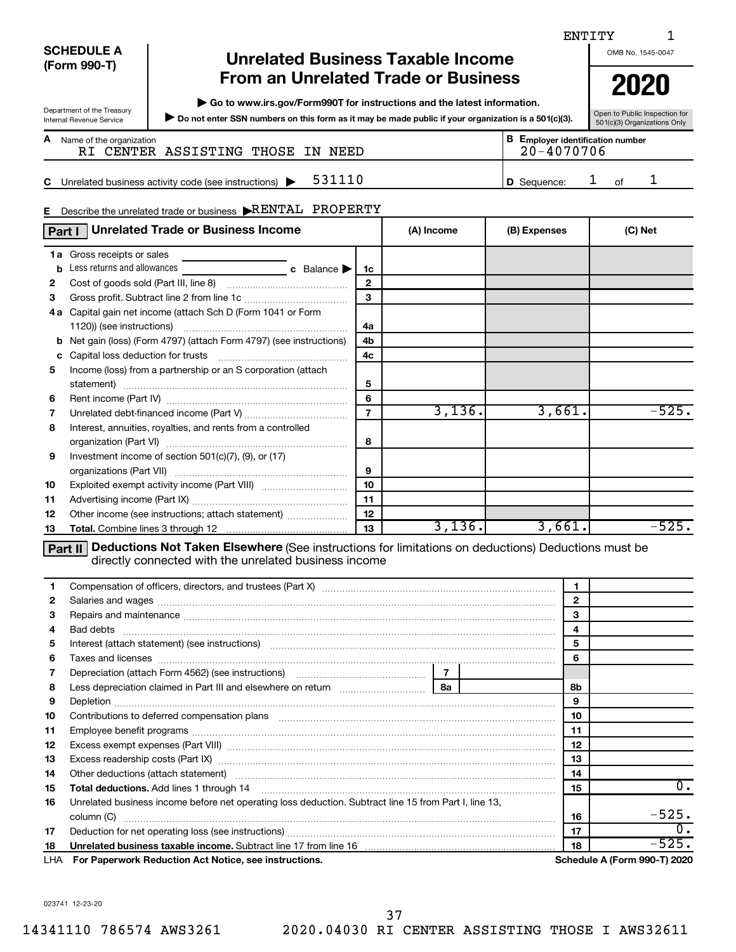| <b>SCHEDULE A</b> |  |
|-------------------|--|
| (Form 990-T)      |  |

Department of the Treasury<br>Internal Revenue Service

## **Unrelated Business Taxable Income From an Unrelated Trade or Business** | 2020

**| Go to www.irs.gov/Form990T for instructions and the latest information.**

Department of the Treasury<br>Internal Revenue Service **Dispection for SSN numbers on this form as it may be made public if your organization is a 501(c)(3). So the Valic Inspection for** 

Open to Public Inspection for<br>501(c)(3) Organizations Only

| <b>A</b> Name of the organization |                                   |  | <b>B</b> Employer identification number |
|-----------------------------------|-----------------------------------|--|-----------------------------------------|
|                                   | RI CENTER ASSISTING THOSE IN NEED |  | 20-4070706                              |

**C D** Sequence: 1 of 1 Unrelated business activity code (see instructions) | Sequence: of

### Describe the unrelated trade or business  $\blacktriangleright \text{RENTAL}$  PROPERTY

| E. | Describe the unrelated trade or business KENTAL PROPERTY          |                 |              |         |         |  |  |  |  |
|----|-------------------------------------------------------------------|-----------------|--------------|---------|---------|--|--|--|--|
|    | <b>Unrelated Trade or Business Income</b><br>Part I               | (A) Income      | (B) Expenses | (C) Net |         |  |  |  |  |
|    | <b>1a</b> Gross receipts or sales                                 |                 |              |         |         |  |  |  |  |
| b  | Less returns and allowances<br>c Balance $\blacktriangleright$    | 1c              |              |         |         |  |  |  |  |
| 2  |                                                                   | $\mathbf{2}$    |              |         |         |  |  |  |  |
| 3  |                                                                   | 3               |              |         |         |  |  |  |  |
|    | 4a Capital gain net income (attach Sch D (Form 1041 or Form       |                 |              |         |         |  |  |  |  |
|    |                                                                   | 4a              |              |         |         |  |  |  |  |
|    | Net gain (loss) (Form 4797) (attach Form 4797) (see instructions) | 4b              |              |         |         |  |  |  |  |
| c  |                                                                   | 4c              |              |         |         |  |  |  |  |
| 5  | Income (loss) from a partnership or an S corporation (attach      |                 |              |         |         |  |  |  |  |
|    |                                                                   | 5               |              |         |         |  |  |  |  |
| 6  |                                                                   | 6               |              |         |         |  |  |  |  |
| 7  |                                                                   | $\overline{7}$  | 3,136.       | 3,661.  | $-525.$ |  |  |  |  |
| 8  | Interest, annuities, royalties, and rents from a controlled       |                 |              |         |         |  |  |  |  |
|    |                                                                   | 8               |              |         |         |  |  |  |  |
| 9  | Investment income of section $501(c)(7)$ , $(9)$ , or $(17)$      |                 |              |         |         |  |  |  |  |
|    |                                                                   | 9               |              |         |         |  |  |  |  |
| 10 |                                                                   | 10 <sup>1</sup> |              |         |         |  |  |  |  |
| 11 |                                                                   | 11              |              |         |         |  |  |  |  |
| 12 | Other income (see instructions; attach statement)                 | 12              |              |         |         |  |  |  |  |
| 13 |                                                                   | 13              | 3,136.       | 3,661.  | -525.   |  |  |  |  |

**Part II** Deductions Not Taken Elsewhere (See instructions for limitations on deductions) Deductions must be directly connected with the unrelated business income

| 1.           |                                                                                                                   | 1            |    |                |                              |
|--------------|-------------------------------------------------------------------------------------------------------------------|--------------|----|----------------|------------------------------|
| $\mathbf{2}$ |                                                                                                                   | $\mathbf{2}$ |    |                |                              |
| 3            | Repairs and maintenance material content and according to the material content and maintenance material content   |              |    | 3              |                              |
| 4            |                                                                                                                   |              |    | $\overline{4}$ |                              |
| 5            | Interest (attach statement) (see instructions) manufactured and an interest (attach statement) (see instructions) |              |    | 5              |                              |
| 6            |                                                                                                                   |              |    | 6              |                              |
| 7            |                                                                                                                   |              |    |                |                              |
| 8            |                                                                                                                   |              |    | 8b             |                              |
| 9            |                                                                                                                   |              |    | 9              |                              |
| 10           |                                                                                                                   |              |    | 10             |                              |
| 11           |                                                                                                                   | 11           |    |                |                              |
| 12           |                                                                                                                   |              |    | 12             |                              |
| 13           | Excess readership costs (Part IX) [11] [2000] [2000] [2010] [3000] [3000] [3000] [3000] [3000] [3000] [3000] [    |              |    | 13             |                              |
| 14           | Other deductions (attach statement) manufacture and according to the deductions (attach statement) manufacture    |              |    | 14             |                              |
| 15           |                                                                                                                   | 15           | 0. |                |                              |
| 16           | Unrelated business income before net operating loss deduction. Subtract line 15 from Part I, line 13,             |              |    |                |                              |
|              | column (C)                                                                                                        |              |    | 16             | $-525.$                      |
| 17           |                                                                                                                   |              |    |                | $0$ .                        |
| 18           | Unrelated business taxable income. Subtract line 17 from line 16 [19] [19] www.communicallyness.com               |              |    | 18             | $-525.$                      |
|              | LHA For Paperwork Reduction Act Notice, see instructions.                                                         |              |    |                | Schedule A (Form 990-T) 2020 |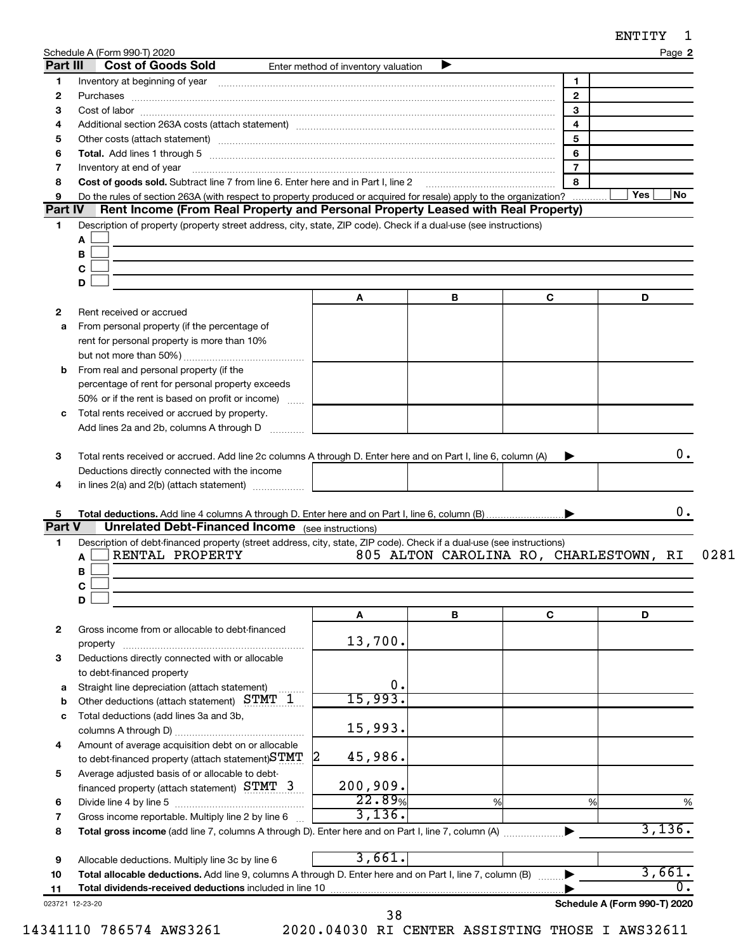| אידימא |  |
|--------|--|
|--------|--|

|                       | Schedule A (Form 990-T) 2020<br>Part III<br><b>Cost of Goods Sold</b>                                                                                                                                                                                                                                                                                                                                                                                                   | Enter method of inventory valuation |   |                                        |                            |
|-----------------------|-------------------------------------------------------------------------------------------------------------------------------------------------------------------------------------------------------------------------------------------------------------------------------------------------------------------------------------------------------------------------------------------------------------------------------------------------------------------------|-------------------------------------|---|----------------------------------------|----------------------------|
|                       | Inventory at beginning of year encouragement and an intervention of the state of year and the state of year and the state of the state of the state of the state of the state of the state of the state of the state of the st                                                                                                                                                                                                                                          |                                     |   | $\blacksquare$                         |                            |
|                       |                                                                                                                                                                                                                                                                                                                                                                                                                                                                         |                                     |   | $\overline{2}$                         |                            |
|                       | $Cost of labor  \label{thm:main}$                                                                                                                                                                                                                                                                                                                                                                                                                                       |                                     |   | $\overline{3}$                         |                            |
|                       |                                                                                                                                                                                                                                                                                                                                                                                                                                                                         |                                     |   | $\overline{4}$                         |                            |
|                       |                                                                                                                                                                                                                                                                                                                                                                                                                                                                         |                                     |   | $5\overline{5}$                        |                            |
|                       |                                                                                                                                                                                                                                                                                                                                                                                                                                                                         |                                     |   | 6                                      |                            |
|                       | Inventory at end of year<br>$\begin{minipage}{0.5\textwidth} \begin{tabular}{ l l l } \hline \multicolumn{1}{ l l l } \hline \multicolumn{1}{ l l } \multicolumn{1}{ l } \multicolumn{1}{ l } \multicolumn{1}{ l } \multicolumn{1}{ l } \multicolumn{1}{ l } \multicolumn{1}{ l } \multicolumn{1}{ l } \multicolumn{1}{ l } \multicolumn{1}{ l } \multicolumn{1}{ l } \multicolumn{1}{ l } \multicolumn{1}{ l } \multicolumn{1}{ l } \multicolumn{1}{ l } \multicolumn$ |                                     |   | $\overline{7}$                         |                            |
|                       | Cost of goods sold. Subtract line 7 from line 6. Enter here and in Part I, line 2                                                                                                                                                                                                                                                                                                                                                                                       |                                     |   | 8                                      |                            |
|                       | Do the rules of section 263A (with respect to property produced or acquired for resale) apply to the organization?                                                                                                                                                                                                                                                                                                                                                      |                                     |   |                                        | Yes<br>No                  |
| Part IV               | Rent Income (From Real Property and Personal Property Leased with Real Property)                                                                                                                                                                                                                                                                                                                                                                                        |                                     |   |                                        |                            |
|                       | Description of property (property street address, city, state, ZIP code). Check if a dual-use (see instructions)                                                                                                                                                                                                                                                                                                                                                        |                                     |   |                                        |                            |
|                       | Α                                                                                                                                                                                                                                                                                                                                                                                                                                                                       |                                     |   |                                        |                            |
|                       | в                                                                                                                                                                                                                                                                                                                                                                                                                                                                       |                                     |   |                                        |                            |
|                       | C                                                                                                                                                                                                                                                                                                                                                                                                                                                                       |                                     |   |                                        |                            |
|                       | D                                                                                                                                                                                                                                                                                                                                                                                                                                                                       |                                     | В | C                                      | D                          |
|                       | Rent received or accrued                                                                                                                                                                                                                                                                                                                                                                                                                                                | A                                   |   |                                        |                            |
|                       |                                                                                                                                                                                                                                                                                                                                                                                                                                                                         |                                     |   |                                        |                            |
| а                     | From personal property (if the percentage of<br>rent for personal property is more than 10%                                                                                                                                                                                                                                                                                                                                                                             |                                     |   |                                        |                            |
|                       |                                                                                                                                                                                                                                                                                                                                                                                                                                                                         |                                     |   |                                        |                            |
| b                     | From real and personal property (if the                                                                                                                                                                                                                                                                                                                                                                                                                                 |                                     |   |                                        |                            |
|                       | percentage of rent for personal property exceeds                                                                                                                                                                                                                                                                                                                                                                                                                        |                                     |   |                                        |                            |
|                       | 50% or if the rent is based on profit or income)                                                                                                                                                                                                                                                                                                                                                                                                                        |                                     |   |                                        |                            |
| c                     | Total rents received or accrued by property.                                                                                                                                                                                                                                                                                                                                                                                                                            |                                     |   |                                        |                            |
|                       | Add lines 2a and 2b, columns A through D                                                                                                                                                                                                                                                                                                                                                                                                                                |                                     |   |                                        |                            |
|                       |                                                                                                                                                                                                                                                                                                                                                                                                                                                                         |                                     |   |                                        |                            |
|                       | Total rents received or accrued. Add line 2c columns A through D. Enter here and on Part I, line 6, column (A)                                                                                                                                                                                                                                                                                                                                                          |                                     |   | ▶                                      | 0.                         |
|                       | Deductions directly connected with the income                                                                                                                                                                                                                                                                                                                                                                                                                           |                                     |   |                                        |                            |
|                       |                                                                                                                                                                                                                                                                                                                                                                                                                                                                         |                                     |   |                                        |                            |
|                       |                                                                                                                                                                                                                                                                                                                                                                                                                                                                         |                                     |   |                                        |                            |
|                       | in lines 2(a) and 2(b) (attach statement)                                                                                                                                                                                                                                                                                                                                                                                                                               |                                     |   |                                        |                            |
|                       |                                                                                                                                                                                                                                                                                                                                                                                                                                                                         |                                     |   |                                        | 0.                         |
|                       | <b>Unrelated Debt-Financed Income</b> (see instructions)                                                                                                                                                                                                                                                                                                                                                                                                                |                                     |   |                                        |                            |
|                       | Description of debt-financed property (street address, city, state, ZIP code). Check if a dual-use (see instructions)                                                                                                                                                                                                                                                                                                                                                   |                                     |   |                                        |                            |
|                       | RENTAL PROPERTY<br>A                                                                                                                                                                                                                                                                                                                                                                                                                                                    |                                     |   | 805 ALTON CAROLINA RO, CHARLESTOWN, RI |                            |
|                       | В                                                                                                                                                                                                                                                                                                                                                                                                                                                                       |                                     |   |                                        |                            |
|                       | С                                                                                                                                                                                                                                                                                                                                                                                                                                                                       |                                     |   |                                        |                            |
|                       | D                                                                                                                                                                                                                                                                                                                                                                                                                                                                       |                                     |   |                                        |                            |
|                       |                                                                                                                                                                                                                                                                                                                                                                                                                                                                         | A                                   | В | C                                      | D                          |
|                       | Gross income from or allocable to debt-financed                                                                                                                                                                                                                                                                                                                                                                                                                         |                                     |   |                                        |                            |
|                       | property                                                                                                                                                                                                                                                                                                                                                                                                                                                                | 13,700.                             |   |                                        |                            |
|                       | Deductions directly connected with or allocable                                                                                                                                                                                                                                                                                                                                                                                                                         |                                     |   |                                        |                            |
|                       | to debt-financed property                                                                                                                                                                                                                                                                                                                                                                                                                                               |                                     |   |                                        |                            |
|                       | Straight line depreciation (attach statement)                                                                                                                                                                                                                                                                                                                                                                                                                           | 0.                                  |   |                                        |                            |
|                       | Other deductions (attach statement) STMT 1                                                                                                                                                                                                                                                                                                                                                                                                                              | 15,993.                             |   |                                        |                            |
|                       | Total deductions (add lines 3a and 3b,                                                                                                                                                                                                                                                                                                                                                                                                                                  |                                     |   |                                        |                            |
| Part V<br>а<br>b<br>c |                                                                                                                                                                                                                                                                                                                                                                                                                                                                         | 15,993.                             |   |                                        |                            |
|                       | Amount of average acquisition debt on or allocable                                                                                                                                                                                                                                                                                                                                                                                                                      |                                     |   |                                        |                            |
|                       | to debt-financed property (attach statement) STMT                                                                                                                                                                                                                                                                                                                                                                                                                       | 45,986.                             |   |                                        |                            |
|                       | Average adjusted basis of or allocable to debt-                                                                                                                                                                                                                                                                                                                                                                                                                         |                                     |   |                                        |                            |
|                       | financed property (attach statement) STMT 3                                                                                                                                                                                                                                                                                                                                                                                                                             | 200,909.                            |   |                                        |                            |
|                       |                                                                                                                                                                                                                                                                                                                                                                                                                                                                         | 22.89%                              | % | %                                      | %                          |
|                       | Gross income reportable. Multiply line 2 by line 6                                                                                                                                                                                                                                                                                                                                                                                                                      | 3,136.                              |   |                                        |                            |
|                       |                                                                                                                                                                                                                                                                                                                                                                                                                                                                         |                                     |   |                                        | 3,136.                     |
|                       |                                                                                                                                                                                                                                                                                                                                                                                                                                                                         |                                     |   |                                        |                            |
|                       | Allocable deductions. Multiply line 3c by line 6                                                                                                                                                                                                                                                                                                                                                                                                                        | 3,661.                              |   |                                        |                            |
|                       | Total allocable deductions. Add line 9, columns A through D. Enter here and on Part I, line 7, column (B)<br>Total dividends-received deductions included in line 10                                                                                                                                                                                                                                                                                                    |                                     |   |                                        | 3,661.<br>$\overline{0}$ . |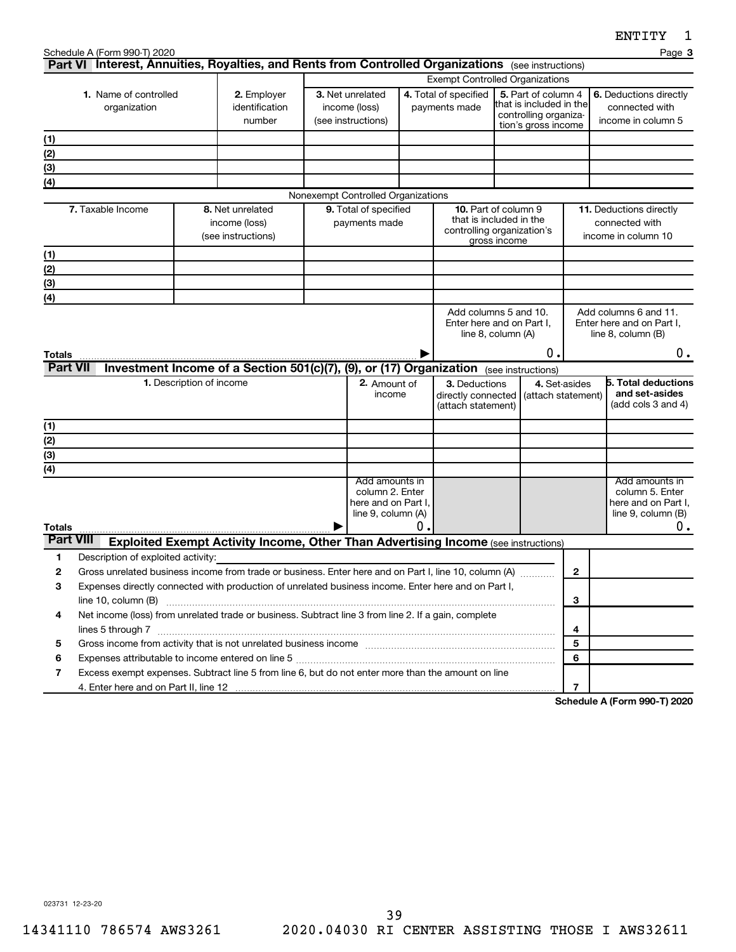|                      | Schedule A (Form 990-T) 2020<br>Part VI Interest, Annuities, Royalties, and Rents from Controlled Organizations (see instructions) |                          |                                                                                           |                                                         |                                                                                |                                        |                                                                                                      |                                                                                                                                          |                                     | Page 3                                                                               |
|----------------------|------------------------------------------------------------------------------------------------------------------------------------|--------------------------|-------------------------------------------------------------------------------------------|---------------------------------------------------------|--------------------------------------------------------------------------------|----------------------------------------|------------------------------------------------------------------------------------------------------|------------------------------------------------------------------------------------------------------------------------------------------|-------------------------------------|--------------------------------------------------------------------------------------|
|                      |                                                                                                                                    |                          |                                                                                           |                                                         |                                                                                |                                        |                                                                                                      |                                                                                                                                          |                                     |                                                                                      |
|                      | 1. Name of controlled<br>organization                                                                                              |                          | 2. Employer<br>identification<br>number                                                   | 3. Net unrelated<br>income (loss)<br>(see instructions) |                                                                                | 4. Total of specified<br>payments made |                                                                                                      | <b>Exempt Controlled Organizations</b><br>5. Part of column 4<br>that is included in the<br>controlling organiza-<br>tion's gross income |                                     | 6. Deductions directly<br>connected with<br>income in column 5                       |
| (1)                  |                                                                                                                                    |                          |                                                                                           |                                                         |                                                                                |                                        |                                                                                                      |                                                                                                                                          |                                     |                                                                                      |
| (2)                  |                                                                                                                                    |                          |                                                                                           |                                                         |                                                                                |                                        |                                                                                                      |                                                                                                                                          |                                     |                                                                                      |
| (3)                  |                                                                                                                                    |                          |                                                                                           |                                                         |                                                                                |                                        |                                                                                                      |                                                                                                                                          |                                     |                                                                                      |
| (4)                  |                                                                                                                                    |                          |                                                                                           |                                                         |                                                                                |                                        |                                                                                                      |                                                                                                                                          |                                     |                                                                                      |
|                      |                                                                                                                                    |                          |                                                                                           |                                                         | Nonexempt Controlled Organizations                                             |                                        |                                                                                                      |                                                                                                                                          |                                     |                                                                                      |
|                      | 7. Taxable Income                                                                                                                  |                          | 8. Net unrelated<br>income (loss)<br>(see instructions)                                   | 9. Total of specified<br>payments made                  |                                                                                |                                        | <b>10.</b> Part of column 9<br>that is included in the<br>controlling organization's<br>gross income |                                                                                                                                          |                                     | 11. Deductions directly<br>connected with<br>income in column 10                     |
| (1)                  |                                                                                                                                    |                          |                                                                                           |                                                         |                                                                                |                                        |                                                                                                      |                                                                                                                                          |                                     |                                                                                      |
| (2)                  |                                                                                                                                    |                          |                                                                                           |                                                         |                                                                                |                                        |                                                                                                      |                                                                                                                                          |                                     |                                                                                      |
| (3)                  |                                                                                                                                    |                          |                                                                                           |                                                         |                                                                                |                                        |                                                                                                      |                                                                                                                                          |                                     |                                                                                      |
| (4)                  |                                                                                                                                    |                          |                                                                                           |                                                         |                                                                                |                                        |                                                                                                      |                                                                                                                                          |                                     |                                                                                      |
| Totals               |                                                                                                                                    |                          |                                                                                           |                                                         |                                                                                |                                        |                                                                                                      | Add columns 5 and 10.<br>Enter here and on Part I,<br>line 8, column (A)<br>О.                                                           |                                     | Add columns 6 and 11.<br>Enter here and on Part I,<br>line 8, column (B)<br>$0$ .    |
| <b>Part VII</b>      |                                                                                                                                    |                          | Investment Income of a Section 501(c)(7), (9), or (17) Organization (see instructions)    |                                                         |                                                                                |                                        |                                                                                                      |                                                                                                                                          |                                     |                                                                                      |
|                      |                                                                                                                                    | 1. Description of income |                                                                                           |                                                         | 2. Amount of<br>income                                                         |                                        | 3. Deductions<br>directly connected<br>(attach statement)                                            |                                                                                                                                          | 4. Set-asides<br>(attach statement) | <b>5. Total deductions</b><br>and set-asides<br>(add cols 3 and 4)                   |
| (1)                  |                                                                                                                                    |                          |                                                                                           |                                                         |                                                                                |                                        |                                                                                                      |                                                                                                                                          |                                     |                                                                                      |
| $\overline{(2)}$     |                                                                                                                                    |                          |                                                                                           |                                                         |                                                                                |                                        |                                                                                                      |                                                                                                                                          |                                     |                                                                                      |
| $\overline{3}$       |                                                                                                                                    |                          |                                                                                           |                                                         |                                                                                |                                        |                                                                                                      |                                                                                                                                          |                                     |                                                                                      |
| (4)<br><b>Totals</b> |                                                                                                                                    |                          |                                                                                           |                                                         | Add amounts in<br>column 2. Enter<br>here and on Part I,<br>line 9, column (A) | 0.                                     |                                                                                                      |                                                                                                                                          |                                     | Add amounts in<br>column 5. Enter<br>here and on Part I,<br>line 9, column (B)<br>0. |
| <b>Part VIII</b>     |                                                                                                                                    |                          | <b>Exploited Exempt Activity Income, Other Than Advertising Income (see instructions)</b> |                                                         |                                                                                |                                        |                                                                                                      |                                                                                                                                          |                                     |                                                                                      |
| 1                    | Description of exploited activity:                                                                                                 |                          |                                                                                           |                                                         |                                                                                |                                        |                                                                                                      |                                                                                                                                          |                                     |                                                                                      |
| 2                    | Gross unrelated business income from trade or business. Enter here and on Part I, line 10, column (A)                              |                          |                                                                                           |                                                         |                                                                                |                                        |                                                                                                      |                                                                                                                                          | $\mathbf{2}$                        |                                                                                      |
| З                    | Expenses directly connected with production of unrelated business income. Enter here and on Part I,                                |                          |                                                                                           |                                                         |                                                                                |                                        |                                                                                                      |                                                                                                                                          |                                     |                                                                                      |
|                      | line 10, column (B)                                                                                                                |                          |                                                                                           |                                                         |                                                                                |                                        |                                                                                                      |                                                                                                                                          | 3                                   |                                                                                      |
| 4                    | Net income (loss) from unrelated trade or business. Subtract line 3 from line 2. If a gain, complete                               |                          |                                                                                           |                                                         |                                                                                |                                        |                                                                                                      |                                                                                                                                          |                                     |                                                                                      |
|                      | lines 5 through 7 www.assemblance.com/news/community/intervention-community-community-community-community-comm                     |                          |                                                                                           |                                                         |                                                                                |                                        |                                                                                                      |                                                                                                                                          | 4                                   |                                                                                      |
| 5                    |                                                                                                                                    |                          |                                                                                           |                                                         |                                                                                |                                        |                                                                                                      |                                                                                                                                          | 5                                   |                                                                                      |
| 6                    |                                                                                                                                    |                          |                                                                                           |                                                         |                                                                                |                                        |                                                                                                      |                                                                                                                                          | 6                                   |                                                                                      |
| 7                    | Excess exempt expenses. Subtract line 5 from line 6, but do not enter more than the amount on line                                 |                          |                                                                                           |                                                         |                                                                                |                                        |                                                                                                      |                                                                                                                                          |                                     |                                                                                      |
|                      |                                                                                                                                    |                          |                                                                                           |                                                         |                                                                                |                                        |                                                                                                      |                                                                                                                                          | $\overline{7}$                      |                                                                                      |

**Schedule A (Form 990-T) 2020**

023731 12-23-20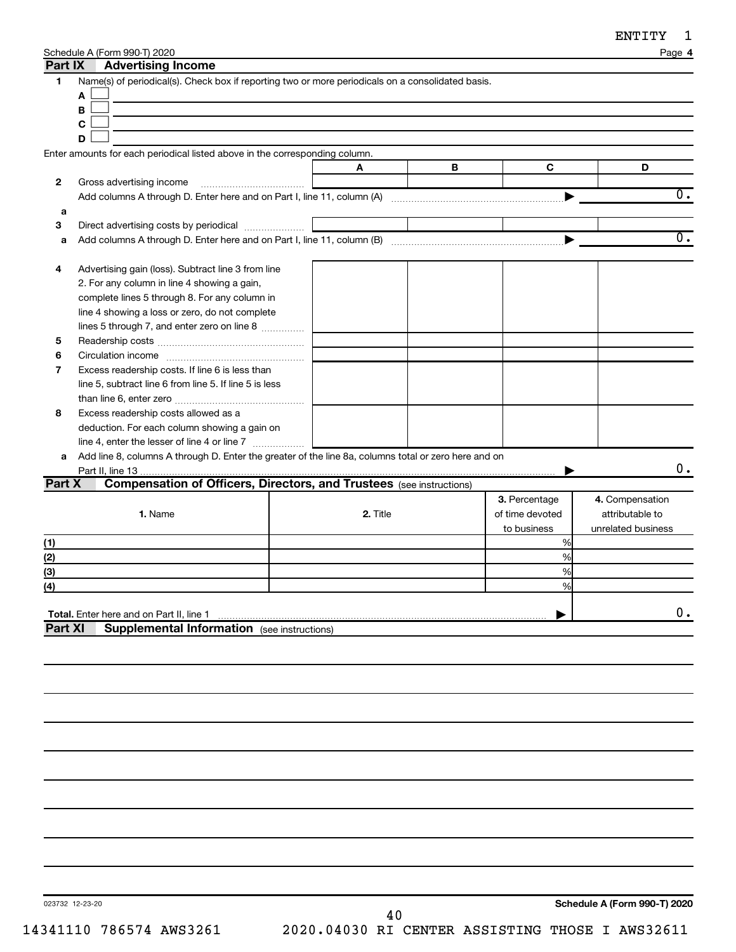| Schedule A (Form 990-T) 2020 |  |
|------------------------------|--|
|                              |  |

|                          | Schedule A (Form 990-T) 2020                                                                         |          |   |                 | Page 4             |
|--------------------------|------------------------------------------------------------------------------------------------------|----------|---|-----------------|--------------------|
| Part IX                  | <b>Advertising Income</b>                                                                            |          |   |                 |                    |
| 1                        | Name(s) of periodical(s). Check box if reporting two or more periodicals on a consolidated basis.    |          |   |                 |                    |
|                          | A                                                                                                    |          |   |                 |                    |
|                          | В                                                                                                    |          |   |                 |                    |
|                          | С                                                                                                    |          |   |                 |                    |
|                          | D                                                                                                    |          |   |                 |                    |
|                          | Enter amounts for each periodical listed above in the corresponding column.                          |          |   |                 |                    |
|                          |                                                                                                      | A        | в | C               | D                  |
| 2                        | Gross advertising income                                                                             |          |   |                 |                    |
|                          |                                                                                                      |          |   |                 | 0.                 |
| а                        |                                                                                                      |          |   |                 |                    |
| 3                        | Direct advertising costs by periodical                                                               |          |   |                 |                    |
| a                        |                                                                                                      |          |   |                 | $\overline{0}$ .   |
|                          |                                                                                                      |          |   |                 |                    |
| 4                        | Advertising gain (loss). Subtract line 3 from line                                                   |          |   |                 |                    |
|                          | 2. For any column in line 4 showing a gain,                                                          |          |   |                 |                    |
|                          | complete lines 5 through 8. For any column in                                                        |          |   |                 |                    |
|                          | line 4 showing a loss or zero, do not complete                                                       |          |   |                 |                    |
|                          | lines 5 through 7, and enter zero on line 8                                                          |          |   |                 |                    |
| 5                        |                                                                                                      |          |   |                 |                    |
| 6                        |                                                                                                      |          |   |                 |                    |
| 7                        | Excess readership costs. If line 6 is less than                                                      |          |   |                 |                    |
|                          | line 5, subtract line 6 from line 5. If line 5 is less                                               |          |   |                 |                    |
|                          |                                                                                                      |          |   |                 |                    |
| 8                        | Excess readership costs allowed as a                                                                 |          |   |                 |                    |
|                          | deduction. For each column showing a gain on                                                         |          |   |                 |                    |
|                          | line 4, enter the lesser of line 4 or line 7                                                         |          |   |                 |                    |
| a                        | Add line 8, columns A through D. Enter the greater of the line 8a, columns total or zero here and on |          |   |                 |                    |
|                          |                                                                                                      |          |   |                 | 0.                 |
| Part X                   | <b>Compensation of Officers, Directors, and Trustees (see instructions)</b>                          |          |   |                 |                    |
|                          |                                                                                                      |          |   |                 |                    |
|                          |                                                                                                      |          |   |                 |                    |
|                          |                                                                                                      |          |   | 3. Percentage   | 4. Compensation    |
|                          | 1. Name                                                                                              | 2. Title |   | of time devoted | attributable to    |
|                          |                                                                                                      |          |   | to business     | unrelated business |
|                          |                                                                                                      |          |   | %               |                    |
|                          |                                                                                                      |          |   | %               |                    |
|                          |                                                                                                      |          |   | %               |                    |
|                          |                                                                                                      |          |   | ℅               |                    |
|                          |                                                                                                      |          |   |                 |                    |
| (1)<br>(2)<br>(3)<br>(4) | Total. Enter here and on Part II, line 1                                                             |          |   |                 | $0$ .              |
| <b>Part XI</b>           | <b>Supplemental Information</b> (see instructions)                                                   |          |   |                 |                    |
|                          |                                                                                                      |          |   |                 |                    |
|                          |                                                                                                      |          |   |                 |                    |
|                          |                                                                                                      |          |   |                 |                    |
|                          |                                                                                                      |          |   |                 |                    |
|                          |                                                                                                      |          |   |                 |                    |
|                          |                                                                                                      |          |   |                 |                    |
|                          |                                                                                                      |          |   |                 |                    |
|                          |                                                                                                      |          |   |                 |                    |
|                          |                                                                                                      |          |   |                 |                    |
|                          |                                                                                                      |          |   |                 |                    |
|                          |                                                                                                      |          |   |                 |                    |
|                          |                                                                                                      |          |   |                 |                    |
|                          |                                                                                                      |          |   |                 |                    |
|                          |                                                                                                      |          |   |                 |                    |

023732 12-23-20